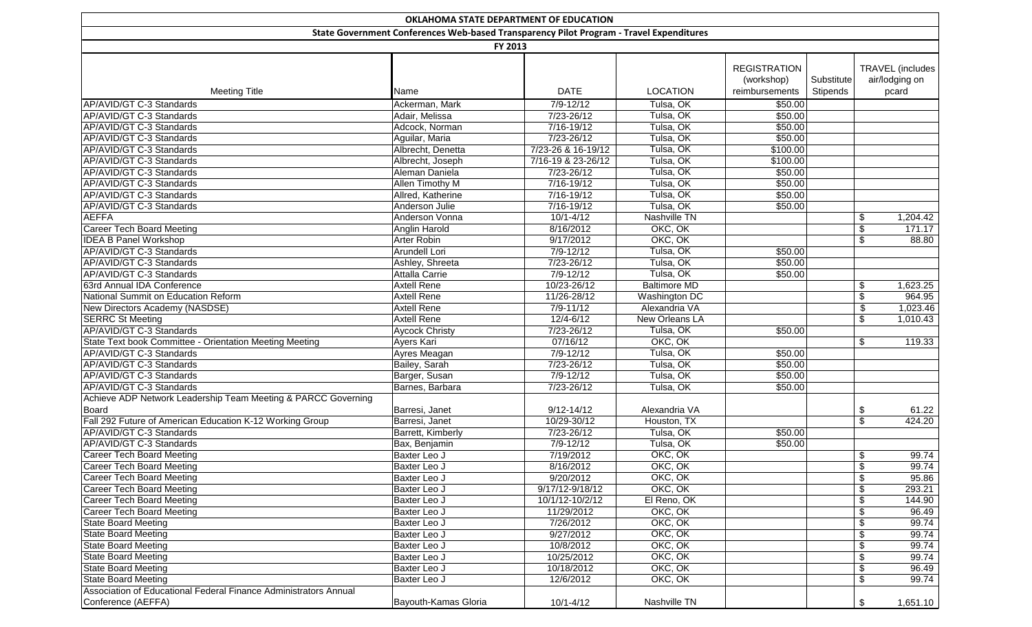|                                                                      |                                                                                         |                        | OKLAHOMA STATE DEPARTMENT OF EDUCATION |                     |            |                           |  |  |  |  |  |
|----------------------------------------------------------------------|-----------------------------------------------------------------------------------------|------------------------|----------------------------------------|---------------------|------------|---------------------------|--|--|--|--|--|
|                                                                      | State Government Conferences Web-based Transparency Pilot Program - Travel Expenditures |                        |                                        |                     |            |                           |  |  |  |  |  |
|                                                                      | FY 2013                                                                                 |                        |                                        |                     |            |                           |  |  |  |  |  |
|                                                                      |                                                                                         |                        |                                        |                     |            |                           |  |  |  |  |  |
|                                                                      |                                                                                         |                        |                                        | <b>REGISTRATION</b> |            | <b>TRAVEL</b> (includes   |  |  |  |  |  |
|                                                                      |                                                                                         |                        |                                        | (workshop)          | Substitute | air/lodging on            |  |  |  |  |  |
| <b>Meeting Title</b>                                                 | Name                                                                                    | <b>DATE</b>            | <b>LOCATION</b>                        | reimbursements      | Stipends   | pcard                     |  |  |  |  |  |
| AP/AVID/GT C-3 Standards                                             | Ackerman, Mark                                                                          | $7/9 - 12/12$          | Tulsa, OK                              | \$50.00             |            |                           |  |  |  |  |  |
| AP/AVID/GT C-3 Standards                                             | Adair, Melissa                                                                          | $7/23 - 26/12$         | Tulsa, OK                              | \$50.00             |            |                           |  |  |  |  |  |
| AP/AVID/GT C-3 Standards                                             | Adcock, Norman                                                                          | 7/16-19/12             | Tulsa, OK                              | \$50.00             |            |                           |  |  |  |  |  |
| AP/AVID/GT C-3 Standards                                             | Aguilar, Maria                                                                          | 7/23-26/12             | Tulsa, OK                              | \$50.00             |            |                           |  |  |  |  |  |
| AP/AVID/GT C-3 Standards                                             | Albrecht, Denetta                                                                       | 7/23-26 & 16-19/12     | Tulsa, OK                              | \$100.00            |            |                           |  |  |  |  |  |
| AP/AVID/GT C-3 Standards                                             | Albrecht, Joseph                                                                        | 7/16-19 & 23-26/12     | Tulsa, OK                              | \$100.00            |            |                           |  |  |  |  |  |
| AP/AVID/GT C-3 Standards                                             | Aleman Daniela                                                                          | 7/23-26/12             | Tulsa, OK                              | \$50.00             |            |                           |  |  |  |  |  |
| AP/AVID/GT C-3 Standards                                             | Allen Timothy M                                                                         | 7/16-19/12             | Tulsa, OK                              | \$50.00             |            |                           |  |  |  |  |  |
| AP/AVID/GT C-3 Standards                                             | Allred, Katherine                                                                       | 7/16-19/12             | Tulsa, OK                              | \$50.00             |            |                           |  |  |  |  |  |
| AP/AVID/GT C-3 Standards                                             | Anderson Julie                                                                          | 7/16-19/12             | Tulsa, OK                              | \$50.00             |            |                           |  |  |  |  |  |
| <b>AEFFA</b>                                                         | Anderson Vonna                                                                          | $10/1 - 4/12$          | Nashville TN                           |                     |            | \$<br>1,204.42            |  |  |  |  |  |
| <b>Career Tech Board Meeting</b>                                     | Anglin Harold                                                                           | 8/16/2012              | OKC, OK                                |                     |            | \$<br>171.17              |  |  |  |  |  |
| <b>IDEA B Panel Workshop</b>                                         | Arter Robin                                                                             | 9/17/2012              | OKC, OK                                |                     |            | 88.80<br>\$               |  |  |  |  |  |
| AP/AVID/GT C-3 Standards                                             | Arundell Lori                                                                           | $7/9 - 12/12$          | Tulsa, OK                              | \$50.00             |            |                           |  |  |  |  |  |
| AP/AVID/GT C-3 Standards                                             | Ashley, Shreeta                                                                         | 7/23-26/12             | Tulsa, OK                              | \$50.00             |            |                           |  |  |  |  |  |
| AP/AVID/GT C-3 Standards                                             | <b>Attalla Carrie</b>                                                                   | $7/9 - 12/12$          | Tulsa, OK                              | \$50.00             |            |                           |  |  |  |  |  |
| 63rd Annual IDA Conference                                           | <b>Axtell Rene</b>                                                                      | 10/23-26/12            | <b>Baltimore MD</b>                    |                     |            | \$<br>1,623.25            |  |  |  |  |  |
| National Summit on Education Reform                                  | <b>Axtell Rene</b>                                                                      | 11/26-28/12            | Washington DC                          |                     |            | \$<br>964.95              |  |  |  |  |  |
| New Directors Academy (NASDSE)                                       | <b>Axtell Rene</b>                                                                      | 7/9-11/12              | Alexandria VA                          |                     |            | \$<br>1,023.46            |  |  |  |  |  |
| <b>SERRC St Meeting</b>                                              | <b>Axtell Rene</b>                                                                      | $12/4 - 6/12$          | <b>New Orleans LA</b>                  |                     |            | \$<br>1,010.43            |  |  |  |  |  |
| AP/AVID/GT C-3 Standards                                             | Aycock Christy                                                                          | 7/23-26/12             | Tulsa, OK                              | \$50.00             |            |                           |  |  |  |  |  |
| State Text book Committee - Orientation Meeting Meeting              | Ayers Kari                                                                              | 07/16/12               | OKC, OK                                |                     |            | \$<br>119.33              |  |  |  |  |  |
| AP/AVID/GT C-3 Standards                                             | Ayres Meagan                                                                            | $7/9 - 12/12$          | Tulsa, OK                              | \$50.00             |            |                           |  |  |  |  |  |
| AP/AVID/GT C-3 Standards                                             | Bailey, Sarah                                                                           | 7/23-26/12             | Tulsa, OK                              | \$50.00             |            |                           |  |  |  |  |  |
| AP/AVID/GT C-3 Standards                                             | Barger, Susan                                                                           | $7/9 - 12/12$          | Tulsa, OK                              | \$50.00             |            |                           |  |  |  |  |  |
| AP/AVID/GT C-3 Standards                                             | Barnes, Barbara                                                                         | 7/23-26/12             | Tulsa, OK                              | \$50.00             |            |                           |  |  |  |  |  |
| Achieve ADP Network Leadership Team Meeting & PARCC Governing        |                                                                                         |                        |                                        |                     |            |                           |  |  |  |  |  |
| <b>Board</b>                                                         | Barresi, Janet                                                                          | $9/12 - 14/12$         | Alexandria VA                          |                     |            | \$<br>61.22               |  |  |  |  |  |
| Fall 292 Future of American Education K-12 Working Group             | Barresi, Janet                                                                          | 10/29-30/12            | Houston, TX                            |                     |            | $\overline{\$}$<br>424.20 |  |  |  |  |  |
| AP/AVID/GT C-3 Standards                                             | Barrett, Kimberly                                                                       | 7/23-26/12             | Tulsa, OK                              | \$50.00             |            |                           |  |  |  |  |  |
| AP/AVID/GT C-3 Standards                                             | Bax, Benjamin                                                                           | $7/9 - 12/12$          | Tulsa, OK                              | \$50.00             |            |                           |  |  |  |  |  |
| <b>Career Tech Board Meeting</b>                                     | Baxter Leo J                                                                            | 7/19/2012              | OKC, OK                                |                     |            | 99.74<br>\$               |  |  |  |  |  |
| <b>Career Tech Board Meeting</b>                                     | Baxter Leo J                                                                            | 8/16/2012              | OKC, OK                                |                     |            | 99.74<br>\$               |  |  |  |  |  |
| Career Tech Board Meeting                                            | Baxter Leo J                                                                            | 9/20/2012              | OKC, OK                                |                     |            |                           |  |  |  |  |  |
|                                                                      |                                                                                         |                        | OKC, OK                                |                     |            | \$<br>95.86<br>293.21     |  |  |  |  |  |
| <b>Career Tech Board Meeting</b><br><b>Career Tech Board Meeting</b> | Baxter Leo J                                                                            | 9/17/12-9/18/12        | El Reno, OK                            |                     |            | \$                        |  |  |  |  |  |
|                                                                      | Baxter Leo J                                                                            | 10/1/12-10/2/12        | OKC, OK                                |                     |            | \$<br>144.90              |  |  |  |  |  |
| <b>Career Tech Board Meeting</b>                                     | Baxter Leo J                                                                            | 11/29/2012             |                                        |                     |            | \$<br>96.49               |  |  |  |  |  |
| <b>State Board Meeting</b><br><b>State Board Meeting</b>             | Baxter Leo J                                                                            | 7/26/2012<br>9/27/2012 | OKC, OK                                |                     |            | 99.74<br>\$               |  |  |  |  |  |
|                                                                      | Baxter Leo J                                                                            |                        | OKC, OK                                |                     |            | 99.74<br>\$               |  |  |  |  |  |
| <b>State Board Meeting</b>                                           | Baxter Leo J                                                                            | 10/8/2012              | OKC, OK                                |                     |            | \$<br>99.74               |  |  |  |  |  |
| <b>State Board Meeting</b>                                           | Baxter Leo J                                                                            | 10/25/2012             | OKC, OK                                |                     |            | \$<br>99.74               |  |  |  |  |  |
| <b>State Board Meeting</b>                                           | Baxter Leo J                                                                            | 10/18/2012             | OKC, OK                                |                     |            | \$<br>96.49               |  |  |  |  |  |
| <b>State Board Meeting</b>                                           | Baxter Leo J                                                                            | 12/6/2012              | OKC, OK                                |                     |            | \$<br>99.74               |  |  |  |  |  |
| Association of Educational Federal Finance Administrators Annual     |                                                                                         |                        |                                        |                     |            |                           |  |  |  |  |  |
| Conference (AEFFA)                                                   | Bayouth-Kamas Gloria                                                                    | 10/1-4/12              | Nashville TN                           |                     |            | \$<br>1,651.10            |  |  |  |  |  |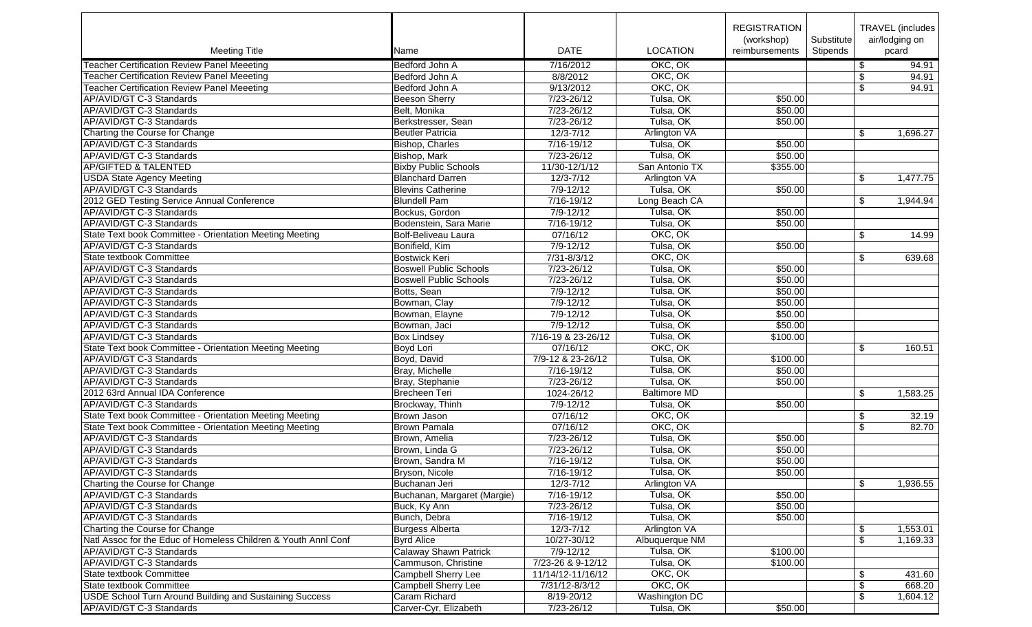|                                                                |                               |                         |                     | <b>REGISTRATION</b>          |                        |                | TRAVEL (includes        |
|----------------------------------------------------------------|-------------------------------|-------------------------|---------------------|------------------------------|------------------------|----------------|-------------------------|
| <b>Meeting Title</b>                                           | Name                          | <b>DATE</b>             | <b>LOCATION</b>     | (workshop)<br>reimbursements | Substitute<br>Stipends |                | air/lodging on<br>pcard |
| <b>Teacher Certification Review Panel Meeeting</b>             | Bedford John A                | 7/16/2012               | OKC, OK             |                              |                        | $\sqrt[6]{2}$  | 94.91                   |
| <b>Teacher Certification Review Panel Meeeting</b>             | Bedford John A                | 8/8/2012                | OKC, OK             |                              |                        |                | 94.91                   |
| <b>Teacher Certification Review Panel Meeeting</b>             | Bedford John A                | 9/13/2012               | OKC, OK             |                              |                        | \$<br>\$       | 94.91                   |
|                                                                |                               |                         | Tulsa, OK           |                              |                        |                |                         |
| AP/AVID/GT C-3 Standards                                       | Beeson Sherry                 | 7/23-26/12              |                     | \$50.00                      |                        |                |                         |
| AP/AVID/GT C-3 Standards                                       | Belt, Monika                  | 7/23-26/12              | Tulsa, OK           | \$50.00                      |                        |                |                         |
| AP/AVID/GT C-3 Standards                                       | Berkstresser, Sean            | 7/23-26/12              | Tulsa, OK           | \$50.00                      |                        |                |                         |
| Charting the Course for Change                                 | <b>Beutler Patricia</b>       | $12/3 - 7/12$           | Arlington VA        |                              |                        | \$             | 1,696.27                |
| AP/AVID/GT C-3 Standards                                       | Bishop, Charles               | 7/16-19/12              | Tulsa, OK           | \$50.00                      |                        |                |                         |
| AP/AVID/GT C-3 Standards                                       | Bishop, Mark                  | $7/23 - 26/12$          | Tulsa, OK           | \$50.00                      |                        |                |                         |
| <b>AP/GIFTED &amp; TALENTED</b>                                | <b>Bixby Public Schools</b>   | 11/30-12/1/12           | San Antonio TX      | \$355.00                     |                        |                |                         |
| <b>USDA State Agency Meeting</b>                               | <b>Blanchard Darren</b>       | $12/3 - 7/12$           | Arlington VA        |                              |                        | \$             | 1,477.75                |
| AP/AVID/GT C-3 Standards                                       | <b>Blevins Catherine</b>      | $7/9 - 12/12$           | Tulsa, OK           | \$50.00                      |                        |                |                         |
| 2012 GED Testing Service Annual Conference                     | <b>Blundell Pam</b>           | 7/16-19/12              | Long Beach CA       |                              |                        | \$             | 1,944.94                |
| AP/AVID/GT C-3 Standards                                       | Bockus, Gordon                | $7/9 - 12/12$           | Tulsa, OK           | \$50.00                      |                        |                |                         |
| AP/AVID/GT C-3 Standards                                       | Bodenstein, Sara Marie        | 7/16-19/12              | Tulsa, OK           | \$50.00                      |                        |                |                         |
| State Text book Committee - Orientation Meeting Meeting        | Bolf-Beliveau Laura           | 07/16/12                | OKC, OK             |                              |                        | \$             | 14.99                   |
| AP/AVID/GT C-3 Standards                                       | Bonifield, Kim                | $7/9 - 12/12$           | Tulsa, OK           | \$50.00                      |                        |                |                         |
| State textbook Committee                                       | <b>Bostwick Keri</b>          | $7/31 - 8/3/12$         | OKC, OK             |                              |                        | \$             | 639.68                  |
| AP/AVID/GT C-3 Standards                                       | <b>Boswell Public Schools</b> | $7/23 - 26/12$          | Tulsa, OK           | \$50.00                      |                        |                |                         |
| AP/AVID/GT C-3 Standards                                       | <b>Boswell Public Schools</b> | $7/23 - 26/12$          | Tulsa, OK           | \$50.00                      |                        |                |                         |
| AP/AVID/GT C-3 Standards                                       | Botts, Sean                   | $7/9 - 12/12$           | Tulsa, OK           | \$50.00                      |                        |                |                         |
| AP/AVID/GT C-3 Standards                                       | Bowman, Clay                  | $7/9 - 12/12$           | Tulsa, OK           | \$50.00                      |                        |                |                         |
| AP/AVID/GT C-3 Standards                                       | Bowman, Elayne                | $7/9 - 12/12$           | Tulsa, OK           | \$50.00                      |                        |                |                         |
| AP/AVID/GT C-3 Standards                                       | Bowman, Jaci                  | $7/9 - 12/12$           | Tulsa, OK           | \$50.00                      |                        |                |                         |
| AP/AVID/GT C-3 Standards                                       | <b>Box Lindsey</b>            | 7/16-19 & 23-26/12      | Tulsa, OK           | \$100.00                     |                        |                |                         |
| State Text book Committee - Orientation Meeting Meeting        | Boyd Lori                     | 07/16/12                | OKC, OK             |                              |                        | \$             | 160.51                  |
| AP/AVID/GT C-3 Standards                                       | Boyd, David                   | 7/9-12 & 23-26/12       | Tulsa, OK           | \$100.00                     |                        |                |                         |
| AP/AVID/GT C-3 Standards                                       | Bray, Michelle                | $\frac{1}{7/16}$ -19/12 | Tulsa, OK           | \$50.00                      |                        |                |                         |
|                                                                |                               | 7/23-26/12              | Tulsa, OK           | \$50.00                      |                        |                |                         |
| AP/AVID/GT C-3 Standards                                       | Bray, Stephanie               |                         |                     |                              |                        |                |                         |
| 2012 63rd Annual IDA Conference                                | <b>Brecheen Teri</b>          | 1024-26/12              | <b>Baltimore MD</b> |                              |                        | \$             | 1,583.25                |
| AP/AVID/GT C-3 Standards                                       | Brockway, Thinh               | $7/9 - 12/12$           | Tulsa, OK           | \$50.00                      |                        |                |                         |
| State Text book Committee - Orientation Meeting Meeting        | Brown Jason                   | 07/16/12                | OKC, OK             |                              |                        | \$             | 32.19                   |
| State Text book Committee - Orientation Meeting Meeting        | Brown Pamala                  | 07/16/12                | OKC, OK             |                              |                        | \$             | 82.70                   |
| AP/AVID/GT C-3 Standards                                       | Brown, Amelia                 | 7/23-26/12              | Tulsa, OK           | \$50.00                      |                        |                |                         |
| AP/AVID/GT C-3 Standards                                       | Brown, Linda G                | 7/23-26/12              | Tulsa, OK           | \$50.00                      |                        |                |                         |
| AP/AVID/GT C-3 Standards                                       | Brown, Sandra M               | 7/16-19/12              | Tulsa, OK           | \$50.00                      |                        |                |                         |
| AP/AVID/GT C-3 Standards                                       | Bryson, Nicole                | 7/16-19/12              | Tulsa, OK           | \$50.00                      |                        |                |                         |
| Charting the Course for Change                                 | Buchanan Jeri                 | 12/3-7/12               | Arlington VA        |                              |                        | $\frac{1}{2}$  | 1,936.55                |
| AP/AVID/GT C-3 Standards                                       | Buchanan, Margaret (Margie)   | 7/16-19/12              | Tulsa, OK           | \$50.00                      |                        |                |                         |
| AP/AVID/GT C-3 Standards                                       | Buck, Ky Ann                  | 7/23-26/12              | Tulsa, OK           | \$50.00                      |                        |                |                         |
| AP/AVID/GT C-3 Standards                                       | Bunch, Debra                  | 7/16-19/12              | Tulsa, OK           | \$50.00                      |                        |                |                         |
| Charting the Course for Change                                 | Burgess Alberta               | 12/3-7/12               | Arlington VA        |                              |                        | \$             | 1,553.01                |
| Natl Assoc for the Educ of Homeless Children & Youth Annl Conf | <b>Byrd Alice</b>             | 10/27-30/12             | Albuquerque NM      |                              |                        | \$             | 1,169.33                |
| AP/AVID/GT C-3 Standards                                       | <b>Calaway Shawn Patrick</b>  | 7/9-12/12               | Tulsa, OK           | \$100.00                     |                        |                |                         |
| AP/AVID/GT C-3 Standards                                       | Cammuson, Christine           | 7/23-26 & 9-12/12       | Tulsa, OK           | \$100.00                     |                        |                |                         |
| State textbook Committee                                       | Campbell Sherry Lee           | 11/14/12-11/16/12       | OKC, OK             |                              |                        | \$             | 431.60                  |
| State textbook Committee                                       | <b>Campbell Sherry Lee</b>    | 7/31/12-8/3/12          | OKC, OK             |                              |                        | $$\mathbb{S}$$ | 668.20                  |
| <b>USDE School Turn Around Building and Sustaining Success</b> | Caram Richard                 | 8/19-20/12              | Washington DC       |                              |                        | \$             | 1,604.12                |
| AP/AVID/GT C-3 Standards                                       | Carver-Cyr, Elizabeth         | 7/23-26/12              | Tulsa, OK           | \$50.00                      |                        |                |                         |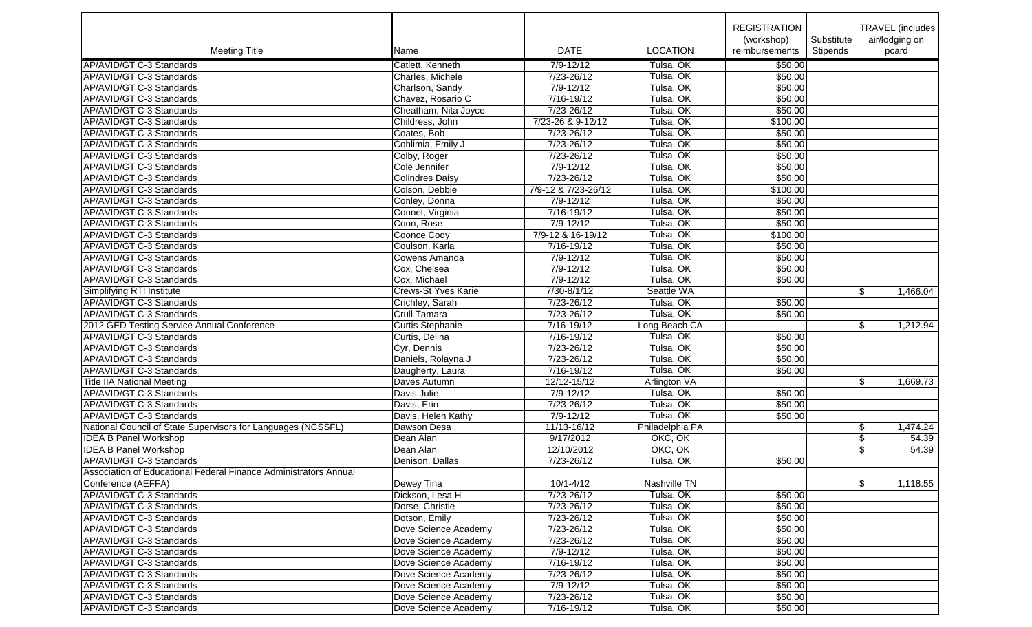|                                                                  |                            |                     |                 | <b>REGISTRATION</b> |            | TRAVEL (includes |          |
|------------------------------------------------------------------|----------------------------|---------------------|-----------------|---------------------|------------|------------------|----------|
|                                                                  |                            |                     |                 | (workshop)          | Substitute | air/lodging on   |          |
| <b>Meeting Title</b>                                             | Name                       | <b>DATE</b>         | <b>LOCATION</b> | reimbursements      | Stipends   | pcard            |          |
| AP/AVID/GT C-3 Standards                                         | Catlett, Kenneth           | $7/9 - 12/12$       | Tulsa, OK       | \$50.00             |            |                  |          |
| AP/AVID/GT C-3 Standards                                         | Charles, Michele           | 7/23-26/12          | Tulsa, OK       | \$50.00             |            |                  |          |
| AP/AVID/GT C-3 Standards                                         | Charlson, Sandy            | $7/9 - 12/12$       | Tulsa, OK       | \$50.00             |            |                  |          |
| AP/AVID/GT C-3 Standards                                         | Chavez, Rosario C          | 7/16-19/12          | Tulsa, OK       | \$50.00             |            |                  |          |
| AP/AVID/GT C-3 Standards                                         | Cheatham, Nita Joyce       | $7/23 - 26/12$      | Tulsa, OK       | \$50.00             |            |                  |          |
| AP/AVID/GT C-3 Standards                                         | Childress, John            | 7/23-26 & 9-12/12   | Tulsa, OK       | \$100.00            |            |                  |          |
| AP/AVID/GT C-3 Standards                                         | Coates, Bob                | 7/23-26/12          | Tulsa, OK       | \$50.00             |            |                  |          |
| AP/AVID/GT C-3 Standards                                         | Cohlimia, Emily J          | 7/23-26/12          | Tulsa, OK       | \$50.00             |            |                  |          |
| AP/AVID/GT C-3 Standards                                         | Colby, Roger               | $7/23 - 26/12$      | Tulsa, OK       | \$50.00             |            |                  |          |
| AP/AVID/GT C-3 Standards                                         | Cole Jennifer              | $7/9 - 12/12$       | Tulsa, OK       | \$50.00             |            |                  |          |
| AP/AVID/GT C-3 Standards                                         | Colindres Daisy            | 7/23-26/12          | Tulsa, OK       | \$50.00             |            |                  |          |
| AP/AVID/GT C-3 Standards                                         | Colson, Debbie             | 7/9-12 & 7/23-26/12 | Tulsa, OK       | \$100.00            |            |                  |          |
| AP/AVID/GT C-3 Standards                                         | Conley, Donna              | $7/9 - 12/12$       | Tulsa, OK       | \$50.00             |            |                  |          |
| AP/AVID/GT C-3 Standards                                         | Connel, Virginia           | 7/16-19/12          | Tulsa, OK       | \$50.00             |            |                  |          |
|                                                                  |                            |                     |                 |                     |            |                  |          |
| AP/AVID/GT C-3 Standards                                         | Coon, Rose                 | $7/9 - 12/12$       | Tulsa, OK       | \$50.00             |            |                  |          |
| AP/AVID/GT C-3 Standards                                         | Coonce Cody                | 7/9-12 & 16-19/12   | Tulsa, OK       | \$100.00            |            |                  |          |
| AP/AVID/GT C-3 Standards                                         | Coulson, Karla             | 7/16-19/12          | Tulsa, OK       | \$50.00             |            |                  |          |
| AP/AVID/GT C-3 Standards                                         | Cowens Amanda              | $7/9 - 12/12$       | Tulsa, OK       | \$50.00             |            |                  |          |
| AP/AVID/GT C-3 Standards                                         | Cox, Chelsea               | $7/9 - 12/12$       | Tulsa, OK       | \$50.00             |            |                  |          |
| AP/AVID/GT C-3 Standards                                         | Cox, Michael               | $7/9 - 12/12$       | Tulsa, OK       | \$50.00             |            |                  |          |
| Simplifying RTI Institute                                        | <b>Crews-St Yves Karie</b> | 7/30-8/1/12         | Seattle WA      |                     |            | \$               | 1,466.04 |
| AP/AVID/GT C-3 Standards                                         | Crichley, Sarah            | 7/23-26/12          | Tulsa, OK       | \$50.00             |            |                  |          |
| AP/AVID/GT C-3 Standards                                         | Crull Tamara               | $7/23 - 26/12$      | Tulsa, OK       | \$50.00             |            |                  |          |
| 2012 GED Testing Service Annual Conference                       | Curtis Stephanie           | $7/16 - 19/12$      | Long Beach CA   |                     |            | $\sqrt[6]{2}$    | 1,212.94 |
| AP/AVID/GT C-3 Standards                                         | Curtis, Delina             | $7/16 - 19/12$      | Tulsa, OK       | \$50.00             |            |                  |          |
| AP/AVID/GT C-3 Standards                                         | Cyr, Dennis                | 7/23-26/12          | Tulsa, OK       | \$50.00             |            |                  |          |
| AP/AVID/GT C-3 Standards                                         | Daniels, Rolayna J         | 7/23-26/12          | Tulsa, OK       | \$50.00             |            |                  |          |
| AP/AVID/GT C-3 Standards                                         | Daugherty, Laura           | $7/16 - 19/12$      | Tulsa, OK       | \$50.00             |            |                  |          |
| <b>Title IIA National Meeting</b>                                | Daves Autumn               | 12/12-15/12         | Arlington VA    |                     |            | \$               | 1,669.73 |
| AP/AVID/GT C-3 Standards                                         | Davis Julie                | $7/9 - 12/12$       | Tulsa, OK       | \$50.00             |            |                  |          |
| AP/AVID/GT C-3 Standards                                         | Davis, Erin                | 7/23-26/12          | Tulsa, OK       | \$50.00             |            |                  |          |
| AP/AVID/GT C-3 Standards                                         | Davis, Helen Kathy         | $7/9 - 12/12$       | Tulsa, OK       | \$50.00             |            |                  |          |
| National Council of State Supervisors for Languages (NCSSFL)     | Dawson Desa                | 11/13-16/12         | Philadelphia PA |                     |            | \$               | 1,474.24 |
| <b>IDEA B Panel Workshop</b>                                     | Dean Alan                  | 9/17/2012           | OKC, OK         |                     |            | \$               | 54.39    |
| <b>IDEA B Panel Workshop</b>                                     | Dean Alan                  | 12/10/2012          | OKC, OK         |                     |            | \$               | 54.39    |
| AP/AVID/GT C-3 Standards                                         | Denison, Dallas            | 7/23-26/12          | Tulsa, OK       | \$50.00             |            |                  |          |
| Association of Educational Federal Finance Administrators Annual |                            |                     |                 |                     |            |                  |          |
| Conference (AEFFA)                                               | Dewey Tina                 | $10/1 - 4/12$       | Nashville TN    |                     |            | \$               | 1,118.55 |
| AP/AVID/GT C-3 Standards                                         | Dickson, Lesa H            | 7/23-26/12          | Tulsa, OK       | \$50.00             |            |                  |          |
| AP/AVID/GT C-3 Standards                                         | Dorse, Christie            | 7/23-26/12          | Tulsa, OK       | \$50.00             |            |                  |          |
| AP/AVID/GT C-3 Standards                                         | Dotson, Emily              | 7/23-26/12          | Tulsa, OK       | \$50.00             |            |                  |          |
| AP/AVID/GT C-3 Standards                                         | Dove Science Academy       | 7/23-26/12          | Tulsa, OK       | \$50.00             |            |                  |          |
| AP/AVID/GT C-3 Standards                                         | Dove Science Academy       | 7/23-26/12          | Tulsa, OK       | \$50.00             |            |                  |          |
| AP/AVID/GT C-3 Standards                                         | Dove Science Academy       | $7/9 - 12/12$       | Tulsa, OK       | \$50.00             |            |                  |          |
| AP/AVID/GT C-3 Standards                                         | Dove Science Academy       | 7/16-19/12          | Tulsa, OK       | \$50.00             |            |                  |          |
| AP/AVID/GT C-3 Standards                                         | Dove Science Academy       | 7/23-26/12          | Tulsa, OK       | \$50.00             |            |                  |          |
| AP/AVID/GT C-3 Standards                                         | Dove Science Academy       | 7/9-12/12           | Tulsa, OK       | \$50.00             |            |                  |          |
| AP/AVID/GT C-3 Standards                                         | Dove Science Academy       | 7/23-26/12          | Tulsa, OK       | \$50.00             |            |                  |          |
| AP/AVID/GT C-3 Standards                                         |                            |                     |                 |                     |            |                  |          |
|                                                                  | Dove Science Academy       | 7/16-19/12          | Tulsa, OK       | \$50.00             |            |                  |          |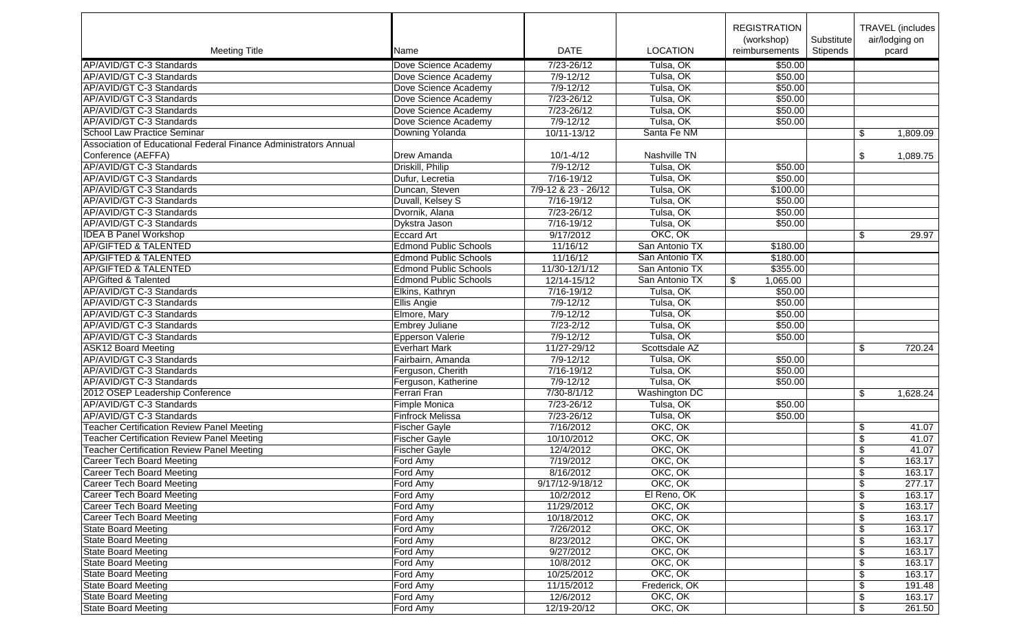|                                                                  |                              |                           |                      | <b>REGISTRATION</b><br>(workshop) | Substitute | TRAVEL (includes)<br>air/lodging on |
|------------------------------------------------------------------|------------------------------|---------------------------|----------------------|-----------------------------------|------------|-------------------------------------|
| <b>Meeting Title</b>                                             | Name                         | <b>DATE</b>               | <b>LOCATION</b>      | reimbursements                    | Stipends   | pcard                               |
| AP/AVID/GT C-3 Standards                                         | Dove Science Academy         | 7/23-26/12                | Tulsa, OK            | \$50.00                           |            |                                     |
| AP/AVID/GT C-3 Standards                                         | Dove Science Academy         | $7/9 - 12/12$             | Tulsa, OK            | \$50.00                           |            |                                     |
| AP/AVID/GT C-3 Standards                                         | Dove Science Academy         | $7/9 - 12/12$             | Tulsa, OK            | \$50.00                           |            |                                     |
| AP/AVID/GT C-3 Standards                                         | Dove Science Academy         | 7/23-26/12                | Tulsa, OK            | \$50.00                           |            |                                     |
| AP/AVID/GT C-3 Standards                                         | Dove Science Academy         | 7/23-26/12                | Tulsa, OK            | \$50.00                           |            |                                     |
| AP/AVID/GT C-3 Standards                                         | Dove Science Academy         | $7/9 - 12/12$             | Tulsa, OK            | \$50.00                           |            |                                     |
| School Law Practice Seminar                                      | Downing Yolanda              | 10/11-13/12               | Santa Fe NM          |                                   |            | \$<br>1,809.09                      |
| Association of Educational Federal Finance Administrators Annual |                              |                           |                      |                                   |            |                                     |
| Conference (AEFFA)                                               | Drew Amanda                  | $10/1 - 4/12$             | Nashville TN         |                                   |            | \$<br>1,089.75                      |
| AP/AVID/GT C-3 Standards                                         | Driskill, Philip             | $7/9 - 12/12$             | Tulsa, OK            | \$50.00                           |            |                                     |
| AP/AVID/GT C-3 Standards                                         | Dufur, Lecretia              | $7/16 - 19/12$            | Tulsa, OK            | \$50.00                           |            |                                     |
| AP/AVID/GT C-3 Standards                                         | Duncan, Steven               | 7/9-12 & 23 - 26/12       | Tulsa, OK            | \$100.00                          |            |                                     |
| AP/AVID/GT C-3 Standards                                         | Duvall, Kelsey S             | $\overline{7/16} - 19/12$ | Tulsa, OK            | \$50.00                           |            |                                     |
| AP/AVID/GT C-3 Standards                                         | Dvornik, Alana               | 7/23-26/12                | Tulsa, OK            | \$50.00                           |            |                                     |
| AP/AVID/GT C-3 Standards                                         | Dykstra Jason                | 7/16-19/12                | Tulsa, OK            | \$50.00                           |            |                                     |
| <b>IDEA B Panel Workshop</b>                                     | Eccard Art                   | 9/17/2012                 | OKC, OK              |                                   |            | \$<br>29.97                         |
| <b>AP/GIFTED &amp; TALENTED</b>                                  | <b>Edmond Public Schools</b> | 11/16/12                  | San Antonio TX       | \$180.00                          |            |                                     |
| <b>AP/GIFTED &amp; TALENTED</b>                                  | <b>Edmond Public Schools</b> | 11/16/12                  | San Antonio TX       | \$180.00                          |            |                                     |
| <b>AP/GIFTED &amp; TALENTED</b>                                  | <b>Edmond Public Schools</b> | 11/30-12/1/12             | San Antonio TX       | \$355.00                          |            |                                     |
| <b>AP/Gifted &amp; Talented</b>                                  | <b>Edmond Public Schools</b> |                           |                      | 1,065.00                          |            |                                     |
|                                                                  |                              | 12/14-15/12               | San Antonio TX       | \$                                |            |                                     |
| AP/AVID/GT C-3 Standards                                         | Elkins, Kathryn              | 7/16-19/12                | Tulsa, OK            | \$50.00                           |            |                                     |
| AP/AVID/GT C-3 Standards                                         | <b>Ellis Angie</b>           | $7/9 - 12/12$             | Tulsa, OK            | \$50.00                           |            |                                     |
| AP/AVID/GT C-3 Standards                                         | Elmore, Mary                 | $7/9 - 12/12$             | Tulsa, OK            | \$50.00                           |            |                                     |
| AP/AVID/GT C-3 Standards                                         | <b>Embrey Juliane</b>        | $7/23 - 2/12$             | Tulsa, OK            | \$50.00                           |            |                                     |
| AP/AVID/GT C-3 Standards                                         | Epperson Valerie             | $7/9 - 12/12$             | Tulsa, OK            | \$50.00                           |            |                                     |
| <b>ASK12 Board Meeting</b>                                       | <b>Everhart Mark</b>         | 11/27-29/12               | Scottsdale AZ        |                                   |            | \$<br>720.24                        |
| AP/AVID/GT C-3 Standards                                         | Fairbairn, Amanda            | $7/9 - 12/12$             | Tulsa, OK            | \$50.00                           |            |                                     |
| AP/AVID/GT C-3 Standards                                         | Ferguson, Cherith            | 7/16-19/12                | Tulsa, OK            | \$50.00                           |            |                                     |
| AP/AVID/GT C-3 Standards                                         | Ferguson, Katherine          | $7/9 - 12/12$             | Tulsa, OK            | \$50.00                           |            |                                     |
| 2012 OSEP Leadership Conference                                  | Ferrari Fran                 | 7/30-8/1/12               | <b>Washington DC</b> |                                   |            | \$<br>1,628.24                      |
| AP/AVID/GT C-3 Standards                                         | Fimple Monica                | 7/23-26/12                | Tulsa, OK            | \$50.00                           |            |                                     |
| AP/AVID/GT C-3 Standards                                         | Finfrock Melissa             | 7/23-26/12                | Tulsa, OK            | \$50.00                           |            |                                     |
| <b>Teacher Certification Review Panel Meeting</b>                | Fischer Gayle                | 7/16/2012                 | OKC, OK              |                                   |            | 41.07<br>\$                         |
| <b>Teacher Certification Review Panel Meeting</b>                | <b>Fischer Gayle</b>         | 10/10/2012                | OKC, OK              |                                   |            | \$<br>41.07                         |
| <b>Teacher Certification Review Panel Meeting</b>                | Fischer Gayle                | 12/4/2012                 | OKC, OK              |                                   |            | \$<br>41.07                         |
| <b>Career Tech Board Meeting</b>                                 | Ford Amy                     | 7/19/2012                 | OKC, OK              |                                   |            | \$<br>163.17                        |
| Career Tech Board Meeting                                        | Ford Amy                     | 8/16/2012                 | OKC, OK              |                                   |            | 163.17<br>\$                        |
| Career Tech Board Meeting                                        | Ford Amy                     | 9/17/12-9/18/12           | OKC, OK              |                                   |            | \$<br>277.17                        |
| Career Tech Board Meeting                                        | Ford Amy                     | 10/2/2012                 | El Reno, OK          |                                   |            | \$<br>163.17                        |
| Career Tech Board Meeting                                        | Ford Amy                     | 11/29/2012                | OKC, OK              |                                   |            | 163.17<br>\$                        |
| <b>Career Tech Board Meeting</b>                                 | Ford Amy                     | 10/18/2012                | OKC, OK              |                                   |            | \$<br>163.17                        |
| <b>State Board Meeting</b>                                       | Ford Amy                     | 7/26/2012                 | OKC, OK              |                                   |            | \$<br>163.17                        |
| State Board Meeting                                              | Ford Amy                     | 8/23/2012                 | OKC, OK              |                                   |            | \$<br>163.17                        |
| <b>State Board Meeting</b>                                       | Ford Amy                     | 9/27/2012                 | OKC, OK              |                                   |            | \$<br>163.17                        |
| State Board Meeting                                              | Ford Amy                     | 10/8/2012                 | OKC, OK              |                                   |            | \$<br>163.17                        |
| State Board Meeting                                              | Ford Amy                     | 10/25/2012                | OKC, OK              |                                   |            | \$<br>163.17                        |
| State Board Meeting                                              | Ford Amy                     | 11/15/2012                | Frederick, OK        |                                   |            | \$<br>191.48                        |
| State Board Meeting                                              | Ford Amy                     | 12/6/2012                 | OKC, OK              |                                   |            | \$<br>163.17                        |
| State Board Meeting                                              | Ford Amy                     | 12/19-20/12               | OKC, OK              |                                   |            | \$<br>261.50                        |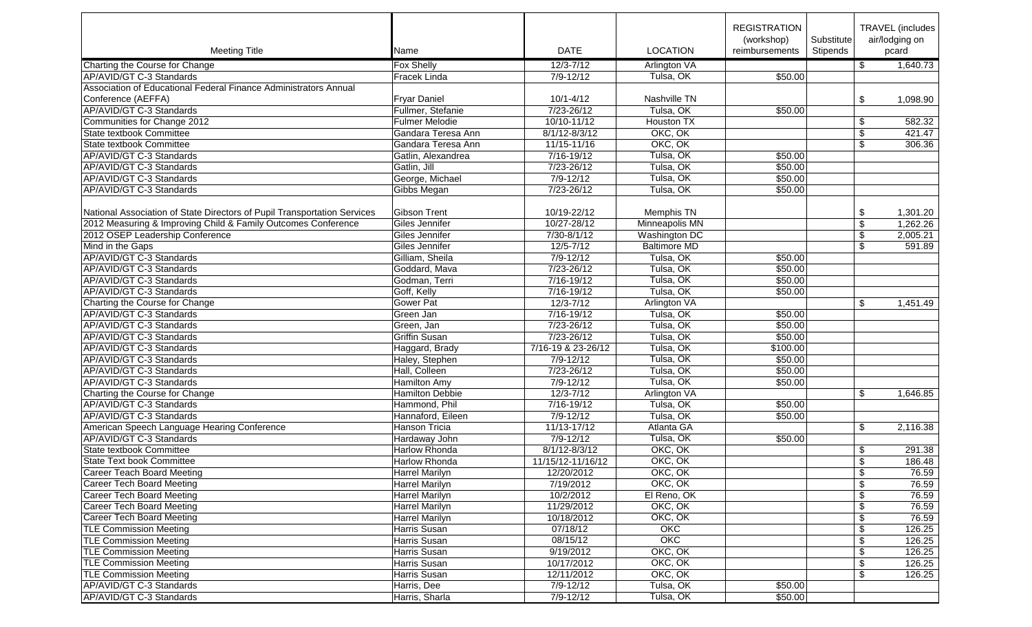|                                                                          |                        |                      |                      | <b>REGISTRATION</b><br>(workshop) | Substitute |                         | TRAVEL (includes  <br>air/lodging on |
|--------------------------------------------------------------------------|------------------------|----------------------|----------------------|-----------------------------------|------------|-------------------------|--------------------------------------|
| <b>Meeting Title</b>                                                     | Name                   | <b>DATE</b>          | <b>LOCATION</b>      | reimbursements                    | Stipends   |                         | pcard                                |
| Charting the Course for Change                                           | Fox Shelly             | $12/3 - 7/12$        | Arlington VA         |                                   |            | \$                      | 1,640.73                             |
| AP/AVID/GT C-3 Standards                                                 | Fracek Linda           | $7/9 - 12/12$        | Tulsa, OK            | \$50.00                           |            |                         |                                      |
| Association of Educational Federal Finance Administrators Annual         |                        |                      |                      |                                   |            |                         |                                      |
| Conference (AEFFA)                                                       | <b>Fryar Daniel</b>    | $10/1 - 4/12$        | Nashville TN         |                                   |            | \$                      | 1,098.90                             |
| AP/AVID/GT C-3 Standards                                                 | Fullmer, Stefanie      | 7/23-26/12           | Tulsa, OK            | \$50.00                           |            |                         |                                      |
| Communities for Change 2012                                              | <b>Fulmer Melodie</b>  | $10/10 - 11/12$      | <b>Houston TX</b>    |                                   |            | \$                      | 582.32                               |
| State textbook Committee                                                 | Gandara Teresa Ann     | 8/1/12-8/3/12        | OKC, OK              |                                   |            | $\sqrt[6]{\frac{1}{2}}$ | 421.47                               |
| State textbook Committee                                                 | Gandara Teresa Ann     | 11/15-11/16          | OKC, OK              |                                   |            | \$                      | 306.36                               |
| AP/AVID/GT C-3 Standards                                                 | Gatlin, Alexandrea     | 7/16-19/12           | Tulsa, OK            | \$50.00                           |            |                         |                                      |
| AP/AVID/GT C-3 Standards                                                 | Gatlin, Jill           | 7/23-26/12           | Tulsa, OK            | \$50.00                           |            |                         |                                      |
| AP/AVID/GT C-3 Standards                                                 | George, Michael        | $7/9 - 12/12$        | Tulsa, OK            | \$50.00                           |            |                         |                                      |
| AP/AVID/GT C-3 Standards                                                 | Gibbs Megan            | 7/23-26/12           | Tulsa, OK            | \$50.00                           |            |                         |                                      |
|                                                                          |                        |                      |                      |                                   |            |                         |                                      |
| National Association of State Directors of Pupil Transportation Services | Gibson Trent           | 10/19-22/12          | Memphis TN           |                                   |            | \$                      | 1,301.20                             |
| 2012 Measuring & Improving Child & Family Outcomes Conference            | Giles Jennifer         | 10/27-28/12          | Minneapolis MN       |                                   |            | \$                      | 1,262.26                             |
| 2012 OSEP Leadership Conference                                          | Giles Jennifer         | $7/30 - 8/1/12$      | <b>Washington DC</b> |                                   |            | \$                      | 2,005.21                             |
| Mind in the Gaps                                                         | Giles Jennifer         | $12/5 - 7/12$        | <b>Baltimore MD</b>  |                                   |            | $\overline{\$}$         | 591.89                               |
| AP/AVID/GT C-3 Standards                                                 | Gilliam, Sheila        | $7/9 - 12/12$        | Tulsa, OK            | \$50.00                           |            |                         |                                      |
| AP/AVID/GT C-3 Standards                                                 | Goddard, Mava          | 7/23-26/12           | Tulsa, OK            | \$50.00                           |            |                         |                                      |
| AP/AVID/GT C-3 Standards                                                 | Godman, Terri          | 7/16-19/12           | Tulsa, OK            | \$50.00                           |            |                         |                                      |
| AP/AVID/GT C-3 Standards                                                 | Goff, Kelly            | 7/16-19/12           | Tulsa, OK            | \$50.00                           |            |                         |                                      |
| Charting the Course for Change                                           | <b>Gower Pat</b>       | $12/3 - 7/12$        | <b>Arlington VA</b>  |                                   |            | \$                      | 1,451.49                             |
| AP/AVID/GT C-3 Standards                                                 | Green Jan              | $7/16 - 19/12$       | Tulsa, OK            | \$50.00                           |            |                         |                                      |
| AP/AVID/GT C-3 Standards                                                 | Green, Jan             | 7/23-26/12           | Tulsa, OK            | \$50.00                           |            |                         |                                      |
| AP/AVID/GT C-3 Standards                                                 | <b>Griffin Susan</b>   | 7/23-26/12           | Tulsa, OK            | \$50.00                           |            |                         |                                      |
| AP/AVID/GT C-3 Standards                                                 | Haggard, Brady         | 7/16-19 & 23-26/12   | Tulsa, OK            | \$100.00                          |            |                         |                                      |
| AP/AVID/GT C-3 Standards                                                 | Haley, Stephen         | $7/9 - 12/12$        | Tulsa, OK            | \$50.00                           |            |                         |                                      |
| AP/AVID/GT C-3 Standards                                                 | Hall, Colleen          | $7/23 - 26/12$       | Tulsa, OK            | \$50.00                           |            |                         |                                      |
| AP/AVID/GT C-3 Standards                                                 | <b>Hamilton Amy</b>    | $7/9 - 12/12$        | Tulsa, OK            | \$50.00                           |            |                         |                                      |
| Charting the Course for Change                                           | <b>Hamilton Debbie</b> | $12/3 - 7/12$        | Arlington VA         |                                   |            | \$                      | 1,646.85                             |
| AP/AVID/GT C-3 Standards                                                 | Hammond, Phil          | 7/16-19/12           | Tulsa, OK            | \$50.00                           |            |                         |                                      |
| AP/AVID/GT C-3 Standards                                                 | Hannaford, Eileen      | $7/9 - 12/12$        | Tulsa, OK            | \$50.00                           |            |                         |                                      |
| American Speech Language Hearing Conference                              | <b>Hanson Tricia</b>   | 11/13-17/12          | Atlanta GA           |                                   |            | \$                      | 2,116.38                             |
| AP/AVID/GT C-3 Standards                                                 | Hardaway John          | 7/9-12/12            | Tulsa, OK            | \$50.00                           |            |                         |                                      |
| State textbook Committee                                                 | <b>Harlow Rhonda</b>   | $8/1/12 - 8/3/12$    | OKC, OK              |                                   |            | \$                      | 291.38                               |
| <b>State Text book Committee</b>                                         | <b>Harlow Rhonda</b>   | 11/15/12-11/16/12    | OKC, OK              |                                   |            | \$                      | 186.48                               |
| <b>Career Teach Board Meeting</b>                                        | <b>Harrel Marilyn</b>  | 12/20/2012           | OKC, OK              |                                   |            | $\overline{\$}$         | 76.59                                |
| <b>Career Tech Board Meeting</b>                                         | <b>Harrel Marilyn</b>  | 7/19/2012            | OKC, OK              |                                   |            | \$                      | 76.59                                |
| <b>Career Tech Board Meeting</b>                                         | <b>Harrel Marilyn</b>  | 10/2/2012            | El Reno, OK          |                                   |            |                         | 76.59                                |
| <b>Career Tech Board Meeting</b>                                         | <b>Harrel Marilyn</b>  | 11/29/2012           | OKC, OK              |                                   |            | S.                      | 76.59                                |
| <b>Career Tech Board Meeting</b>                                         | <b>Harrel Marilyn</b>  | 10/18/2012           | OKC, OK              |                                   |            | \$                      | 76.59                                |
| <b>TLE Commission Meeting</b>                                            | Harris Susan           | 07/18/12             | OKC                  |                                   |            | $\overline{\$}$         | 126.25                               |
| <b>TLE Commission Meeting</b>                                            | Harris Susan           | 08/15/12             | OKC                  |                                   |            | \$                      | 126.25                               |
| <b>TLE Commission Meeting</b>                                            | Harris Susan           | 9/19/2012            | OKC, OK              |                                   |            | \$                      | 126.25                               |
| <b>TLE Commission Meeting</b>                                            | Harris Susan           | 10/17/2012           | OKC, OK              |                                   |            | \$                      | 126.25                               |
| <b>TLE Commission Meeting</b>                                            | Harris Susan           | 12/11/2012           | OKC, OK              |                                   |            | \$                      | 126.25                               |
| AP/AVID/GT C-3 Standards                                                 | Harris, Dee            | $\frac{7}{9}$ -12/12 | Tulsa, OK            | $\sqrt{$50.00}$                   |            |                         |                                      |
| AP/AVID/GT C-3 Standards                                                 | Harris, Sharla         | $7/9 - 12/12$        | Tulsa, OK            | \$50.00                           |            |                         |                                      |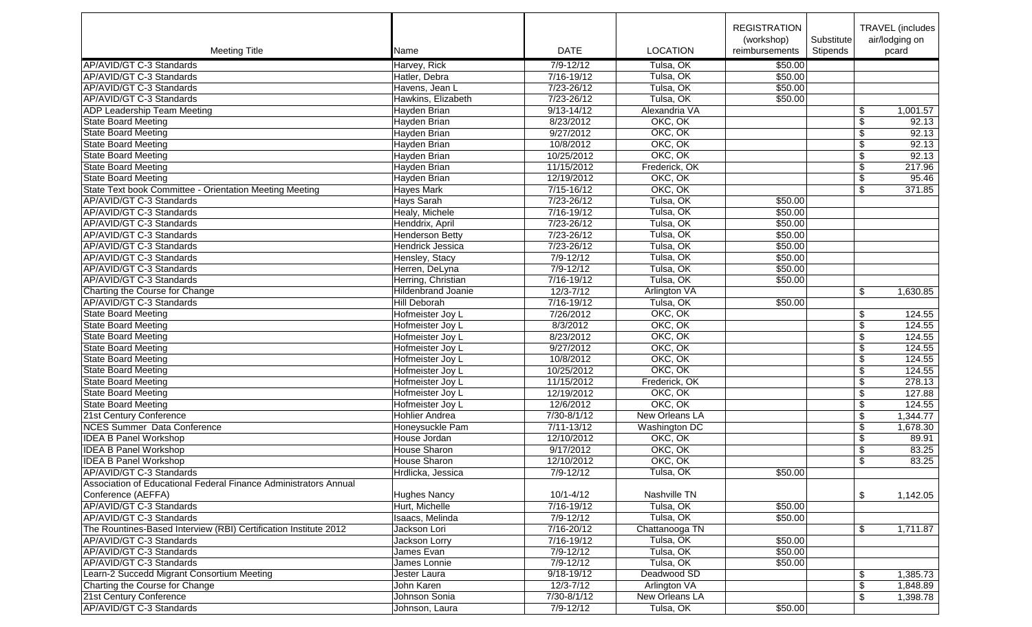|                                                                  |                           |                 |                       | <b>REGISTRATION</b> |            | <b>TRAVEL</b> (includes     |       |
|------------------------------------------------------------------|---------------------------|-----------------|-----------------------|---------------------|------------|-----------------------------|-------|
|                                                                  |                           |                 |                       | (workshop)          | Substitute | air/lodging on              |       |
| <b>Meeting Title</b>                                             | Name                      | <b>DATE</b>     | <b>LOCATION</b>       | reimbursements      | Stipends   | pcard                       |       |
| AP/AVID/GT C-3 Standards                                         | Harvey, Rick              | $7/9 - 12/12$   | Tulsa, OK             | \$50.00             |            |                             |       |
| AP/AVID/GT C-3 Standards                                         | Hatler, Debra             | $7/16 - 19/12$  | Tulsa, OK             | \$50.00             |            |                             |       |
| AP/AVID/GT C-3 Standards                                         | Havens, Jean L            | $7/23 - 26/12$  | Tulsa, OK             | \$50.00             |            |                             |       |
| AP/AVID/GT C-3 Standards                                         | Hawkins, Elizabeth        | 7/23-26/12      | Tulsa, OK             | \$50.00             |            |                             |       |
| ADP Leadership Team Meeting                                      | Hayden Brian              | $9/13 - 14/12$  | Alexandria VA         |                     |            | 1,001.57<br>\$              |       |
| <b>State Board Meeting</b>                                       | Hayden Brian              | 8/23/2012       | OKC, OK               |                     |            | \$                          | 92.13 |
| <b>State Board Meeting</b>                                       | Hayden Brian              | 9/27/2012       | OKC, OK               |                     |            | \$                          | 92.13 |
| <b>State Board Meeting</b>                                       | Hayden Brian              | 10/8/2012       | OKC, OK               |                     |            | \$                          | 92.13 |
| <b>State Board Meeting</b>                                       | Hayden Brian              | 10/25/2012      | OKC, OK               |                     |            | \$                          | 92.13 |
| <b>State Board Meeting</b>                                       | Hayden Brian              | 11/15/2012      | Frederick, OK         |                     |            | \$<br>217.96                |       |
| <b>State Board Meeting</b>                                       | Hayden Brian              | 12/19/2012      | OKC, OK               |                     |            | \$                          | 95.46 |
| State Text book Committee - Orientation Meeting Meeting          | <b>Hayes Mark</b>         | $7/15 - 16/12$  | OKC, OK               |                     |            | 371.85<br>\$                |       |
| AP/AVID/GT C-3 Standards                                         | Hays Sarah                | 7/23-26/12      | Tulsa, OK             | \$50.00             |            |                             |       |
| AP/AVID/GT C-3 Standards                                         | Healy, Michele            | 7/16-19/12      | Tulsa, OK             | \$50.00             |            |                             |       |
| AP/AVID/GT C-3 Standards                                         | Henddrix, April           | 7/23-26/12      | Tulsa, OK             | \$50.00             |            |                             |       |
| AP/AVID/GT C-3 Standards                                         | <b>Henderson Betty</b>    | $7/23 - 26/12$  | Tulsa, OK             | \$50.00             |            |                             |       |
| AP/AVID/GT C-3 Standards                                         | Hendrick Jessica          | 7/23-26/12      | Tulsa, OK             | \$50.00             |            |                             |       |
| AP/AVID/GT C-3 Standards                                         |                           | $7/9 - 12/12$   | Tulsa, OK             | \$50.00             |            |                             |       |
|                                                                  | Hensley, Stacy            |                 | Tulsa, OK             |                     |            |                             |       |
| AP/AVID/GT C-3 Standards                                         | Herren, DeLyna            | $7/9 - 12/12$   | Tulsa, OK             | \$50.00             |            |                             |       |
| AP/AVID/GT C-3 Standards                                         | Herring, Christian        | 7/16-19/12      |                       | \$50.00             |            |                             |       |
| Charting the Course for Change                                   | <b>Hildenbrand Joanie</b> | $12/3 - 7/12$   | <b>Arlington VA</b>   |                     |            | \$<br>1,630.85              |       |
| AP/AVID/GT C-3 Standards                                         | Hill Deborah              | 7/16-19/12      | Tulsa, OK             | \$50.00             |            |                             |       |
| <b>State Board Meeting</b>                                       | Hofmeister Joy L          | 7/26/2012       | OKC, OK               |                     |            | \$<br>124.55                |       |
| <b>State Board Meeting</b>                                       | Hofmeister Joy L          | 8/3/2012        | OKC, OK               |                     |            | \$<br>124.55                |       |
| <b>State Board Meeting</b>                                       | Hofmeister Joy L          | 8/23/2012       | OKC, OK               |                     |            | $\overline{\$}$<br>124.55   |       |
| <b>State Board Meeting</b>                                       | Hofmeister Joy L          | 9/27/2012       | OKC, OK               |                     |            | \$<br>124.55                |       |
| <b>State Board Meeting</b>                                       | Hofmeister Joy L          | 10/8/2012       | OKC, OK               |                     |            | \$<br>124.55                |       |
| <b>State Board Meeting</b>                                       | Hofmeister Joy L          | 10/25/2012      | OKC, OK               |                     |            | 124.55<br>\$                |       |
| <b>State Board Meeting</b>                                       | Hofmeister Joy L          | 11/15/2012      | Frederick, OK         |                     |            | \$<br>278.13                |       |
| <b>State Board Meeting</b>                                       | Hofmeister Joy L          | 12/19/2012      | OKC, OK               |                     |            | \$<br>127.88                |       |
| <b>State Board Meeting</b>                                       | Hofmeister Joy L          | 12/6/2012       | OKC, OK               |                     |            | \$<br>124.55                |       |
| 21st Century Conference                                          | <b>Hohlier Andrea</b>     | 7/30-8/1/12     | New Orleans LA        |                     |            | \$<br>1,344.77              |       |
| <b>NCES Summer Data Conference</b>                               | Honeysuckle Pam           | $7/11 - 13/12$  | <b>Washington DC</b>  |                     |            | \$<br>1,678.30              |       |
| <b>IDEA B Panel Workshop</b>                                     | House Jordan              | 12/10/2012      | OKC, OK               |                     |            | \$                          | 89.91 |
| <b>IDEA B Panel Workshop</b>                                     | House Sharon              | 9/17/2012       | OKC, OK               |                     |            | \$                          | 83.25 |
| <b>IDEA B Panel Workshop</b>                                     | House Sharon              | 12/10/2012      | OKC, OK               |                     |            | $\overline{\$}$             | 83.25 |
| AP/AVID/GT C-3 Standards                                         | Hrdlicka, Jessica         | $7/9 - 12/12$   | Tulsa, OK             | \$50.00             |            |                             |       |
| Association of Educational Federal Finance Administrators Annual |                           |                 |                       |                     |            |                             |       |
| Conference (AEFFA)                                               | <b>Hughes Nancy</b>       | $10/1 - 4/12$   | Nashville TN          |                     |            | 1,142.05<br>\$              |       |
| AP/AVID/GT C-3 Standards                                         | Hurt, Michelle            | 7/16-19/12      | Tulsa, OK             | \$50.00             |            |                             |       |
| AP/AVID/GT C-3 Standards                                         | Isaacs, Melinda           | 7/9-12/12       | Tulsa, OK             | \$50.00             |            |                             |       |
| The Rountines-Based Interview (RBI) Certification Institute 2012 | Jackson Lori              | 7/16-20/12      | Chattanooga TN        |                     |            | \$<br>1,711.87              |       |
| AP/AVID/GT C-3 Standards                                         | Jackson Lorry             | 7/16-19/12      | Tulsa, OK             | \$50.00             |            |                             |       |
| AP/AVID/GT C-3 Standards                                         | James Evan                | $7/9 - 12/12$   | Tulsa, OK             | \$50.00             |            |                             |       |
| AP/AVID/GT C-3 Standards                                         | James Lonnie              | 7/9-12/12       | Tulsa, OK             | \$50.00             |            |                             |       |
| Learn-2 Succedd Migrant Consortium Meeting                       | Jester Laura              | $9/18 - 19/12$  | Deadwood SD           |                     |            | 1,385.73<br>\$              |       |
| Charting the Course for Change                                   | John Karen                | $12/3 - 7/12$   | Arlington VA          |                     |            | $\overline{\$}$<br>1,848.89 |       |
| 21st Century Conference                                          | Johnson Sonia             | $7/30 - 8/1/12$ | <b>New Orleans LA</b> |                     |            | \$<br>1,398.78              |       |
| AP/AVID/GT C-3 Standards                                         | Johnson, Laura            | $7/9 - 12/12$   | Tulsa, OK             | \$50.00             |            |                             |       |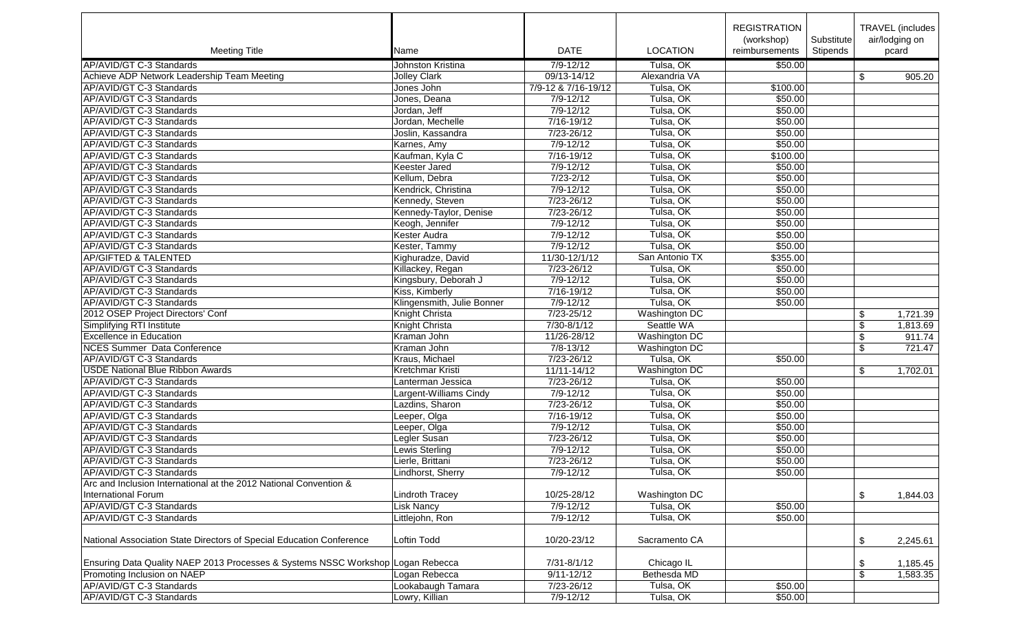| <b>Meeting Title</b>                                                            | Name                       | <b>DATE</b>         | <b>LOCATION</b> | <b>REGISTRATION</b><br>(workshop)<br>reimbursements | Substitute<br>Stipends | <b>TRAVEL</b> (includes<br>air/lodging on<br>pcard |
|---------------------------------------------------------------------------------|----------------------------|---------------------|-----------------|-----------------------------------------------------|------------------------|----------------------------------------------------|
| AP/AVID/GT C-3 Standards                                                        | Johnston Kristina          | $7/9 - 12/12$       | Tulsa, OK       | \$50.00                                             |                        |                                                    |
| Achieve ADP Network Leadership Team Meeting                                     | <b>Jolley Clark</b>        | 09/13-14/12         | Alexandria VA   |                                                     |                        | \$<br>905.20                                       |
| AP/AVID/GT C-3 Standards                                                        | Jones John                 | 7/9-12 & 7/16-19/12 | Tulsa, OK       | \$100.00                                            |                        |                                                    |
| AP/AVID/GT C-3 Standards                                                        | Jones, Deana               | 7/9-12/12           | Tulsa, OK       | \$50.00                                             |                        |                                                    |
| AP/AVID/GT C-3 Standards                                                        | Jordan, Jeff               | $7/9 - 12/12$       | Tulsa, OK       | \$50.00                                             |                        |                                                    |
| AP/AVID/GT C-3 Standards                                                        | Jordan, Mechelle           | 7/16-19/12          | Tulsa, OK       | \$50.00                                             |                        |                                                    |
| AP/AVID/GT C-3 Standards                                                        | Joslin, Kassandra          | 7/23-26/12          | Tulsa, OK       | \$50.00                                             |                        |                                                    |
| AP/AVID/GT C-3 Standards                                                        | Karnes, Amy                | 7/9-12/12           | Tulsa, OK       | \$50.00                                             |                        |                                                    |
| AP/AVID/GT C-3 Standards                                                        | Kaufman, Kyla C            | 7/16-19/12          | Tulsa, OK       | \$100.00                                            |                        |                                                    |
| AP/AVID/GT C-3 Standards                                                        | <b>Keester Jared</b>       | $7/9 - 12/12$       | Tulsa, OK       | \$50.00                                             |                        |                                                    |
| AP/AVID/GT C-3 Standards                                                        | Kellum, Debra              | $7/23 - 2/12$       | Tulsa, OK       | \$50.00                                             |                        |                                                    |
| AP/AVID/GT C-3 Standards                                                        | Kendrick, Christina        | $7/9 - 12/12$       | Tulsa, OK       | \$50.00                                             |                        |                                                    |
| AP/AVID/GT C-3 Standards                                                        | Kennedy, Steven            | 7/23-26/12          | Tulsa, OK       | \$50.00                                             |                        |                                                    |
| AP/AVID/GT C-3 Standards                                                        | Kennedy-Taylor, Denise     | 7/23-26/12          | Tulsa, OK       | \$50.00                                             |                        |                                                    |
| AP/AVID/GT C-3 Standards                                                        | Keogh, Jennifer            | $7/9 - 12/12$       | Tulsa, OK       | \$50.00                                             |                        |                                                    |
| AP/AVID/GT C-3 Standards                                                        | Kester Audra               | $7/9 - 12/12$       | Tulsa, OK       | \$50.00                                             |                        |                                                    |
| AP/AVID/GT C-3 Standards                                                        | Kester, Tammy              | $7/9 - 12/12$       | Tulsa, OK       | \$50.00                                             |                        |                                                    |
| <b>AP/GIFTED &amp; TALENTED</b>                                                 | Kighuradze, David          | 11/30-12/1/12       | San Antonio TX  | \$355.00                                            |                        |                                                    |
| AP/AVID/GT C-3 Standards                                                        | Killackey, Regan           | $7/23 - 26/12$      | Tulsa, OK       | \$50.00                                             |                        |                                                    |
| AP/AVID/GT C-3 Standards                                                        | Kingsbury, Deborah J       | $7/9 - 12/12$       | Tulsa, OK       | \$50.00                                             |                        |                                                    |
| AP/AVID/GT C-3 Standards                                                        | Kiss, Kimberly             | $7/16 - 19/12$      | Tulsa, OK       | \$50.00                                             |                        |                                                    |
| AP/AVID/GT C-3 Standards                                                        | Klingensmith, Julie Bonner | $7/9 - 12/12$       | Tulsa, OK       | \$50.00                                             |                        |                                                    |
| 2012 OSEP Project Directors' Conf                                               | Knight Christa             | $7/23 - 25/12$      | Washington DC   |                                                     |                        | \$<br>1,721.39                                     |
| <b>Simplifying RTI Institute</b>                                                | Knight Christa             | $7/30 - 8/1/12$     | Seattle WA      |                                                     |                        | $\sqrt[6]{\frac{1}{2}}$<br>1,813.69                |
| <b>Excellence in Education</b>                                                  | Kraman John                | 11/26-28/12         | Washington DC   |                                                     |                        | \$<br>911.74                                       |
| <b>NCES Summer Data Conference</b>                                              | Kraman John                | $7/8 - 13/12$       | Washington DC   |                                                     |                        | \$<br>721.47                                       |
| AP/AVID/GT C-3 Standards                                                        | Kraus, Michael             | 7/23-26/12          | Tulsa, OK       | \$50.00                                             |                        |                                                    |
| USDE National Blue Ribbon Awards                                                | Kretchmar Kristi           | 11/11-14/12         | Washington DC   |                                                     |                        | \$<br>1,702.01                                     |
| AP/AVID/GT C-3 Standards                                                        | Lanterman Jessica          | 7/23-26/12          | Tulsa, OK       | \$50.00                                             |                        |                                                    |
| AP/AVID/GT C-3 Standards                                                        | Largent-Williams Cindy     | $7/9 - 12/12$       | Tulsa, OK       | \$50.00                                             |                        |                                                    |
| AP/AVID/GT C-3 Standards                                                        | Lazdins, Sharon            | 7/23-26/12          | Tulsa, OK       | \$50.00                                             |                        |                                                    |
| AP/AVID/GT C-3 Standards                                                        | Leeper, Olga               | 7/16-19/12          | Tulsa, OK       | \$50.00                                             |                        |                                                    |
| AP/AVID/GT C-3 Standards                                                        | Leeper, Olga               | 7/9-12/12           | Tulsa, OK       | \$50.00                                             |                        |                                                    |
| AP/AVID/GT C-3 Standards                                                        | Legler Susan               | 7/23-26/12          | Tulsa, OK       | \$50.00                                             |                        |                                                    |
| AP/AVID/GT C-3 Standards                                                        | Lewis Sterling             | $7/9 - 12/12$       | Tulsa, OK       | \$50.00                                             |                        |                                                    |
| AP/AVID/GT C-3 Standards                                                        | Lierle, Brittani           | 7/23-26/12          | Tulsa, OK       | \$50.00                                             |                        |                                                    |
| AP/AVID/GT C-3 Standards                                                        | Lindhorst, Sherry          | $7/9 - 12/12$       | Tulsa, OK       | \$50.00                                             |                        |                                                    |
| Arc and Inclusion International at the 2012 National Convention &               |                            |                     |                 |                                                     |                        |                                                    |
| <b>International Forum</b>                                                      | Lindroth Tracey            | 10/25-28/12         | Washington DC   |                                                     |                        | \$<br>1,844.03                                     |
| AP/AVID/GT C-3 Standards                                                        | <b>Lisk Nancy</b>          | $7/9 - 12/12$       | Tulsa, OK       | \$50.00                                             |                        |                                                    |
| AP/AVID/GT C-3 Standards                                                        | Littlejohn, Ron            | 7/9-12/12           | Tulsa, OK       | \$50.00                                             |                        |                                                    |
| National Association State Directors of Special Education Conference            | <b>Loftin Todd</b>         | 10/20-23/12         | Sacramento CA   |                                                     |                        | \$<br>2,245.61                                     |
|                                                                                 |                            |                     |                 |                                                     |                        |                                                    |
| Ensuring Data Quality NAEP 2013 Processes & Systems NSSC Workshop Logan Rebecca |                            | 7/31-8/1/12         | Chicago IL      |                                                     |                        | \$<br>1,185.45                                     |
| Promoting Inclusion on NAEP                                                     | Logan Rebecca              | $9/11 - 12/12$      | Bethesda MD     |                                                     |                        | \$<br>1,583.35                                     |
| AP/AVID/GT C-3 Standards                                                        | Lookabaugh Tamara          | 7/23-26/12          | Tulsa, OK       | \$50.00                                             |                        |                                                    |
| AP/AVID/GT C-3 Standards                                                        | Lowry, Killian             | $7/9 - 12/12$       | Tulsa, OK       | \$50.00                                             |                        |                                                    |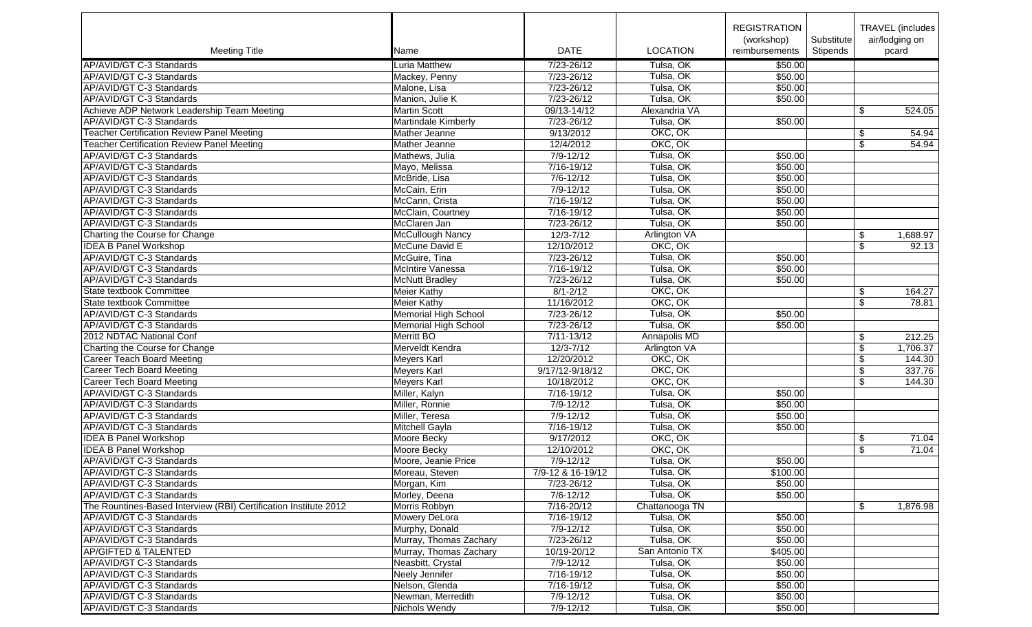|                                                                  |                         |                   |                     | <b>REGISTRATION</b> |            | <b>TRAVEL</b> (includes |
|------------------------------------------------------------------|-------------------------|-------------------|---------------------|---------------------|------------|-------------------------|
|                                                                  |                         |                   |                     | (workshop)          | Substitute | air/lodging on          |
| <b>Meeting Title</b>                                             | Name                    | <b>DATE</b>       | <b>LOCATION</b>     | reimbursements      | Stipends   | pcard                   |
| AP/AVID/GT C-3 Standards                                         | <b>Luria Matthew</b>    | 7/23-26/12        | Tulsa, OK           | \$50.00             |            |                         |
| AP/AVID/GT C-3 Standards                                         | Mackey, Penny           | 7/23-26/12        | Tulsa, OK           | \$50.00             |            |                         |
| AP/AVID/GT C-3 Standards                                         | Malone, Lisa            | $7/23 - 26/12$    | Tulsa, OK           | \$50.00             |            |                         |
| AP/AVID/GT C-3 Standards                                         | Manion, Julie K         | 7/23-26/12        | Tulsa, OK           | \$50.00             |            |                         |
| Achieve ADP Network Leadership Team Meeting                      | <b>Martin Scott</b>     | 09/13-14/12       | Alexandria VA       |                     |            | \$<br>524.05            |
| AP/AVID/GT C-3 Standards                                         | Martindale Kimberly     | 7/23-26/12        | Tulsa, OK           | \$50.00             |            |                         |
| <b>Teacher Certification Review Panel Meeting</b>                | Mather Jeanne           | 9/13/2012         | OKC, OK             |                     |            | \$<br>54.94             |
| <b>Teacher Certification Review Panel Meeting</b>                | Mather Jeanne           | 12/4/2012         | OKC, OK             |                     |            | \$<br>54.94             |
| AP/AVID/GT C-3 Standards                                         | Mathews, Julia          | $7/9 - 12/12$     | Tulsa, OK           | \$50.00             |            |                         |
| AP/AVID/GT C-3 Standards                                         | Mayo, Melissa           | 7/16-19/12        | Tulsa, OK           | \$50.00             |            |                         |
| AP/AVID/GT C-3 Standards                                         | McBride, Lisa           | $7/6 - 12/12$     | Tulsa, OK           | \$50.00             |            |                         |
| AP/AVID/GT C-3 Standards                                         | McCain, Erin            | $7/9 - 12/12$     | Tulsa, OK           | \$50.00             |            |                         |
| AP/AVID/GT C-3 Standards                                         | McCann, Crista          | $7/16 - 19/12$    | Tulsa, OK           | \$50.00             |            |                         |
| AP/AVID/GT C-3 Standards                                         | McClain, Courtney       | 7/16-19/12        | Tulsa, OK           | \$50.00             |            |                         |
| AP/AVID/GT C-3 Standards                                         | McClaren Jan            | 7/23-26/12        | Tulsa, OK           | \$50.00             |            |                         |
| Charting the Course for Change                                   | <b>McCullough Nancy</b> | $12/3 - 7/12$     | Arlington VA        |                     |            | \$<br>1,688.97          |
| <b>IDEA B Panel Workshop</b>                                     | McCune David E          | 12/10/2012        | OKC, OK             |                     |            | \$<br>92.13             |
| AP/AVID/GT C-3 Standards                                         | McGuire, Tina           | 7/23-26/12        | Tulsa, OK           | \$50.00             |            |                         |
|                                                                  |                         |                   |                     |                     |            |                         |
| AP/AVID/GT C-3 Standards                                         | McIntire Vanessa        | $7/16-19/12$      | Tulsa, OK           | \$50.00             |            |                         |
| AP/AVID/GT C-3 Standards                                         | <b>McNutt Bradley</b>   | 7/23-26/12        | Tulsa, OK           | \$50.00             |            |                         |
| State textbook Committee                                         | <b>Meier Kathy</b>      | $8/1 - 2/12$      | OKC, OK             |                     |            | \$<br>164.27            |
| State textbook Committee                                         | <b>Meier Kathy</b>      | 11/16/2012        | OKC, OK             |                     |            | \$<br>78.81             |
| AP/AVID/GT C-3 Standards                                         | Memorial High School    | $7/23 - 26/12$    | Tulsa, OK           | \$50.00             |            |                         |
| AP/AVID/GT C-3 Standards                                         | Memorial High School    | 7/23-26/12        | Tulsa, OK           | \$50.00             |            |                         |
| 2012 NDTAC National Conf                                         | Merritt BO              | $7/11 - 13/12$    | Annapolis MD        |                     |            | \$<br>212.25            |
| Charting the Course for Change                                   | Merveldt Kendra         | $12/3 - 7/12$     | <b>Arlington VA</b> |                     |            | \$<br>1,706.37          |
| Career Teach Board Meeting                                       | <b>Meyers Karl</b>      | 12/20/2012        | OKC, OK             |                     |            | \$<br>144.30            |
| <b>Career Tech Board Meeting</b>                                 | Meyers Karl             | 9/17/12-9/18/12   | OKC, OK             |                     |            | \$<br>337.76            |
| Career Tech Board Meeting                                        | Meyers Karl             | 10/18/2012        | OKC, OK             |                     |            | \$<br>144.30            |
| AP/AVID/GT C-3 Standards                                         | Miller, Kalyn           | $7/16 - 19/12$    | Tulsa, OK           | \$50.00             |            |                         |
| AP/AVID/GT C-3 Standards                                         | Miller, Ronnie          | $7/9 - 12/12$     | Tulsa, OK           | \$50.00             |            |                         |
| AP/AVID/GT C-3 Standards                                         | Miller, Teresa          | $7/9 - 12/12$     | Tulsa, OK           | \$50.00             |            |                         |
| AP/AVID/GT C-3 Standards                                         | Mitchell Gayla          | 7/16-19/12        | Tulsa, OK           | \$50.00             |            |                         |
| <b>IDEA B Panel Workshop</b>                                     | Moore Becky             | 9/17/2012         | OKC, OK             |                     |            | \$<br>71.04             |
| <b>IDEA B Panel Workshop</b>                                     | Moore Becky             | 12/10/2012        | OKC, OK             |                     |            | \$<br>71.04             |
| AP/AVID/GT C-3 Standards                                         | Moore, Jeanie Price     | $7/9 - 12/12$     | Tulsa, OK           | \$50.00             |            |                         |
| AP/AVID/GT C-3 Standards                                         | Moreau, Steven          | 7/9-12 & 16-19/12 | Tulsa, OK           | \$100.00            |            |                         |
| AP/AVID/GT C-3 Standards                                         | Morgan, Kim             | 7/23-26/12        | Tulsa, OK           | \$50.00             |            |                         |
| AP/AVID/GT C-3 Standards                                         | Morley, Deena           | 7/6-12/12         | Tulsa, OK           | \$50.00             |            |                         |
| The Rountines-Based Interview (RBI) Certification Institute 2012 | Morris Robbyn           | $7/16 - 20/12$    | Chattanooga TN      |                     |            | \$<br>1,876.98          |
| AP/AVID/GT C-3 Standards                                         | Mowery DeLora           | 7/16-19/12        | Tulsa, OK           | \$50.00             |            |                         |
| AP/AVID/GT C-3 Standards                                         | Murphy, Donald          | 7/9-12/12         | Tulsa, OK           | \$50.00             |            |                         |
| AP/AVID/GT C-3 Standards                                         | Murray, Thomas Zachary  | 7/23-26/12        | Tulsa, OK           | \$50.00             |            |                         |
| <b>AP/GIFTED &amp; TALENTED</b>                                  | Murray, Thomas Zachary  | 10/19-20/12       | San Antonio TX      | \$405.00            |            |                         |
| AP/AVID/GT C-3 Standards                                         | Neasbitt, Crystal       | $7/9 - 12/12$     | Tulsa, OK           | \$50.00             |            |                         |
| AP/AVID/GT C-3 Standards                                         | Neely Jennifer          | 7/16-19/12        | Tulsa, OK           | \$50.00             |            |                         |
| AP/AVID/GT C-3 Standards                                         | Nelson, Glenda          | 7/16-19/12        | Tulsa, OK           | \$50.00             |            |                         |
| AP/AVID/GT C-3 Standards                                         | Newman, Merredith       | 7/9-12/12         | Tulsa, OK           | \$50.00             |            |                         |
| AP/AVID/GT C-3 Standards                                         | Nichols Wendy           | 7/9-12/12         | Tulsa, OK           | \$50.00             |            |                         |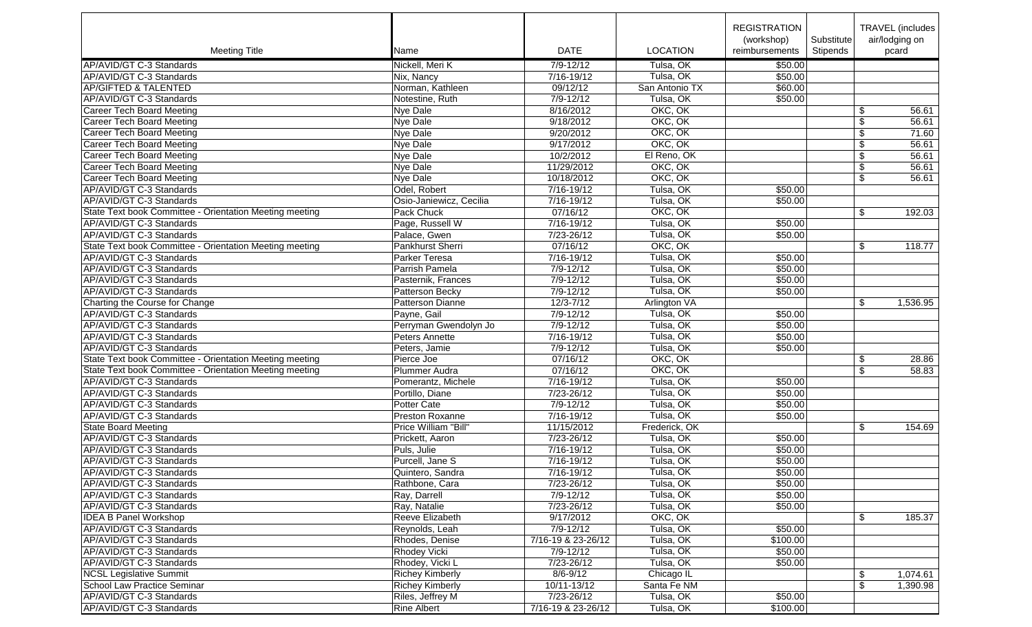|                                                         |                         |                      |                 | <b>REGISTRATION</b> |            | TRAVEL (includes) |
|---------------------------------------------------------|-------------------------|----------------------|-----------------|---------------------|------------|-------------------|
|                                                         |                         |                      |                 | (workshop)          | Substitute | air/lodging on    |
| <b>Meeting Title</b>                                    | Name                    | <b>DATE</b>          | <b>LOCATION</b> | reimbursements      | Stipends   | pcard             |
| AP/AVID/GT C-3 Standards                                | Nickell, Meri K         | $7/9 - 12/12$        | Tulsa, OK       | \$50.00             |            |                   |
| AP/AVID/GT C-3 Standards                                | Nix, Nancy              | 7/16-19/12           | Tulsa, OK       | \$50.00             |            |                   |
| <b>AP/GIFTED &amp; TALENTED</b>                         | Norman, Kathleen        | 09/12/12             | San Antonio TX  | \$60.00             |            |                   |
| AP/AVID/GT C-3 Standards                                | Notestine, Ruth         | $7/9 - 12/12$        | Tulsa, OK       | \$50.00             |            |                   |
| <b>Career Tech Board Meeting</b>                        | Nye Dale                | 8/16/2012            | OKC, OK         |                     |            | \$<br>56.61       |
| <b>Career Tech Board Meeting</b>                        | Nye Dale                | 9/18/2012            | OKC, OK         |                     |            | \$<br>56.61       |
| <b>Career Tech Board Meeting</b>                        | Nye Dale                | 9/20/2012            | OKC, OK         |                     |            | \$<br>71.60       |
| Career Tech Board Meeting                               | Nye Dale                | 9/17/2012            | OKC, OK         |                     |            | \$<br>56.61       |
| <b>Career Tech Board Meeting</b>                        | Nye Dale                | 10/2/2012            | El Reno, OK     |                     |            | \$<br>56.61       |
| <b>Career Tech Board Meeting</b>                        | Nye Dale                | 11/29/2012           | OKC, OK         |                     |            | \$<br>56.61       |
| <b>Career Tech Board Meeting</b>                        | <b>Nye Dale</b>         | 10/18/2012           | OKC, OK         |                     |            | \$<br>56.61       |
| AP/AVID/GT C-3 Standards                                | Odel, Robert            | 7/16-19/12           | Tulsa, OK       | \$50.00             |            |                   |
| AP/AVID/GT C-3 Standards                                | Osio-Janiewicz, Cecilia | 7/16-19/12           | Tulsa, OK       | \$50.00             |            |                   |
| State Text book Committee - Orientation Meeting meeting | Pack Chuck              | 07/16/12             | OKC, OK         |                     |            | \$<br>192.03      |
| AP/AVID/GT C-3 Standards                                | Page, Russell W         | 7/16-19/12           | Tulsa, OK       | \$50.00             |            |                   |
| AP/AVID/GT C-3 Standards                                | Palace, Gwen            | 7/23-26/12           | Tulsa, OK       | \$50.00             |            |                   |
| State Text book Committee - Orientation Meeting meeting | Pankhurst Sherri        | 07/16/12             | OKC, OK         |                     |            | 118.77            |
| AP/AVID/GT C-3 Standards                                | Parker Teresa           | 7/16-19/12           | Tulsa, OK       | \$50.00             |            | \$                |
| AP/AVID/GT C-3 Standards                                |                         |                      | Tulsa, OK       |                     |            |                   |
|                                                         | Parrish Pamela          | 7/9-12/12            |                 | \$50.00             |            |                   |
| AP/AVID/GT C-3 Standards                                | Pasternik, Frances      | 7/9-12/12            | Tulsa, OK       | \$50.00             |            |                   |
| AP/AVID/GT C-3 Standards                                | Patterson Becky         | $7/9 - 12/12$        | Tulsa, OK       | \$50.00             |            |                   |
| Charting the Course for Change                          | <b>Patterson Dianne</b> | $12/3 - 7/12$        | Arlington VA    |                     |            | \$<br>1,536.95    |
| AP/AVID/GT C-3 Standards                                | Payne, Gail             | $7/9 - 12/12$        | Tulsa, OK       | \$50.00             |            |                   |
| AP/AVID/GT C-3 Standards                                | Perryman Gwendolyn Jo   | $7/9 - 12/12$        | Tulsa, OK       | \$50.00             |            |                   |
| AP/AVID/GT C-3 Standards                                | Peters Annette          | $7/16 - 19/12$       | Tulsa, OK       | \$50.00             |            |                   |
| AP/AVID/GT C-3 Standards                                | Peters, Jamie           | $7/9 - 12/12$        | Tulsa, OK       | \$50.00             |            |                   |
| State Text book Committee - Orientation Meeting meeting | Pierce Joe              | 07/16/12             | OKC, OK         |                     |            | \$<br>28.86       |
| State Text book Committee - Orientation Meeting meeting | Plummer Audra           | 07/16/12             | OKC, OK         |                     |            | \$<br>58.83       |
| AP/AVID/GT C-3 Standards                                | Pomerantz, Michele      | 7/16-19/12           | Tulsa, OK       | \$50.00             |            |                   |
| AP/AVID/GT C-3 Standards                                | Portillo, Diane         | 7/23-26/12           | Tulsa, OK       | \$50.00             |            |                   |
| AP/AVID/GT C-3 Standards                                | <b>Potter Cate</b>      | 7/9-12/12            | Tulsa, OK       | \$50.00             |            |                   |
| AP/AVID/GT C-3 Standards                                | Preston Roxanne         | 7/16-19/12           | Tulsa, OK       | \$50.00             |            |                   |
| <b>State Board Meeting</b>                              | Price William "Bill"    | 11/15/2012           | Frederick, OK   |                     |            | 154.69<br>\$      |
| AP/AVID/GT C-3 Standards                                | Prickett, Aaron         | 7/23-26/12           | Tulsa, OK       | \$50.00             |            |                   |
| AP/AVID/GT C-3 Standards                                | Puls, Julie             | 7/16-19/12           | Tulsa, OK       | \$50.00             |            |                   |
| AP/AVID/GT C-3 Standards                                | Purcell, Jane S         | 7/16-19/12           | Tulsa, OK       | \$50.00             |            |                   |
| AP/AVID/GT C-3 Standards                                | Quintero, Sandra        | 7/16-19/12           | Tulsa, OK       | \$50.00             |            |                   |
| AP/AVID/GT C-3 Standards                                | Rathbone, Cara          | 7/23-26/12           | Tulsa, OK       | \$50.00             |            |                   |
| AP/AVID/GT C-3 Standards                                | Ray, Darrell            | 7/9-12/12            | Tulsa, OK       | \$50.00             |            |                   |
| AP/AVID/GT C-3 Standards                                | Ray, Natalie            | 7/23-26/12           | Tulsa, OK       | \$50.00             |            |                   |
| <b>IDEA B Panel Workshop</b>                            | Reeve Elizabeth         | 9/17/2012            | OKC, OK         |                     |            | \$<br>185.37      |
| AP/AVID/GT C-3 Standards                                | Reynolds, Leah          | $\sqrt{7/9} - 12/12$ | Tulsa, OK       | \$50.00             |            |                   |
| AP/AVID/GT C-3 Standards                                | Rhodes, Denise          | 7/16-19 & 23-26/12   | Tulsa, OK       | \$100.00            |            |                   |
| AP/AVID/GT C-3 Standards                                | <b>Rhodey Vicki</b>     | 7/9-12/12            | Tulsa, OK       | \$50.00             |            |                   |
| AP/AVID/GT C-3 Standards                                | Rhodey, Vicki L         | 7/23-26/12           | Tulsa, OK       | \$50.00             |            |                   |
| <b>NCSL Legislative Summit</b>                          | <b>Richey Kimberly</b>  | 8/6-9/12             | Chicago IL      |                     |            | \$<br>1,074.61    |
| <b>School Law Practice Seminar</b>                      | <b>Richey Kimberly</b>  | 10/11-13/12          | Santa Fe NM     |                     |            | \$<br>1,390.98    |
| AP/AVID/GT C-3 Standards                                | Riles, Jeffrey M        | 7/23-26/12           | Tulsa, OK       | \$50.00             |            |                   |
| AP/AVID/GT C-3 Standards                                | <b>Rine Albert</b>      | 7/16-19 & 23-26/12   | Tulsa, OK       | \$100.00            |            |                   |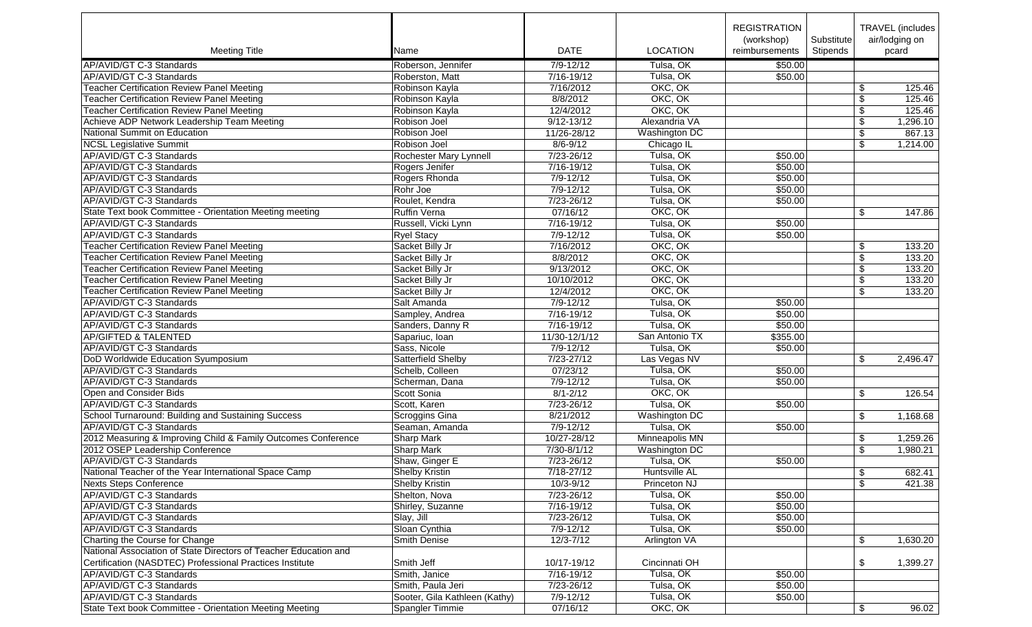|                                                                  |                               |                          |                                   | <b>REGISTRATION</b><br>(workshop) | Substitute |                         | TRAVEL (includes  <br>air/lodging on |
|------------------------------------------------------------------|-------------------------------|--------------------------|-----------------------------------|-----------------------------------|------------|-------------------------|--------------------------------------|
| <b>Meeting Title</b>                                             | Name                          | <b>DATE</b>              | <b>LOCATION</b>                   | reimbursements                    | Stipends   |                         | pcard                                |
| AP/AVID/GT C-3 Standards                                         | Roberson, Jennifer            | $7/9 - 12/12$            | Tulsa, OK                         | \$50.00                           |            |                         |                                      |
| AP/AVID/GT C-3 Standards                                         | Roberston, Matt               | 7/16-19/12               | Tulsa, OK                         | \$50.00                           |            |                         |                                      |
| <b>Teacher Certification Review Panel Meeting</b>                | Robinson Kayla                | 7/16/2012                | OKC, OK                           |                                   |            | \$                      | 125.46                               |
| <b>Teacher Certification Review Panel Meeting</b>                | Robinson Kayla                | 8/8/2012                 | OKC, OK                           |                                   |            | $\overline{\mathbf{s}}$ | 125.46                               |
| <b>Teacher Certification Review Panel Meeting</b>                | Robinson Kayla                | 12/4/2012                | OKC, OK                           |                                   |            | \$                      | 125.46                               |
| Achieve ADP Network Leadership Team Meeting                      | Robison Joel                  | $9/12 - 13/12$           | Alexandria VA                     |                                   |            | \$                      | 1,296.10                             |
| National Summit on Education                                     | Robison Joel                  | 11/26-28/12              | Washington DC                     |                                   |            | \$                      | 867.13                               |
| <b>NCSL Legislative Summit</b>                                   | Robison Joel                  | $8/6 - 9/12$             | Chicago IL                        |                                   |            | \$                      | 1,214.00                             |
| AP/AVID/GT C-3 Standards                                         | Rochester Mary Lynnell        | 7/23-26/12               | Tulsa, OK                         | \$50.00                           |            |                         |                                      |
| AP/AVID/GT C-3 Standards                                         | Rogers Jenifer                | 7/16-19/12               | Tulsa, OK                         | \$50.00                           |            |                         |                                      |
| AP/AVID/GT C-3 Standards                                         | Rogers Rhonda                 | $7/9 - 12/12$            | Tulsa, OK                         | \$50.00                           |            |                         |                                      |
| AP/AVID/GT C-3 Standards                                         | Rohr Joe                      | $7/9 - 12/12$            | Tulsa, OK                         | \$50.00                           |            |                         |                                      |
| AP/AVID/GT C-3 Standards                                         | Roulet, Kendra                | 7/23-26/12               | Tulsa, OK                         | \$50.00                           |            |                         |                                      |
| State Text book Committee - Orientation Meeting meeting          | <b>Ruffin Verna</b>           | 07/16/12                 | OKC, OK                           |                                   |            | \$                      | 147.86                               |
| AP/AVID/GT C-3 Standards                                         | Russell, Vicki Lynn           | 7/16-19/12               | Tulsa, OK                         | \$50.00                           |            |                         |                                      |
| AP/AVID/GT C-3 Standards                                         | <b>Ryel Stacy</b>             | $7/9 - 12/12$            | Tulsa, OK                         | \$50.00                           |            |                         |                                      |
| <b>Teacher Certification Review Panel Meeting</b>                | Sacket Billy Jr               | 7/16/2012                | OKC, OK                           |                                   |            | \$                      | 133.20                               |
| <b>Teacher Certification Review Panel Meeting</b>                | Sacket Billy Jr               | 8/8/2012                 | OKC, OK                           |                                   |            | \$                      | 133.20                               |
| <b>Teacher Certification Review Panel Meeting</b>                | Sacket Billy Jr               | 9/13/2012                | OKC, OK                           |                                   |            | \$                      | 133.20                               |
| <b>Teacher Certification Review Panel Meeting</b>                | Sacket Billy Jr               | 10/10/2012               | OKC, OK                           |                                   |            | \$                      | 133.20                               |
| <b>Teacher Certification Review Panel Meeting</b>                | Sacket Billy Jr               | 12/4/2012                | OKC, OK                           |                                   |            | \$                      | 133.20                               |
| AP/AVID/GT C-3 Standards                                         | Salt Amanda                   | $7/9 - 12/12$            | Tulsa, OK                         | \$50.00                           |            |                         |                                      |
| AP/AVID/GT C-3 Standards                                         | Sampley, Andrea               | $7/16 - 19/12$           | Tulsa, OK                         | \$50.00                           |            |                         |                                      |
| AP/AVID/GT C-3 Standards                                         | Sanders, Danny R              | $7/16 - 19/12$           | Tulsa, OK                         | \$50.00                           |            |                         |                                      |
| <b>AP/GIFTED &amp; TALENTED</b>                                  | Sapariuc, Ioan                | 11/30-12/1/12            | San Antonio TX                    | \$355.00                          |            |                         |                                      |
| AP/AVID/GT C-3 Standards                                         | Sass, Nicole                  | $7/9 - 12/12$            | Tulsa, OK                         | \$50.00                           |            |                         |                                      |
| DoD Worldwide Education Syumposium                               | Satterfield Shelby            | 7/23-27/12               | Las Vegas NV                      |                                   |            | \$                      | 2,496.47                             |
| AP/AVID/GT C-3 Standards                                         | Schelb, Colleen               | 07/23/12                 | Tulsa, OK                         | \$50.00                           |            |                         |                                      |
| AP/AVID/GT C-3 Standards                                         | Scherman, Dana                | $7/9 - 12/12$            | Tulsa, OK                         | \$50.00                           |            |                         |                                      |
| Open and Consider Bids                                           | Scott Sonia                   | $8/1 - 2/12$             | OKC, OK                           |                                   |            |                         | 126.54                               |
| AP/AVID/GT C-3 Standards                                         | Scott, Karen                  | 7/23-26/12               | Tulsa, OK                         | \$50.00                           |            | \$                      |                                      |
| School Turnaround: Building and Sustaining Success               |                               | 8/21/2012                | Washington DC                     |                                   |            |                         | 1,168.68                             |
|                                                                  | Scroggins Gina                |                          | Tulsa, OK                         |                                   |            | \$                      |                                      |
| AP/AVID/GT C-3 Standards                                         | Seaman, Amanda                | 7/9-12/12<br>10/27-28/12 | Minneapolis MN                    | \$50.00                           |            |                         |                                      |
| 2012 Measuring & Improving Child & Family Outcomes Conference    | <b>Sharp Mark</b>             | $7/30 - 8/1/12$          |                                   |                                   |            | \$                      | 1,259.26                             |
| 2012 OSEP Leadership Conference                                  | <b>Sharp Mark</b>             |                          | <b>Washington DC</b>              |                                   |            | $\sqrt[6]{\frac{1}{2}}$ | 1,980.21                             |
| AP/AVID/GT C-3 Standards                                         | Shaw, Ginger E                | $7/23 - 26/12$           | Tulsa, OK<br><b>Huntsville AL</b> | \$50.00                           |            |                         |                                      |
| National Teacher of the Year International Space Camp            | <b>Shelby Kristin</b>         | $7/18 - 27/12$           |                                   |                                   |            | \$                      | 682.41                               |
| Nexts Steps Conference                                           | <b>Shelby Kristin</b>         | 10/3-9/12                | Princeton NJ                      |                                   |            | \$                      | 421.38                               |
| AP/AVID/GT C-3 Standards                                         | Shelton, Nova                 | 7/23-26/12               | Tulsa, OK                         | \$50.00                           |            |                         |                                      |
| AP/AVID/GT C-3 Standards                                         | Shirley, Suzanne              | 7/16-19/12               | Tulsa, OK                         | \$50.00                           |            |                         |                                      |
| AP/AVID/GT C-3 Standards                                         | Slay, Jill                    | 7/23-26/12               | Tulsa, OK                         | \$50.00                           |            |                         |                                      |
| AP/AVID/GT C-3 Standards                                         | Sloan Cynthia                 | 7/9-12/12                | Tulsa, OK                         | \$50.00                           |            |                         |                                      |
| Charting the Course for Change                                   | Smith Denise                  | $12/3 - 7/12$            | Arlington VA                      |                                   |            | \$                      | 1,630.20                             |
| National Association of State Directors of Teacher Education and |                               |                          |                                   |                                   |            |                         |                                      |
| Certification (NASDTEC) Professional Practices Institute         | Smith Jeff                    | 10/17-19/12              | Cincinnati OH                     |                                   |            | \$                      | 1,399.27                             |
| AP/AVID/GT C-3 Standards                                         | Smith, Janice                 | 7/16-19/12               | Tulsa, OK                         | \$50.00                           |            |                         |                                      |
| AP/AVID/GT C-3 Standards                                         | Smith, Paula Jeri             | 7/23-26/12               | Tulsa, OK                         | \$50.00                           |            |                         |                                      |
| AP/AVID/GT C-3 Standards                                         | Sooter, Gila Kathleen (Kathy) | $7/9 - 12/12$            | Tulsa, OK                         | \$50.00                           |            |                         |                                      |
| State Text book Committee - Orientation Meeting Meeting          | Spangler Timmie               | 07/16/12                 | OKC, OK                           |                                   |            | \$                      | 96.02                                |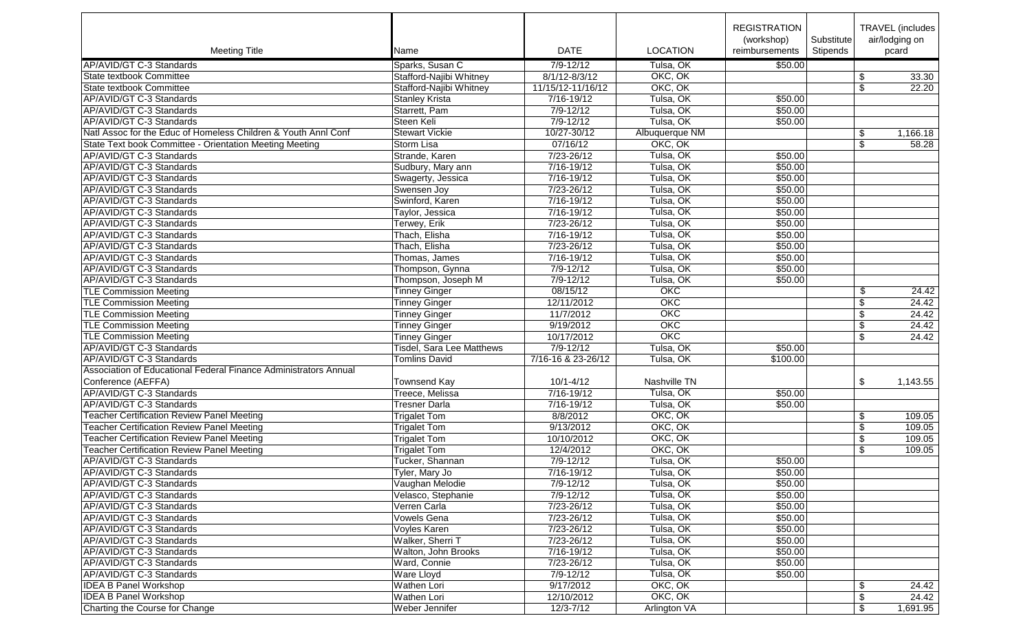|                                                                  |                                       |                    |                 | <b>REGISTRATION</b><br>(workshop) | Substitute |                         | TRAVEL (includes  <br>air/lodging on |
|------------------------------------------------------------------|---------------------------------------|--------------------|-----------------|-----------------------------------|------------|-------------------------|--------------------------------------|
| <b>Meeting Title</b>                                             | Name                                  | <b>DATE</b>        | <b>LOCATION</b> | reimbursements                    | Stipends   |                         | pcard                                |
| AP/AVID/GT C-3 Standards                                         | Sparks, Susan C                       | $7/9 - 12/12$      | Tulsa, OK       | \$50.00                           |            |                         |                                      |
| State textbook Committee                                         | Stafford-Najibi Whitney               | $8/1/12 - 8/3/12$  | OKC, OK         |                                   |            | \$                      | 33.30                                |
| State textbook Committee                                         | Stafford-Najibi Whitney               | 11/15/12-11/16/12  | OKC, OK         |                                   |            | $\overline{\$}$         | 22.20                                |
| AP/AVID/GT C-3 Standards                                         | <b>Stanley Krista</b>                 | 7/16-19/12         | Tulsa, OK       | \$50.00                           |            |                         |                                      |
| AP/AVID/GT C-3 Standards                                         | Starrett, Pam                         | $7/9 - 12/12$      | Tulsa, OK       | \$50.00                           |            |                         |                                      |
| AP/AVID/GT C-3 Standards                                         | Steen Keli                            | $7/9 - 12/12$      | Tulsa, OK       | \$50.00                           |            |                         |                                      |
| Natl Assoc for the Educ of Homeless Children & Youth Annl Conf   | <b>Stewart Vickie</b>                 | 10/27-30/12        | Albuquerque NM  |                                   |            | \$                      | 1,166.18                             |
| <b>State Text book Committee - Orientation Meeting Meeting</b>   | Storm Lisa                            | 07/16/12           | OKC, OK         |                                   |            | \$                      | 58.28                                |
| AP/AVID/GT C-3 Standards                                         | Strande, Karen                        | $7/23 - 26/12$     | Tulsa, OK       | \$50.00                           |            |                         |                                      |
| AP/AVID/GT C-3 Standards                                         | Sudbury, Mary ann                     | 7/16-19/12         | Tulsa, OK       | \$50.00                           |            |                         |                                      |
| AP/AVID/GT C-3 Standards                                         | Swagerty, Jessica                     | $7/16 - 19/12$     | Tulsa, OK       | \$50.00                           |            |                         |                                      |
| AP/AVID/GT C-3 Standards                                         | Swensen Joy                           | $7/23 - 26/12$     | Tulsa, OK       | \$50.00                           |            |                         |                                      |
| AP/AVID/GT C-3 Standards                                         | Swinford, Karen                       | 7/16-19/12         | Tulsa, OK       | \$50.00                           |            |                         |                                      |
| AP/AVID/GT C-3 Standards                                         | Taylor, Jessica                       | 7/16-19/12         | Tulsa, OK       | \$50.00                           |            |                         |                                      |
| AP/AVID/GT C-3 Standards                                         | Terwey, Erik                          | 7/23-26/12         | Tulsa, OK       | \$50.00                           |            |                         |                                      |
| AP/AVID/GT C-3 Standards                                         | Thach, Elisha                         | 7/16-19/12         | Tulsa, OK       | \$50.00                           |            |                         |                                      |
| AP/AVID/GT C-3 Standards                                         | Thach, Elisha                         | $7/23 - 26/12$     | Tulsa, OK       | \$50.00                           |            |                         |                                      |
| AP/AVID/GT C-3 Standards                                         | Thomas, James                         | 7/16-19/12         | Tulsa, OK       | \$50.00                           |            |                         |                                      |
| AP/AVID/GT C-3 Standards                                         |                                       | 7/9-12/12          | Tulsa, OK       | \$50.00                           |            |                         |                                      |
| AP/AVID/GT C-3 Standards                                         | Thompson, Gynna<br>Thompson, Joseph M | $7/9 - 12/12$      | Tulsa, OK       | \$50.00                           |            |                         |                                      |
|                                                                  |                                       | 08/15/12           | OKC             |                                   |            |                         |                                      |
| <b>TLE Commission Meeting</b>                                    | <b>Tinney Ginger</b>                  |                    |                 |                                   |            | \$                      | 24.42                                |
| <b>TLE Commission Meeting</b>                                    | <b>Tinney Ginger</b>                  | 12/11/2012         | OKC             |                                   |            | \$                      | 24.42                                |
| <b>TLE Commission Meeting</b>                                    | <b>Tinney Ginger</b>                  | 11/7/2012          | OKC             |                                   |            | $\overline{\$}$         | 24.42                                |
| <b>TLE Commission Meeting</b>                                    | <b>Tinney Ginger</b>                  | 9/19/2012          | OKC             |                                   |            | $\overline{\$}$         | 24.42                                |
| <b>TLE Commission Meeting</b>                                    | <b>Tinney Ginger</b>                  | 10/17/2012         | OKC             |                                   |            | \$                      | 24.42                                |
| AP/AVID/GT C-3 Standards                                         | Tisdel, Sara Lee Matthews             | $7/9 - 12/12$      | Tulsa, OK       | \$50.00                           |            |                         |                                      |
| AP/AVID/GT C-3 Standards                                         | <b>Tomlins David</b>                  | 7/16-16 & 23-26/12 | Tulsa, OK       | \$100.00                          |            |                         |                                      |
| Association of Educational Federal Finance Administrators Annual |                                       |                    |                 |                                   |            |                         |                                      |
| Conference (AEFFA)                                               | <b>Townsend Kay</b>                   | $10/1 - 4/12$      | Nashville TN    |                                   |            | \$                      | 1,143.55                             |
| AP/AVID/GT C-3 Standards                                         | Treece, Melissa                       | $7/16 - 19/12$     | Tulsa, OK       | \$50.00                           |            |                         |                                      |
| AP/AVID/GT C-3 Standards                                         | <b>Tresner Darla</b>                  | $7/16 - 19/12$     | Tulsa, OK       | \$50.00                           |            |                         |                                      |
| <b>Teacher Certification Review Panel Meeting</b>                | <b>Trigalet Tom</b>                   | 8/8/2012           | OKC, OK         |                                   |            | \$                      | 109.05                               |
| <b>Teacher Certification Review Panel Meeting</b>                | <b>Trigalet Tom</b>                   | 9/13/2012          | OKC, OK         |                                   |            | \$                      | 109.05                               |
| <b>Teacher Certification Review Panel Meeting</b>                | <b>Trigalet Tom</b>                   | 10/10/2012         | OKC, OK         |                                   |            | \$                      | 109.05                               |
| <b>Teacher Certification Review Panel Meeting</b>                | <b>Trigalet Tom</b>                   | 12/4/2012          | OKC, OK         |                                   |            | $\sqrt[6]{\frac{1}{2}}$ | 109.05                               |
| AP/AVID/GT C-3 Standards                                         | Tucker, Shannan                       | $7/9 - 12/12$      | Tulsa, OK       | \$50.00                           |            |                         |                                      |
| AP/AVID/GT C-3 Standards                                         | Tyler, Mary Jo                        | 7/16-19/12         | Tulsa, OK       | \$50.00                           |            |                         |                                      |
| AP/AVID/GT C-3 Standards                                         | Vaughan Melodie                       | 7/9-12/12          | Tulsa, OK       | \$50.00                           |            |                         |                                      |
| AP/AVID/GT C-3 Standards                                         | Velasco, Stephanie                    | 7/9-12/12          | Tulsa, OK       | \$50.00                           |            |                         |                                      |
| AP/AVID/GT C-3 Standards                                         | Verren Carla                          | 7/23-26/12         | Tulsa, OK       | \$50.00                           |            |                         |                                      |
| AP/AVID/GT C-3 Standards                                         | Vowels Gena                           | 7/23-26/12         | Tulsa, OK       | \$50.00                           |            |                         |                                      |
| AP/AVID/GT C-3 Standards                                         | Voyles Karen                          | 7/23-26/12         | Tulsa, OK       | \$50.00                           |            |                         |                                      |
| AP/AVID/GT C-3 Standards                                         | Walker, Sherri T                      | 7/23-26/12         | Tulsa, OK       | \$50.00                           |            |                         |                                      |
| AP/AVID/GT C-3 Standards                                         | Walton, John Brooks                   | 7/16-19/12         | Tulsa, OK       | \$50.00                           |            |                         |                                      |
| AP/AVID/GT C-3 Standards                                         | Ward, Connie                          | 7/23-26/12         | Tulsa, OK       | \$50.00                           |            |                         |                                      |
| AP/AVID/GT C-3 Standards                                         | <b>Ware Lloyd</b>                     | 7/9-12/12          | Tulsa, OK       | \$50.00                           |            |                         |                                      |
| <b>IDEA B Panel Workshop</b>                                     | Wathen Lori                           | 9/17/2012          | OKC, OK         |                                   |            | \$                      | 24.42                                |
| <b>IDEA B Panel Workshop</b>                                     | Wathen Lori                           | 12/10/2012         | OKC, OK         |                                   |            | \$                      | 24.42                                |
| Charting the Course for Change                                   | Weber Jennifer                        | $12/3 - 7/12$      | Arlington VA    |                                   |            | \$                      | 1,691.95                             |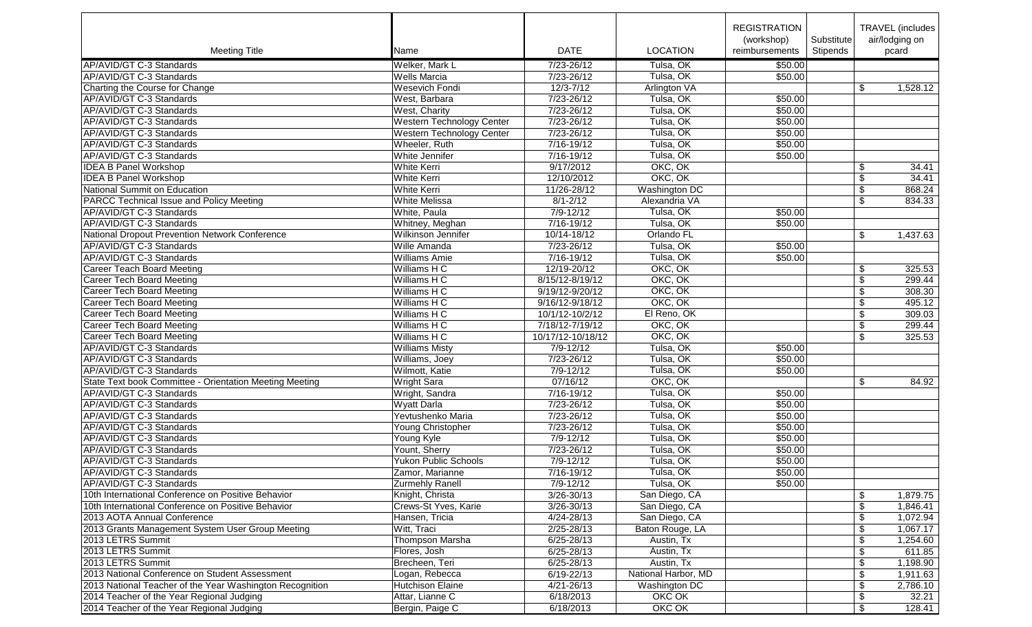|                                                          |                             |                             |                      | <b>REGISTRATION</b> |            |                         | TRAVEL (includes) |
|----------------------------------------------------------|-----------------------------|-----------------------------|----------------------|---------------------|------------|-------------------------|-------------------|
|                                                          |                             |                             |                      | (workshop)          | Substitute |                         | air/lodging on    |
| <b>Meeting Title</b>                                     | Name                        | <b>DATE</b>                 | <b>LOCATION</b>      | reimbursements      | Stipends   |                         | pcard             |
| AP/AVID/GT C-3 Standards                                 | Welker, Mark L              | 7/23-26/12                  | Tulsa, OK            | \$50.00             |            |                         |                   |
| AP/AVID/GT C-3 Standards                                 | <b>Wells Marcia</b>         | 7/23-26/12                  | Tulsa, OK            | \$50.00             |            |                         |                   |
| Charting the Course for Change                           | <b>Wesevich Fondi</b>       | $12/3 - 7/12$               | <b>Arlington VA</b>  |                     |            | \$                      | 1,528.12          |
| AP/AVID/GT C-3 Standards                                 | West, Barbara               | 7/23-26/12                  | Tulsa, OK            | \$50.00             |            |                         |                   |
| AP/AVID/GT C-3 Standards                                 |                             | 7/23-26/12                  | Tulsa, OK            | \$50.00             |            |                         |                   |
|                                                          | West, Charity               |                             | Tulsa, OK            |                     |            |                         |                   |
| AP/AVID/GT C-3 Standards                                 | Western Technology Center   | 7/23-26/12                  | Tulsa, OK            | \$50.00             |            |                         |                   |
| AP/AVID/GT C-3 Standards                                 | Western Technology Center   | $7/23 - 26/12$              |                      | \$50.00             |            |                         |                   |
| AP/AVID/GT C-3 Standards                                 | Wheeler, Ruth               | 7/16-19/12                  | Tulsa, OK            | \$50.00             |            |                         |                   |
| AP/AVID/GT C-3 Standards                                 | White Jennifer              | 7/16-19/12                  | Tulsa, OK            | \$50.00             |            |                         |                   |
| <b>IDEA B Panel Workshop</b>                             | White Kerri                 | 9/17/2012                   | OKC, OK              |                     |            | \$                      | 34.41             |
| <b>IDEA B Panel Workshop</b>                             | White Kerri                 | 12/10/2012                  | OKC, OK              |                     |            | \$                      | 34.41             |
| National Summit on Education                             | <b>White Kerri</b>          | 11/26-28/12                 | <b>Washington DC</b> |                     |            | \$                      | 868.24            |
| <b>PARCC Technical Issue and Policy Meeting</b>          | <b>White Melissa</b>        | $8/1 - 2/12$                | Alexandria VA        |                     |            | \$                      | 834.33            |
| AP/AVID/GT C-3 Standards                                 | White, Paula                | $7/9 - 12/12$               | Tulsa, OK            | \$50.00             |            |                         |                   |
| AP/AVID/GT C-3 Standards                                 | Whitney, Meghan             | $7/16 - 19/12$              | Tulsa, OK            | \$50.00             |            |                         |                   |
| National Dropout Prevention Network Conference           | Wilkinson Jennifer          | 10/14-18/12                 | Orlando FL           |                     |            | \$                      | 1,437.63          |
| AP/AVID/GT C-3 Standards                                 | Wille Amanda                | 7/23-26/12                  | Tulsa, OK            | \$50.00             |            |                         |                   |
| AP/AVID/GT C-3 Standards                                 | <b>Williams Amie</b>        | $7/16 - 19/12$              | Tulsa, OK            | \$50.00             |            |                         |                   |
| <b>Career Teach Board Meeting</b>                        | Williams H C                | 12/19-20/12                 | OKC, OK              |                     |            | \$                      | 325.53            |
| <b>Career Tech Board Meeting</b>                         | Williams H C                | 8/15/12-8/19/12             | OKC, OK              |                     |            | $\sqrt[6]{\frac{1}{2}}$ | 299.44            |
| <b>Career Tech Board Meeting</b>                         | Williams H C                | 9/19/12-9/20/12             | OKC, OK              |                     |            | \$                      | 308.30            |
| <b>Career Tech Board Meeting</b>                         | Williams H C                | 9/16/12-9/18/12             | OKC, OK              |                     |            | \$                      | 495.12            |
| <b>Career Tech Board Meeting</b>                         | Williams H C                | 10/1/12-10/2/12             | El Reno, OK          |                     |            | $\overline{\$}$         | 309.03            |
| <b>Career Tech Board Meeting</b>                         | Williams H C                | 7/18/12-7/19/12             | OKC, OK              |                     |            | \$                      | 299.44            |
| <b>Career Tech Board Meeting</b>                         | Williams H C                | 10/17/12-10/18/12           | OKC, OK              |                     |            | \$                      | 325.53            |
| AP/AVID/GT C-3 Standards                                 | <b>Williams Misty</b>       | $7/9 - 12/12$               | Tulsa, OK            | \$50.00             |            |                         |                   |
| AP/AVID/GT C-3 Standards                                 | Williams, Joey              | 7/23-26/12                  | Tulsa, OK            | \$50.00             |            |                         |                   |
| AP/AVID/GT C-3 Standards                                 | Wilmott, Katie              | $7/9 - 12/12$               | Tulsa, OK            | \$50.00             |            |                         |                   |
| State Text book Committee - Orientation Meeting Meeting  | <b>Wright Sara</b>          | 07/16/12                    | OKC, OK              |                     |            | \$                      | 84.92             |
| AP/AVID/GT C-3 Standards                                 | Wright, Sandra              | 7/16-19/12                  | Tulsa, OK            | \$50.00             |            |                         |                   |
| AP/AVID/GT C-3 Standards                                 | <b>Wyatt Darla</b>          | 7/23-26/12                  | Tulsa, OK            | \$50.00             |            |                         |                   |
| AP/AVID/GT C-3 Standards                                 | Yevtushenko Maria           | 7/23-26/12                  | Tulsa, OK            | \$50.00             |            |                         |                   |
| AP/AVID/GT C-3 Standards                                 | Young Christopher           | 7/23-26/12                  | Tulsa, OK            | \$50.00             |            |                         |                   |
| AP/AVID/GT C-3 Standards                                 |                             | $7/9 - 12/12$               | Tulsa, OK            | \$50.00             |            |                         |                   |
|                                                          | Young Kyle                  |                             |                      |                     |            |                         |                   |
| AP/AVID/GT C-3 Standards                                 | Yount, Sherry               | 7/23-26/12<br>$7/9 - 12/12$ | Tulsa, OK            | \$50.00<br>\$50.00  |            |                         |                   |
| AP/AVID/GT C-3 Standards                                 | <b>Yukon Public Schools</b> |                             | Tulsa, OK            |                     |            |                         |                   |
| AP/AVID/GT C-3 Standards                                 | Zamor, Marianne             | 7/16-19/12                  | Tulsa, OK            | \$50.00             |            |                         |                   |
| AP/AVID/GT C-3 Standards                                 | Zurmehly Ranell             | 7/9-12/12                   | Tulsa, OK            | \$50.00             |            |                         |                   |
| 10th International Conference on Positive Behavior       | Knight, Christa             | 3/26-30/13                  | San Diego, CA        |                     |            | \$                      | 1,879.75          |
| 10th International Conference on Positive Behavior       | Crews-St Yves, Karie        | 3/26-30/13                  | San Diego, CA        |                     |            | \$                      | 1,846.41          |
| 2013 AOTA Annual Conference                              | Hansen, Tricia              | $4/24 - 28/13$              | San Diego, CA        |                     |            | \$                      | 1,072.94          |
| 2013 Grants Management System User Group Meeting         | Witt, Traci                 | 2/25-28/13                  | Baton Rouge, LA      |                     |            | \$                      | 1,067.17          |
| 2013 LETRS Summit                                        | Thompson Marsha             | $6/25 - 28/13$              | Austin, Tx           |                     |            | \$                      | 1,254.60          |
| 2013 LETRS Summit                                        | Flores, Josh                | $6/25 - 28/13$              | Austin, Tx           |                     |            | \$                      | 611.85            |
| 2013 LETRS Summit                                        | Brecheen, Teri              | $6/25 - 28/13$              | Austin, Tx           |                     |            | \$                      | 1,198.90          |
| 2013 National Conference on Student Assessment           | Logan, Rebecca              | 6/19-22/13                  | National Harbor, MD  |                     |            | \$                      | 1,911.63          |
| 2013 National Teacher of the Year Washington Recognition | Hutchison Elaine            | $4/21 - 26/13$              | Washington DC        |                     |            | \$                      | 2,786.10          |
| 2014 Teacher of the Year Regional Judging                | Attar, Lianne C             | 6/18/2013                   | OKC OK               |                     |            | \$                      | 32.21             |
| 2014 Teacher of the Year Regional Judging                | Bergin, Paige C             | 6/18/2013                   | OKC OK               |                     |            | \$                      | 128.41            |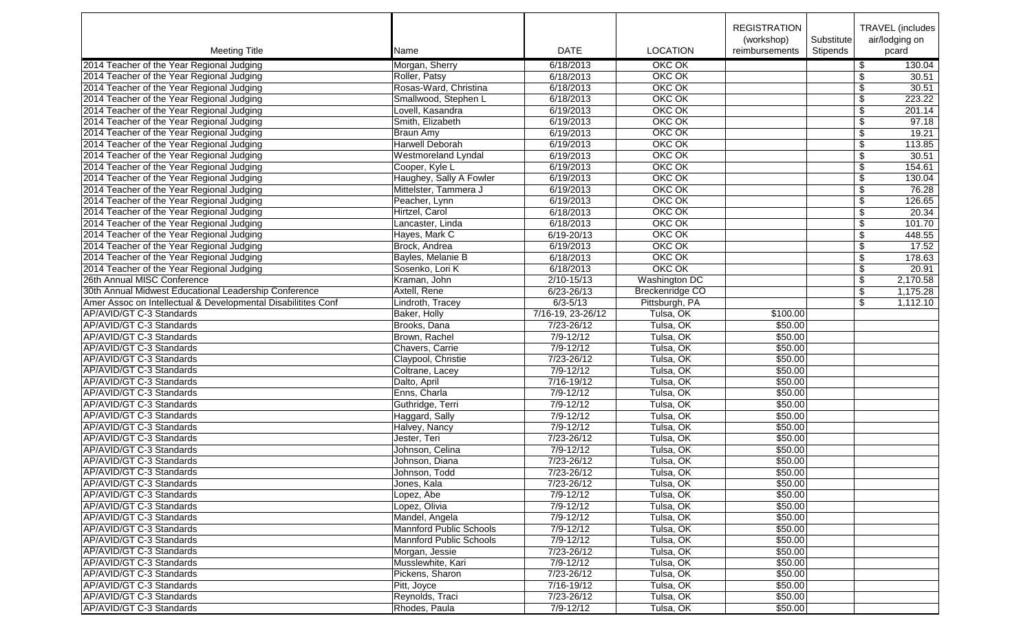|                                                               |                                            |                        |                        | <b>REGISTRATION</b> |            |                         | TRAVEL (includes |
|---------------------------------------------------------------|--------------------------------------------|------------------------|------------------------|---------------------|------------|-------------------------|------------------|
|                                                               |                                            |                        |                        | (workshop)          | Substitute |                         | air/lodging on   |
| <b>Meeting Title</b>                                          | Name                                       | <b>DATE</b>            | <b>LOCATION</b>        | reimbursements      | Stipends   |                         | pcard            |
| 2014 Teacher of the Year Regional Judging                     | Morgan, Sherry                             | 6/18/2013              | OKC OK                 |                     |            | \$                      | 130.04           |
| 2014 Teacher of the Year Regional Judging                     | Roller, Patsy                              | 6/18/2013              | OKC OK                 |                     |            | \$                      | 30.51            |
| 2014 Teacher of the Year Regional Judging                     | Rosas-Ward, Christina                      | 6/18/2013              | OKC OK                 |                     |            | \$                      | 30.51            |
| 2014 Teacher of the Year Regional Judging                     | Smallwood, Stephen L                       | 6/18/2013              | OKC OK                 |                     |            | \$                      | 223.22           |
| 2014 Teacher of the Year Regional Judging                     | Lovell, Kasandra                           | 6/19/2013              | OKC OK                 |                     |            | $\overline{\$}$         | 201.14           |
| 2014 Teacher of the Year Regional Judging                     | Smith, Elizabeth                           |                        | OKC OK                 |                     |            | \$                      | 97.18            |
| 2014 Teacher of the Year Regional Judging                     |                                            | 6/19/2013<br>6/19/2013 | OKC OK                 |                     |            |                         |                  |
| 2014 Teacher of the Year Regional Judging                     | <b>Braun Amy</b><br><b>Harwell Deborah</b> |                        | OKC OK                 |                     |            | \$                      | 19.21            |
|                                                               |                                            | 6/19/2013              | OKC OK                 |                     |            | \$                      | 113.85           |
| 2014 Teacher of the Year Regional Judging                     | Westmoreland Lyndal                        | 6/19/2013              |                        |                     |            | \$                      | 30.51            |
| 2014 Teacher of the Year Regional Judging                     | Cooper, Kyle L                             | 6/19/2013              | OKC OK                 |                     |            | \$                      | 154.61           |
| 2014 Teacher of the Year Regional Judging                     | Haughey, Sally A Fowler                    | 6/19/2013              | OKC OK                 |                     |            | \$                      | 130.04           |
| 2014 Teacher of the Year Regional Judging                     | Mittelster, Tammera J                      | 6/19/2013              | OKC OK                 |                     |            | \$                      | 76.28            |
| 2014 Teacher of the Year Regional Judging                     | Peacher, Lynn                              | 6/19/2013              | OKC OK                 |                     |            | \$                      | 126.65           |
| 2014 Teacher of the Year Regional Judging                     | Hirtzel, Carol                             | 6/18/2013              | OKC OK                 |                     |            | $\overline{\$}$         | 20.34            |
| 2014 Teacher of the Year Regional Judging                     | Lancaster, Linda                           | 6/18/2013              | OKC OK                 |                     |            | \$                      | 101.70           |
| 2014 Teacher of the Year Regional Judging                     | Hayes, Mark C                              | $6/19 - 20/13$         | OKC OK                 |                     |            | \$                      | 448.55           |
| 2014 Teacher of the Year Regional Judging                     | Brock, Andrea                              | 6/19/2013              | OKC OK                 |                     |            | \$                      | 17.52            |
| 2014 Teacher of the Year Regional Judging                     | Bayles, Melanie B                          | 6/18/2013              | OKC OK                 |                     |            | \$                      | 178.63           |
| 2014 Teacher of the Year Regional Judging                     | Sosenko, Lori K                            | 6/18/2013              | OKC OK                 |                     |            | $\sqrt[6]{\frac{1}{2}}$ | 20.91            |
| 26th Annual MISC Conference                                   | Kraman, John                               | 2/10-15/13             | <b>Washington DC</b>   |                     |            | \$                      | 2,170.58         |
| 30th Annual Midwest Educational Leadership Conference         | Axtell, Rene                               | 6/23-26/13             | <b>Breckenridge CO</b> |                     |            | \$                      | 1,175.28         |
| Amer Assoc on Intellectual & Developmental Disabilitites Conf | Lindroth, Tracey                           | $6/3 - 5/13$           | Pittsburgh, PA         |                     |            | \$                      | 1,112.10         |
| AP/AVID/GT C-3 Standards                                      | Baker, Holly                               | 7/16-19, 23-26/12      | Tulsa, OK              | \$100.00            |            |                         |                  |
| AP/AVID/GT C-3 Standards                                      | Brooks, Dana                               | 7/23-26/12             | Tulsa, OK              | \$50.00             |            |                         |                  |
| AP/AVID/GT C-3 Standards                                      | Brown, Rachel                              | $7/9 - 12/12$          | Tulsa, OK              | \$50.00             |            |                         |                  |
| AP/AVID/GT C-3 Standards                                      | Chavers, Carrie                            | $7/9 - 12/12$          | Tulsa, OK              | \$50.00             |            |                         |                  |
| AP/AVID/GT C-3 Standards                                      | Claypool, Christie                         | 7/23-26/12             | Tulsa, OK              | \$50.00             |            |                         |                  |
| AP/AVID/GT C-3 Standards                                      | Coltrane, Lacey                            | $7/9 - 12/12$          | Tulsa, OK              | \$50.00             |            |                         |                  |
| AP/AVID/GT C-3 Standards                                      | Dalto, April                               | 7/16-19/12             | Tulsa, OK              | \$50.00             |            |                         |                  |
| AP/AVID/GT C-3 Standards                                      | Enns, Charla                               | $7/9 - 12/12$          | Tulsa, OK              | \$50.00             |            |                         |                  |
| AP/AVID/GT C-3 Standards                                      | Guthridge, Terri                           | $7/9 - 12/12$          | Tulsa, OK              | \$50.00             |            |                         |                  |
| AP/AVID/GT C-3 Standards                                      | Haggard, Sally                             | $7/9 - 12/12$          | Tulsa, OK              | \$50.00             |            |                         |                  |
| AP/AVID/GT C-3 Standards                                      | Halvey, Nancy                              | $7/9 - 12/12$          | Tulsa, OK              | \$50.00             |            |                         |                  |
| AP/AVID/GT C-3 Standards                                      | Jester, Teri                               | $7/23 - 26/12$         | Tulsa, OK              | \$50.00             |            |                         |                  |
| AP/AVID/GT C-3 Standards                                      | Johnson, Celina                            | $7/9 - 12/12$          | Tulsa, OK              | \$50.00             |            |                         |                  |
| AP/AVID/GT C-3 Standards                                      | Johnson, Diana                             | 7/23-26/12             | Tulsa, OK              | \$50.00             |            |                         |                  |
| AP/AVID/GT C-3 Standards                                      | Johnson, Todd                              | 7/23-26/12             | Tulsa, OK              | \$50.00             |            |                         |                  |
| AP/AVID/GT C-3 Standards                                      | Jones, Kala                                | 7/23-26/12             | Tulsa, OK              | \$50.00             |            |                         |                  |
| AP/AVID/GT C-3 Standards                                      | Lopez, Abe                                 | 7/9-12/12              | Tulsa, OK              | \$50.00             |            |                         |                  |
| AP/AVID/GT C-3 Standards                                      | Lopez, Olivia                              | $7/9 - 12/12$          | Tulsa, OK              | \$50.00             |            |                         |                  |
| AP/AVID/GT C-3 Standards                                      | Mandel, Angela                             | 7/9-12/12              | Tulsa, OK              | \$50.00             |            |                         |                  |
| AP/AVID/GT C-3 Standards                                      | Mannford Public Schools                    | 7/9-12/12              | Tulsa, OK              | \$50.00             |            |                         |                  |
| AP/AVID/GT C-3 Standards                                      | Mannford Public Schools                    | 7/9-12/12              | Tulsa, OK              | \$50.00             |            |                         |                  |
| AP/AVID/GT C-3 Standards                                      | Morgan, Jessie                             | 7/23-26/12             | Tulsa, OK              | \$50.00             |            |                         |                  |
| AP/AVID/GT C-3 Standards                                      | Musslewhite, Kari                          | 7/9-12/12              | Tulsa, OK              | \$50.00             |            |                         |                  |
| AP/AVID/GT C-3 Standards                                      | Pickens, Sharon                            | 7/23-26/12             | Tulsa, OK              | \$50.00             |            |                         |                  |
| AP/AVID/GT C-3 Standards                                      | Pitt, Joyce                                | 7/16-19/12             | Tulsa, OK              | \$50.00             |            |                         |                  |
| AP/AVID/GT C-3 Standards                                      |                                            |                        |                        |                     |            |                         |                  |
|                                                               | Reynolds, Traci                            | 7/23-26/12             | Tulsa, OK              | \$50.00             |            |                         |                  |
| AP/AVID/GT C-3 Standards                                      | Rhodes, Paula                              | 7/9-12/12              | Tulsa, OK              | \$50.00             |            |                         |                  |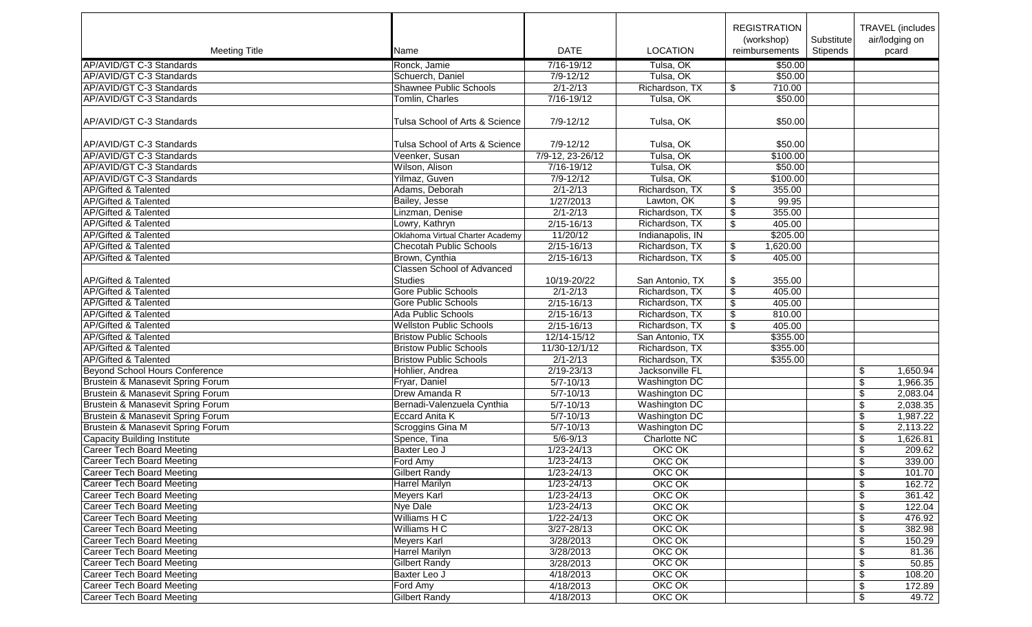|                                       |                                   |                  |                      | <b>REGISTRATION</b><br>(workshop) | Substitute | <b>TRAVEL</b> (includes<br>air/lodging on |
|---------------------------------------|-----------------------------------|------------------|----------------------|-----------------------------------|------------|-------------------------------------------|
| <b>Meeting Title</b>                  | Name                              | <b>DATE</b>      | <b>LOCATION</b>      | reimbursements                    | Stipends   | pcard                                     |
| AP/AVID/GT C-3 Standards              | Ronck, Jamie                      | 7/16-19/12       | Tulsa, OK            | \$50.00                           |            |                                           |
| AP/AVID/GT C-3 Standards              | Schuerch, Daniel                  | $7/9 - 12/12$    | Tulsa, OK            | \$50.00                           |            |                                           |
| AP/AVID/GT C-3 Standards              | <b>Shawnee Public Schools</b>     | $2/1 - 2/13$     | Richardson, TX       | 710.00<br>\$                      |            |                                           |
| AP/AVID/GT C-3 Standards              | Tomlin, Charles                   | $7/16 - 19/12$   | Tulsa, OK            | \$50.00                           |            |                                           |
| AP/AVID/GT C-3 Standards              | Tulsa School of Arts & Science    | $7/9 - 12/12$    | Tulsa, OK            | \$50.00                           |            |                                           |
| AP/AVID/GT C-3 Standards              | Tulsa School of Arts & Science    | 7/9-12/12        | Tulsa, OK            | \$50.00                           |            |                                           |
| AP/AVID/GT C-3 Standards              | Veenker, Susan                    | 7/9-12, 23-26/12 | Tulsa, OK            | \$100.00                          |            |                                           |
| AP/AVID/GT C-3 Standards              | Wilson, Alison                    | 7/16-19/12       | Tulsa, OK            | \$50.00                           |            |                                           |
| AP/AVID/GT C-3 Standards              | Yilmaz, Guven                     | $7/9 - 12/12$    | Tulsa, OK            | \$100.00                          |            |                                           |
| <b>AP/Gifted &amp; Talented</b>       | Adams, Deborah                    | $2/1 - 2/13$     | Richardson, TX       | \$<br>355.00                      |            |                                           |
| <b>AP/Gifted &amp; Talented</b>       | Bailey, Jesse                     | 1/27/2013        | Lawton, OK           | $\overline{\$}$<br>99.95          |            |                                           |
| <b>AP/Gifted &amp; Talented</b>       | Linzman, Denise                   | $2/1 - 2/13$     | Richardson, TX       | $\sqrt[6]{\frac{1}{2}}$<br>355.00 |            |                                           |
| <b>AP/Gifted &amp; Talented</b>       | Lowry, Kathryn                    | $2/15 - 16/13$   | Richardson, TX       | $\overline{\$}$<br>405.00         |            |                                           |
| <b>AP/Gifted &amp; Talented</b>       | Oklahoma Virtual Charter Academy  | 11/20/12         | Indianapolis, IN     | \$205.00                          |            |                                           |
| <b>AP/Gifted &amp; Talented</b>       | <b>Checotah Public Schools</b>    | $2/15 - 16/13$   | Richardson, TX       | \$<br>1,620.00                    |            |                                           |
| <b>AP/Gifted &amp; Talented</b>       | Brown, Cynthia                    | $2/15 - 16/13$   | Richardson, TX       | \$<br>405.00                      |            |                                           |
|                                       | <b>Classen School of Advanced</b> |                  |                      |                                   |            |                                           |
| AP/Gifted & Talented                  | <b>Studies</b>                    | 10/19-20/22      | San Antonio, TX      | \$<br>355.00                      |            |                                           |
| <b>AP/Gifted &amp; Talented</b>       | <b>Gore Public Schools</b>        | $2/1 - 2/13$     | Richardson, TX       | $\overline{\$}$<br>405.00         |            |                                           |
| <b>AP/Gifted &amp; Talented</b>       | <b>Gore Public Schools</b>        | $2/15 - 16/13$   | Richardson, TX       | \$<br>405.00                      |            |                                           |
| <b>AP/Gifted &amp; Talented</b>       | Ada Public Schools                | $2/15 - 16/13$   | Richardson, TX       | $\overline{\$}$<br>810.00         |            |                                           |
| <b>AP/Gifted &amp; Talented</b>       | <b>Wellston Public Schools</b>    | $2/15 - 16/13$   | Richardson, TX       | 405.00<br>\$                      |            |                                           |
| <b>AP/Gifted &amp; Talented</b>       | <b>Bristow Public Schools</b>     | $12/14 - 15/12$  | San Antonio, TX      | \$355.00                          |            |                                           |
| <b>AP/Gifted &amp; Talented</b>       | <b>Bristow Public Schools</b>     | 11/30-12/1/12    | Richardson, TX       | \$355.00                          |            |                                           |
| <b>AP/Gifted &amp; Talented</b>       | <b>Bristow Public Schools</b>     | $2/1 - 2/13$     | Richardson, TX       | \$355.00                          |            |                                           |
| <b>Beyond School Hours Conference</b> | Hohlier, Andrea                   | 2/19-23/13       | Jacksonville FL      |                                   |            | \$<br>1,650.94                            |
| Brustein & Manasevit Spring Forum     | Fryar, Daniel                     | $5/7 - 10/13$    | <b>Washington DC</b> |                                   |            | $\sqrt[6]{\frac{1}{2}}$<br>1,966.35       |
| Brustein & Manasevit Spring Forum     | Drew Amanda R                     | $5/7 - 10/13$    | Washington DC        |                                   |            | \$<br>2,083.04                            |
| Brustein & Manasevit Spring Forum     | Bernadi-Valenzuela Cynthia        | $5/7 - 10/13$    | Washington DC        |                                   |            | 2,038.35<br>\$                            |
| Brustein & Manasevit Spring Forum     | <b>Eccard Anita K</b>             | $5/7 - 10/13$    | <b>Washington DC</b> |                                   |            | 1,987.22<br>\$                            |
| Brustein & Manasevit Spring Forum     | Scroggins Gina M                  | $5/7 - 10/13$    | <b>Washington DC</b> |                                   |            | 2,113.22<br>\$                            |
| <b>Capacity Building Institute</b>    | Spence, Tina                      | $5/6 - 9/13$     | Charlotte NC         |                                   |            | 1,626.81<br>\$                            |
| <b>Career Tech Board Meeting</b>      | Baxter Leo J                      | $1/23 - 24/13$   | OKC OK               |                                   |            | \$<br>209.62                              |
| <b>Career Tech Board Meeting</b>      | Ford Amy                          | $1/23 - 24/13$   | OKC OK               |                                   |            | \$<br>339.00                              |
| <b>Career Tech Board Meeting</b>      | <b>Gilbert Randy</b>              | $1/23 - 24/13$   | OKC OK               |                                   |            | 101.70<br>$\overline{\mathbf{S}}$         |
| Career Tech Board Meeting             | <b>Harrel Marilyn</b>             | $1/23 - 24/13$   | OKC OK               |                                   |            | \$<br>162.72                              |
| <b>Career Tech Board Meeting</b>      | Meyers Karl                       | $1/23 - 24/13$   | OKC OK               |                                   |            | 361.42<br>\$                              |
| Career Tech Board Meeting             | Nye Dale                          | 1/23-24/13       | OKC OK               |                                   |            | 122.04<br>\$                              |
| <b>Career Tech Board Meeting</b>      | Williams H C                      | $1/22 - 24/13$   | OKC OK               |                                   |            | 476.92<br>\$                              |
| Career Tech Board Meeting             | Williams H C                      | 3/27-28/13       | OKC OK               |                                   |            | \$<br>382.98                              |
| Career Tech Board Meeting             | Meyers Karl                       | 3/28/2013        | OKC OK               |                                   |            | \$<br>150.29                              |
| <b>Career Tech Board Meeting</b>      | <b>Harrel Marilyn</b>             | 3/28/2013        | OKC OK               |                                   |            | \$<br>81.36                               |
| Career Tech Board Meeting             | <b>Gilbert Randy</b>              | 3/28/2013        | OKC OK               |                                   |            | \$<br>50.85                               |
| <b>Career Tech Board Meeting</b>      | Baxter Leo J                      | 4/18/2013        | OKC OK               |                                   |            | \$<br>108.20                              |
| <b>Career Tech Board Meeting</b>      | Ford Amy                          | 4/18/2013        | OKC OK               |                                   |            | 172.89<br>\$                              |
| <b>Career Tech Board Meeting</b>      | Gilbert Randy                     | 4/18/2013        | OKC OK               |                                   |            | \$<br>49.72                               |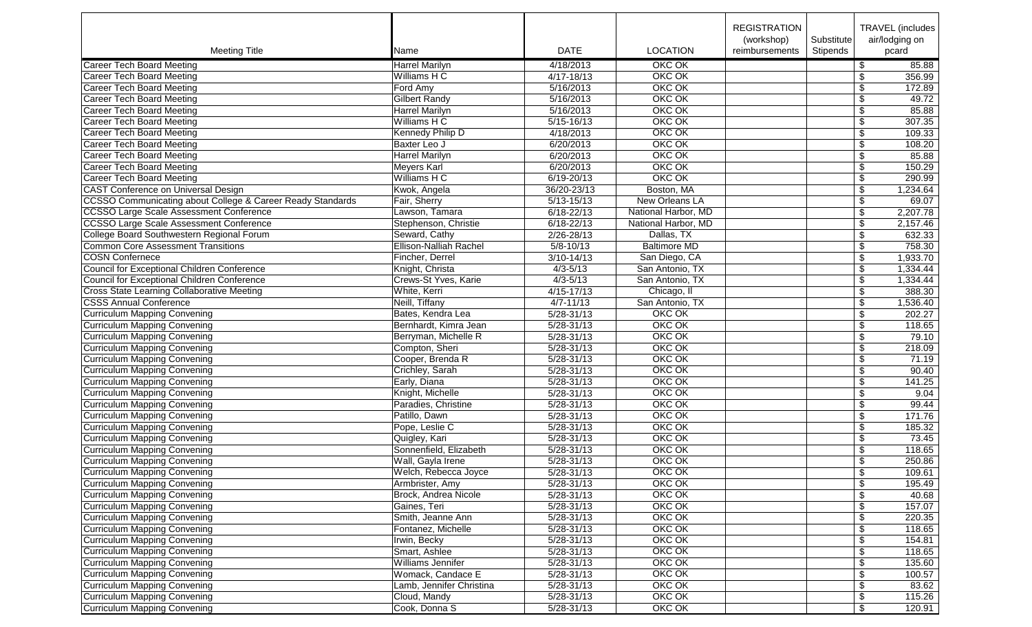|                                                                       |                               |                |                         | <b>REGISTRATION</b> |            | <b>TRAVEL</b> (includes           |
|-----------------------------------------------------------------------|-------------------------------|----------------|-------------------------|---------------------|------------|-----------------------------------|
|                                                                       |                               |                |                         | (workshop)          | Substitute | air/lodging on                    |
| <b>Meeting Title</b>                                                  | Name                          | <b>DATE</b>    | <b>LOCATION</b>         | reimbursements      | Stipends   | pcard                             |
| Career Tech Board Meeting                                             | <b>Harrel Marilyn</b>         | 4/18/2013      | OKC OK                  |                     |            | \$<br>85.88                       |
| <b>Career Tech Board Meeting</b>                                      | Williams H C                  | $4/17 - 18/13$ | OKC OK                  |                     |            | 356.99<br>\$                      |
| Career Tech Board Meeting                                             | Ford Amy                      | 5/16/2013      | OKC OK                  |                     |            | 172.89<br>\$                      |
| <b>Career Tech Board Meeting</b>                                      | <b>Gilbert Randy</b>          | 5/16/2013      | OKC OK                  |                     |            | \$<br>49.72                       |
| <b>Career Tech Board Meeting</b>                                      | Harrel Marilyn                | 5/16/2013      | OKC OK                  |                     |            | \$<br>85.88                       |
| <b>Career Tech Board Meeting</b>                                      | Williams H C                  | $5/15 - 16/13$ | OKC OK                  |                     |            | $\sqrt[6]{\frac{1}{2}}$<br>307.35 |
| <b>Career Tech Board Meeting</b>                                      | Kennedy Philip D              | 4/18/2013      | OKC OK                  |                     |            | 109.33<br>\$                      |
| <b>Career Tech Board Meeting</b>                                      | <b>Baxter Leo J</b>           | 6/20/2013      | OKC OK                  |                     |            | \$<br>108.20                      |
| <b>Career Tech Board Meeting</b>                                      | <b>Harrel Marilyn</b>         | 6/20/2013      | OKC OK                  |                     |            | \$<br>85.88                       |
| <b>Career Tech Board Meeting</b>                                      | <b>Meyers Karl</b>            | 6/20/2013      | OKC OK                  |                     |            | \$<br>150.29                      |
| <b>Career Tech Board Meeting</b>                                      | Williams H C                  | $6/19 - 20/13$ | OKC OK                  |                     |            | \$<br>290.99                      |
| <b>CAST Conference on Universal Design</b>                            | Kwok, Angela                  | 36/20-23/13    | Boston, MA              |                     |            | $\overline{\$}$<br>1,234.64       |
| <b>CCSSO Communicating about College &amp; Career Ready Standards</b> | Fair, Sherry                  | $5/13 - 15/13$ | New Orleans LA          |                     |            | \$<br>69.07                       |
| <b>CCSSO Large Scale Assessment Conference</b>                        | Lawson, Tamara                | $6/18 - 22/13$ | National Harbor, MD     |                     |            | \$<br>2,207.78                    |
| <b>CCSSO Large Scale Assessment Conference</b>                        | Stephenson, Christie          | $6/18 - 22/13$ | National Harbor, MD     |                     |            | 2,157.46<br>\$                    |
| College Board Southwestern Regional Forum                             | Seward, Cathy                 | 2/26-28/13     | Dallas, TX              |                     |            | $\overline{\$}$<br>632.33         |
| <b>Common Core Assessment Transitions</b>                             | <b>Ellison-Nalliah Rachel</b> | $5/8 - 10/13$  | <b>Baltimore MD</b>     |                     |            | \$<br>758.30                      |
| <b>COSN Confernece</b>                                                | Fincher, Derrel               | $3/10 - 14/13$ | San Diego, CA           |                     |            | 1,933.70<br>\$                    |
| Council for Exceptional Children Conference                           | Knight, Christa               | $4/3 - 5/13$   | San Antonio, TX         |                     |            | 1,334.44<br>\$                    |
| Council for Exceptional Children Conference                           | Crews-St Yves, Karie          | $4/3 - 5/13$   | San Antonio, TX         |                     |            | 1,334.44<br>\$                    |
| Cross State Learning Collaborative Meeting                            | White, Kerri                  | $4/15 - 17/13$ | Chicago, II             |                     |            | 388.30                            |
| <b>CSSS Annual Conference</b>                                         | Neill, Tiffany                |                | San Antonio, TX         |                     |            | \$                                |
|                                                                       |                               | $4/7 - 11/13$  |                         |                     |            | \$<br>1,536.40                    |
| <b>Curriculum Mapping Convening</b>                                   | Bates, Kendra Lea             | $5/28 - 31/13$ | <b>OKC OK</b><br>OKC OK |                     |            | $\overline{\$}$<br>202.27         |
| <b>Curriculum Mapping Convening</b>                                   | Bernhardt, Kimra Jean         | $5/28 - 31/13$ |                         |                     |            | \$<br>118.65                      |
| <b>Curriculum Mapping Convening</b>                                   | Berryman, Michelle R          | 5/28-31/13     | OKC OK                  |                     |            | $\overline{\$}$<br>79.10          |
| <b>Curriculum Mapping Convening</b>                                   | Compton, Sheri                | $5/28 - 31/13$ | OKC OK                  |                     |            | \$<br>218.09                      |
| <b>Curriculum Mapping Convening</b>                                   | Cooper, Brenda R              | 5/28-31/13     | OKC OK                  |                     |            | \$<br>71.19                       |
| <b>Curriculum Mapping Convening</b>                                   | Crichley, Sarah               | $5/28 - 31/13$ | OKC OK                  |                     |            | \$<br>90.40                       |
| Curriculum Mapping Convening                                          | Early, Diana                  | $5/28 - 31/13$ | OKC OK                  |                     |            | \$<br>141.25                      |
| <b>Curriculum Mapping Convening</b>                                   | Knight, Michelle              | $5/28 - 31/13$ | OKC OK                  |                     |            | \$<br>9.04                        |
| <b>Curriculum Mapping Convening</b>                                   | Paradies, Christine           | $5/28 - 31/13$ | OKC OK                  |                     |            | \$<br>99.44                       |
| <b>Curriculum Mapping Convening</b>                                   | Patillo, Dawn                 | $5/28 - 31/13$ | OKC OK                  |                     |            | \$<br>171.76                      |
| <b>Curriculum Mapping Convening</b>                                   | Pope, Leslie C                | $5/28 - 31/13$ | OKC OK                  |                     |            | \$<br>185.32                      |
| <b>Curriculum Mapping Convening</b>                                   | Quigley, Kari                 | $5/28 - 31/13$ | OKC OK                  |                     |            | \$<br>73.45                       |
| <b>Curriculum Mapping Convening</b>                                   | Sonnenfield, Elizabeth        | $5/28 - 31/13$ | OKC OK                  |                     |            | \$<br>118.65                      |
| Curriculum Mapping Convening                                          | Wall, Gayla Irene             | $5/28 - 31/13$ | OKC OK                  |                     |            | $\overline{\$}$<br>250.86         |
| <b>Curriculum Mapping Convening</b>                                   | Welch, Rebecca Joyce          | $5/28 - 31/13$ | OKC OK                  |                     |            | 109.61<br>\$                      |
| <b>Curriculum Mapping Convening</b>                                   | Armbrister, Amy               | 5/28-31/13     | OKC OK                  |                     |            | \$<br>195.49                      |
| <b>Curriculum Mapping Convening</b>                                   | <b>Brock, Andrea Nicole</b>   | $5/28 - 31/13$ | OKC OK                  |                     |            | 40.68<br>\$                       |
| Curriculum Mapping Convening                                          | Gaines, Teri                  | 5/28-31/13     | OKC OK                  |                     |            | 157.07<br>\$                      |
| <b>Curriculum Mapping Convening</b>                                   | Smith, Jeanne Ann             | $5/28 - 31/13$ | OKC OK                  |                     |            | \$<br>220.35                      |
| Curriculum Mapping Convening                                          | Fontanez, Michelle            | $5/28 - 31/13$ | OKC OK                  |                     |            | \$<br>118.65                      |
| <b>Curriculum Mapping Convening</b>                                   | Irwin, Becky                  | $5/28 - 31/13$ | OKC OK                  |                     |            | \$<br>154.81                      |
| Curriculum Mapping Convening                                          | Smart, Ashlee                 | $5/28 - 31/13$ | OKC OK                  |                     |            | \$<br>118.65                      |
| Curriculum Mapping Convening                                          | Williams Jennifer             | 5/28-31/13     | OKC OK                  |                     |            | \$<br>135.60                      |
| Curriculum Mapping Convening                                          | Womack, Candace E             | 5/28-31/13     | OKC OK                  |                     |            | 100.57<br>\$                      |
| <b>Curriculum Mapping Convening</b>                                   | Lamb, Jennifer Christina      | 5/28-31/13     | OKC OK                  |                     |            | \$<br>83.62                       |
| Curriculum Mapping Convening                                          | Cloud, Mandy                  | $5/28 - 31/13$ | OKC OK                  |                     |            | \$<br>115.26                      |
| Curriculum Mapping Convening                                          | Cook, Donna S                 | 5/28-31/13     | OKC OK                  |                     |            | \$<br>120.91                      |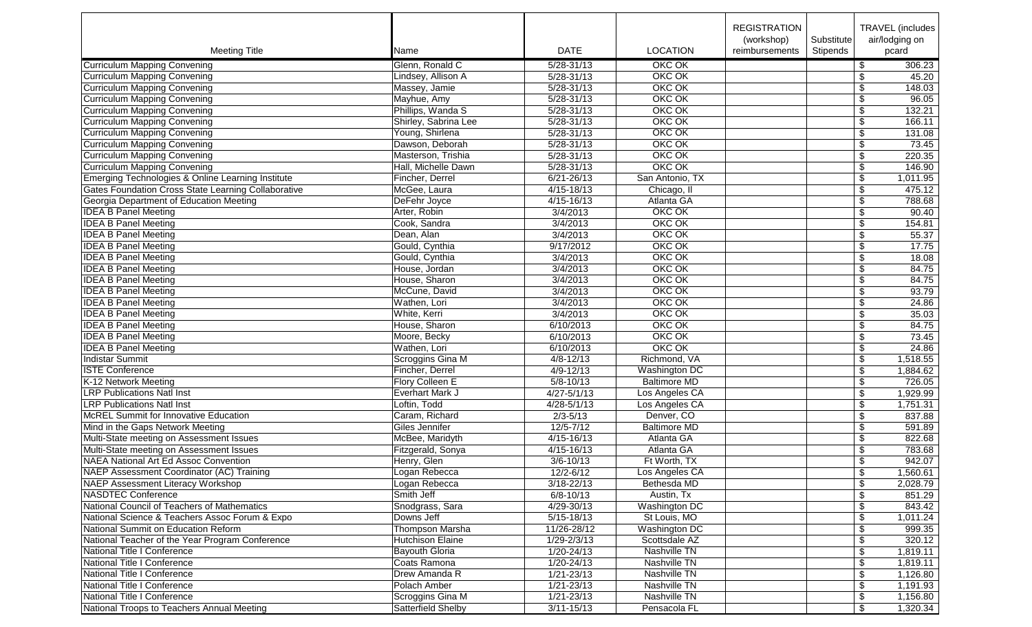|                                                     |                         |                 |                      | <b>REGISTRATION</b>          |                        | TRAVEL (includes)                |
|-----------------------------------------------------|-------------------------|-----------------|----------------------|------------------------------|------------------------|----------------------------------|
| <b>Meeting Title</b>                                | Name                    | <b>DATE</b>     | <b>LOCATION</b>      | (workshop)<br>reimbursements | Substitute<br>Stipends | air/lodging on<br>pcard          |
| <b>Curriculum Mapping Convening</b>                 | Glenn, Ronald C         | $5/28 - 31/13$  | OKC OK               |                              |                        | \$<br>306.23                     |
| Curriculum Mapping Convening                        | Lindsey, Allison A      | 5/28-31/13      | OKC OK               |                              |                        | \$<br>45.20                      |
| <b>Curriculum Mapping Convening</b>                 | Massey, Jamie           | $5/28 - 31/13$  | OKC OK               |                              |                        | \$<br>148.03                     |
| <b>Curriculum Mapping Convening</b>                 | Mayhue, Amy             | $5/28 - 31/13$  | OKC OK               |                              |                        | \$<br>96.05                      |
| <b>Curriculum Mapping Convening</b>                 | Phillips, Wanda S       | 5/28-31/13      | OKC OK               |                              |                        | \$<br>132.21                     |
| <b>Curriculum Mapping Convening</b>                 | Shirley, Sabrina Lee    | $5/28 - 31/13$  | OKC OK               |                              |                        | \$<br>166.11                     |
| <b>Curriculum Mapping Convening</b>                 | Young, Shirlena         | $5/28 - 31/13$  | OKC OK               |                              |                        | \$<br>131.08                     |
| <b>Curriculum Mapping Convening</b>                 | Dawson, Deborah         | 5/28-31/13      | OKC OK               |                              |                        | 73.45<br>\$                      |
| <b>Curriculum Mapping Convening</b>                 | Masterson, Trishia      | 5/28-31/13      | OKC OK               |                              |                        | \$<br>220.35                     |
| <b>Curriculum Mapping Convening</b>                 | Hall, Michelle Dawn     | $5/28 - 31/13$  | OKC OK               |                              |                        | \$<br>146.90                     |
| Emerging Technologies & Online Learning Institute   | Fincher, Derrel         | $6/21 - 26/13$  | San Antonio, TX      |                              |                        | \$<br>1,011.95                   |
| Gates Foundation Cross State Learning Collaborative | McGee, Laura            | $4/15 - 18/13$  | Chicago, II          |                              |                        | \$<br>475.12                     |
| Georgia Department of Education Meeting             | DeFehr Joyce            | 4/15-16/13      | Atlanta GA           |                              |                        | \$<br>788.68                     |
| <b>IDEA B Panel Meeting</b>                         | Arter, Robin            | 3/4/2013        | OKC OK               |                              |                        | \$<br>90.40                      |
| <b>IDEA B Panel Meeting</b>                         | Cook, Sandra            | 3/4/2013        | OKC OK               |                              |                        | \$<br>154.81                     |
| <b>IDEA B Panel Meeting</b>                         | Dean, Alan              | 3/4/2013        | OKC OK               |                              |                        | $\overline{\$}$<br>55.37         |
| <b>IDEA B Panel Meeting</b>                         | Gould, Cynthia          | 9/17/2012       | OKC OK               |                              |                        | $\overline{\mathbf{S}}$<br>17.75 |
| <b>IDEA B Panel Meeting</b>                         |                         | 3/4/2013        | OKC OK               |                              |                        | 18.08                            |
|                                                     | Gould, Cynthia          |                 | OKC OK               |                              |                        | \$                               |
| <b>IDEA B Panel Meeting</b>                         | House, Jordan           | 3/4/2013        |                      |                              |                        | 84.75<br>\$                      |
| <b>IDEA B Panel Meeting</b>                         | House, Sharon           | 3/4/2013        | OKC OK               |                              |                        | \$<br>84.75                      |
| <b>IDEA B Panel Meeting</b>                         | McCune, David           | 3/4/2013        | OKC OK               |                              |                        | 93.79<br>\$                      |
| <b>IDEA B Panel Meeting</b>                         | Wathen, Lori            | 3/4/2013        | OKC OK               |                              |                        | \$<br>24.86                      |
| <b>IDEA B Panel Meeting</b>                         | White, Kerri            | 3/4/2013        | OKC OK               |                              |                        | $\overline{\$}$<br>35.03         |
| <b>IDEA B Panel Meeting</b>                         | House, Sharon           | 6/10/2013       | OKC OK               |                              |                        | \$<br>84.75                      |
| <b>IDEA B Panel Meeting</b>                         | Moore, Becky            | 6/10/2013       | OKC OK               |                              |                        | $\overline{\$}$<br>73.45         |
| <b>IDEA B Panel Meeting</b>                         | Wathen, Lori            | 6/10/2013       | <b>OKC OK</b>        |                              |                        | $\sqrt[6]{\frac{1}{2}}$<br>24.86 |
| <b>Indistar Summit</b>                              | Scroggins Gina M        | $4/8 - 12/13$   | Richmond, VA         |                              |                        | \$<br>1,518.55                   |
| <b>ISTE Conference</b>                              | Fincher, Derrel         | $4/9 - 12/13$   | <b>Washington DC</b> |                              |                        | \$<br>1,884.62                   |
| K-12 Network Meeting                                | Flory Colleen E         | $5/8 - 10/13$   | <b>Baltimore MD</b>  |                              |                        | \$<br>726.05                     |
| <b>LRP Publications Natl Inst</b>                   | <b>Everhart Mark J</b>  | $4/27 - 5/1/13$ | Los Angeles CA       |                              |                        | \$<br>1,929.99                   |
| <b>LRP Publications Natl Inst</b>                   | Loftin, Todd            | $4/28 - 5/1/13$ | Los Angeles CA       |                              |                        | 1,751.31<br>\$                   |
| <b>McREL Summit for Innovative Education</b>        | Caram, Richard          | $2/3 - 5/13$    | Denver, CO           |                              |                        | 837.88<br>\$                     |
| Mind in the Gaps Network Meeting                    | Giles Jennifer          | $12/5 - 7/12$   | <b>Baltimore MD</b>  |                              |                        | 591.89<br>\$                     |
| Multi-State meeting on Assessment Issues            | McBee, Maridyth         | $4/15 - 16/13$  | Atlanta GA           |                              |                        | \$<br>822.68                     |
| Multi-State meeting on Assessment Issues            | Fitzgerald, Sonya       | $4/15 - 16/13$  | Atlanta GA           |                              |                        | \$<br>783.68                     |
| <b>NAEA National Art Ed Assoc Convention</b>        | Henry, Glen             | $3/6 - 10/13$   | Ft Worth, TX         |                              |                        | $\overline{\$}$<br>942.07        |
| NAEP Assessment Coordinator (AC) Training           | Logan Rebecca           | $12/2 - 6/12$   | Los Angeles CA       |                              |                        | 1,560.61<br>\$                   |
| NAEP Assessment Literacy Workshop                   | Logan Rebecca           | $3/18 - 22/13$  | Bethesda MD          |                              |                        | \$<br>2,028.79                   |
| NASDTEC Conference                                  | Smith Jeff              | $6/8 - 10/13$   | Austin, Tx           |                              |                        | \$<br>851.29                     |
| National Council of Teachers of Mathematics         | Snodgrass, Sara         | 4/29-30/13      | <b>Washington DC</b> |                              |                        | 843.42<br>\$                     |
| National Science & Teachers Assoc Forum & Expo      | Downs Jeff              | $5/15 - 18/13$  | St Louis, MO         |                              |                        | \$<br>1,011.24                   |
| National Summit on Education Reform                 | <b>Thompson Marsha</b>  | 11/26-28/12     | <b>Washington DC</b> |                              |                        | \$<br>999.35                     |
| National Teacher of the Year Program Conference     | <b>Hutchison Elaine</b> | $1/29 - 2/3/13$ | Scottsdale AZ        |                              |                        | \$<br>320.12                     |
| National Title I Conference                         | Bayouth Gloria          | 1/20-24/13      | Nashville TN         |                              |                        | \$<br>1,819.11                   |
| National Title I Conference                         | Coats Ramona            | 1/20-24/13      | Nashville TN         |                              |                        | \$<br>1,819.11                   |
| National Title I Conference                         | Drew Amanda R           | 1/21-23/13      | Nashville TN         |                              |                        | \$<br>1,126.80                   |
| National Title I Conference                         | Polach Amber            | 1/21-23/13      | Nashville TN         |                              |                        | 1,191.93<br>\$                   |
| National Title I Conference                         | Scroggins Gina M        | $1/21 - 23/13$  | Nashville TN         |                              |                        | \$<br>1,156.80                   |
| National Troops to Teachers Annual Meeting          | Satterfield Shelby      | $3/11 - 15/13$  | Pensacola FL         |                              |                        | \$<br>1,320.34                   |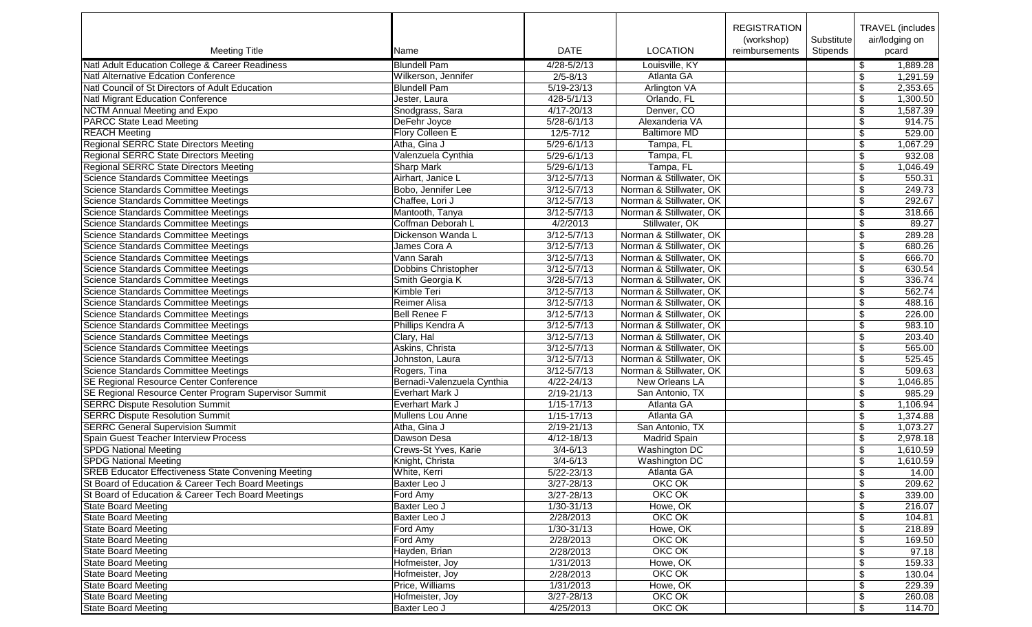|                                                            |                            |                 |                                                    | <b>REGISTRATION</b><br>(workshop) | Substitute |                          | TRAVEL (includes  <br>air/lodging on |
|------------------------------------------------------------|----------------------------|-----------------|----------------------------------------------------|-----------------------------------|------------|--------------------------|--------------------------------------|
| <b>Meeting Title</b>                                       | Name                       | <b>DATE</b>     | <b>LOCATION</b>                                    | reimbursements                    | Stipends   |                          | pcard                                |
| Natl Adult Education College & Career Readiness            | <b>Blundell Pam</b>        | 4/28-5/2/13     | Louisville, KY                                     |                                   |            | \$                       | 1,889.28                             |
| <b>Natl Alternative Edcation Conference</b>                | Wilkerson, Jennifer        | $2/5 - 8/13$    | Atlanta GA                                         |                                   |            | \$                       | 1,291.59                             |
| Natl Council of St Directors of Adult Education            | <b>Blundell Pam</b>        | $5/19 - 23/13$  | Arlington VA                                       |                                   |            | \$                       | 2,353.65                             |
| Natl Migrant Education Conference                          | Jester, Laura              | $428 - 5/1/13$  | Orlando, FL                                        |                                   |            | \$                       | 1,300.50                             |
| <b>NCTM Annual Meeting and Expo</b>                        | Snodgrass, Sara            | $4/17 - 20/13$  | Denver, CO                                         |                                   |            | \$                       | 1,587.39                             |
| <b>PARCC State Lead Meeting</b>                            | DeFehr Joyce               | $5/28 - 6/1/13$ | Alexanderia VA                                     |                                   |            | \$                       | 914.75                               |
| <b>REACH Meeting</b>                                       | Flory Colleen E            | $12/5 - 7/12$   | <b>Baltimore MD</b>                                |                                   |            | \$                       | 529.00                               |
| <b>Regional SERRC State Directors Meeting</b>              | Atha, Gina J               | $5/29 - 6/1/13$ | Tampa, FL                                          |                                   |            | $\sqrt{3}$               | 1,067.29                             |
| Regional SERRC State Directors Meeting                     | Valenzuela Cynthia         | $5/29 - 6/1/13$ | Tampa, FL                                          |                                   |            | \$                       | 932.08                               |
| <b>Regional SERRC State Directors Meeting</b>              | Sharp Mark                 | $5/29 - 6/1/13$ | Tampa, FL                                          |                                   |            | $\overline{\$}$          | 1,046.49                             |
| Science Standards Committee Meetings                       | Airhart, Janice L          | $3/12 - 5/7/13$ | Norman & Stillwater, OK                            |                                   |            | $\overline{\mathcal{L}}$ | 550.31                               |
| Science Standards Committee Meetings                       | Bobo, Jennifer Lee         | $3/12 - 5/7/13$ | Norman & Stillwater, OK                            |                                   |            | $\overline{\$}$          | 249.73                               |
| Science Standards Committee Meetings                       | Chaffee, Lori J            | $3/12 - 5/7/13$ | Norman & Stillwater, OK                            |                                   |            | \$                       | 292.67                               |
| Science Standards Committee Meetings                       | Mantooth, Tanya            | $3/12 - 5/7/13$ | Norman & Stillwater, OK                            |                                   |            | $\overline{\mathcal{L}}$ | 318.66                               |
| Science Standards Committee Meetings                       | Coffman Deborah L          | 4/2/2013        | Stillwater, OK                                     |                                   |            | \$                       | 89.27                                |
| Science Standards Committee Meetings                       | Dickenson Wanda L          | $3/12 - 5/7/13$ | Norman & Stillwater, OK                            |                                   |            | $\overline{\$}$          | 289.28                               |
| <b>Science Standards Committee Meetings</b>                | James Cora A               | $3/12 - 5/7/13$ | Norman & Stillwater, OK                            |                                   |            | \$                       | 680.26                               |
| Science Standards Committee Meetings                       | Vann Sarah                 | $3/12 - 5/7/13$ | Norman & Stillwater, OK                            |                                   |            | $\sqrt[6]{\frac{1}{2}}$  | 666.70                               |
| Science Standards Committee Meetings                       | Dobbins Christopher        | $3/12 - 5/7/13$ | Norman & Stillwater, OK                            |                                   |            | \$                       | 630.54                               |
|                                                            |                            |                 |                                                    |                                   |            |                          |                                      |
| Science Standards Committee Meetings                       | Smith Georgia K            | $3/28 - 5/7/13$ | Norman & Stillwater, OK<br>Norman & Stillwater, OK |                                   |            | \$                       | 336.74                               |
| <b>Science Standards Committee Meetings</b>                | Kimble Teri                | $3/12 - 5/7/13$ |                                                    |                                   |            | \$                       | 562.74                               |
| Science Standards Committee Meetings                       | Reimer Alisa               | $3/12 - 5/7/13$ | Norman & Stillwater, OK                            |                                   |            | \$                       | 488.16                               |
| Science Standards Committee Meetings                       | <b>Bell Renee F</b>        | $3/12 - 5/7/13$ | Norman & Stillwater, OK                            |                                   |            | $\overline{\$}$          | 226.00                               |
| <b>Science Standards Committee Meetings</b>                | Phillips Kendra A          | $3/12 - 5/7/13$ | Norman & Stillwater, OK                            |                                   |            | \$                       | 983.10                               |
| <b>Science Standards Committee Meetings</b>                | Clary, Hal                 | $3/12 - 5/7/13$ | Norman & Stillwater, OK                            |                                   |            | $\overline{\$}$          | 203.40                               |
| Science Standards Committee Meetings                       | Askins, Christa            | $3/12 - 5/7/13$ | Norman & Stillwater, OK                            |                                   |            | \$                       | 565.00                               |
| <b>Science Standards Committee Meetings</b>                | Johnston, Laura            | $3/12 - 5/7/13$ | Norman & Stillwater, OK                            |                                   |            | \$                       | 525.45                               |
| Science Standards Committee Meetings                       | Rogers, Tina               | $3/12 - 5/7/13$ | Norman & Stillwater, OK                            |                                   |            | \$                       | 509.63                               |
| SE Regional Resource Center Conference                     | Bernadi-Valenzuela Cynthia | $4/22 - 24/13$  | New Orleans LA                                     |                                   |            | \$                       | 1,046.85                             |
| SE Regional Resource Center Program Supervisor Summit      | Everhart Mark J            | $2/19 - 21/13$  | San Antonio, TX                                    |                                   |            | \$                       | 985.29                               |
| <b>SERRC Dispute Resolution Summit</b>                     | Everhart Mark J            | $1/15 - 17/13$  | Atlanta GA                                         |                                   |            | \$                       | 1,106.94                             |
| <b>SERRC Dispute Resolution Summit</b>                     | Mullens Lou Anne           | $1/15 - 17/13$  | Atlanta GA                                         |                                   |            | \$                       | 1,374.88                             |
| <b>SERRC General Supervision Summit</b>                    | Atha, Gina J               | $2/19 - 21/13$  | San Antonio, TX                                    |                                   |            | \$                       | 1,073.27                             |
| Spain Guest Teacher Interview Process                      | Dawson Desa                | $4/12 - 18/13$  | <b>Madrid Spain</b>                                |                                   |            | \$                       | 2,978.18                             |
| <b>SPDG National Meeting</b>                               | Crews-St Yves, Karie       | $3/4 - 6/13$    | Washington DC                                      |                                   |            | \$                       | 1,610.59                             |
| <b>SPDG National Meeting</b>                               | Knight, Christa            | $3/4 - 6/13$    | <b>Washington DC</b>                               |                                   |            | \$                       | 1,610.59                             |
| <b>SREB Educator Effectiveness State Convening Meeting</b> | White, Kerri               | $5/22 - 23/13$  | Atlanta GA                                         |                                   |            | \$                       | 14.00                                |
| St Board of Education & Career Tech Board Meetings         | Baxter Leo J               | $3/27 - 28/13$  | OKC OK                                             |                                   |            | \$                       | 209.62                               |
| St Board of Education & Career Tech Board Meetings         | Ford Amy                   | $3/27 - 28/13$  | OKC OK                                             |                                   |            |                          | 339.00                               |
| <b>State Board Meeting</b>                                 | Baxter Leo J               | 1/30-31/13      | Howe, OK                                           |                                   |            | \$                       | 216.07                               |
| State Board Meeting                                        | Baxter Leo J               | 2/28/2013       | OKC OK                                             |                                   |            | \$                       | 104.81                               |
| <b>State Board Meeting</b>                                 | Ford Amy                   | 1/30-31/13      | Howe, OK                                           |                                   |            | \$                       | 218.89                               |
| State Board Meeting                                        | Ford Amy                   | 2/28/2013       | OKC OK                                             |                                   |            | \$                       | 169.50                               |
| State Board Meeting                                        | Hayden, Brian              | 2/28/2013       | OKC OK                                             |                                   |            | \$                       | 97.18                                |
| State Board Meeting                                        | Hofmeister, Joy            | 1/31/2013       | Howe, OK                                           |                                   |            | \$                       | 159.33                               |
| State Board Meeting                                        | Hofmeister, Joy            | 2/28/2013       | OKC OK                                             |                                   |            | \$                       | 130.04                               |
| <b>State Board Meeting</b>                                 | Price, Williams            | 1/31/2013       | Howe, OK                                           |                                   |            | \$                       | 229.39                               |
| State Board Meeting                                        | Hofmeister, Joy            | $3/27 - 28/13$  | OKC OK                                             |                                   |            | \$                       | 260.08                               |
| State Board Meeting                                        | Baxter Leo J               | 4/25/2013       | OKC OK                                             |                                   |            | \$                       | 114.70                               |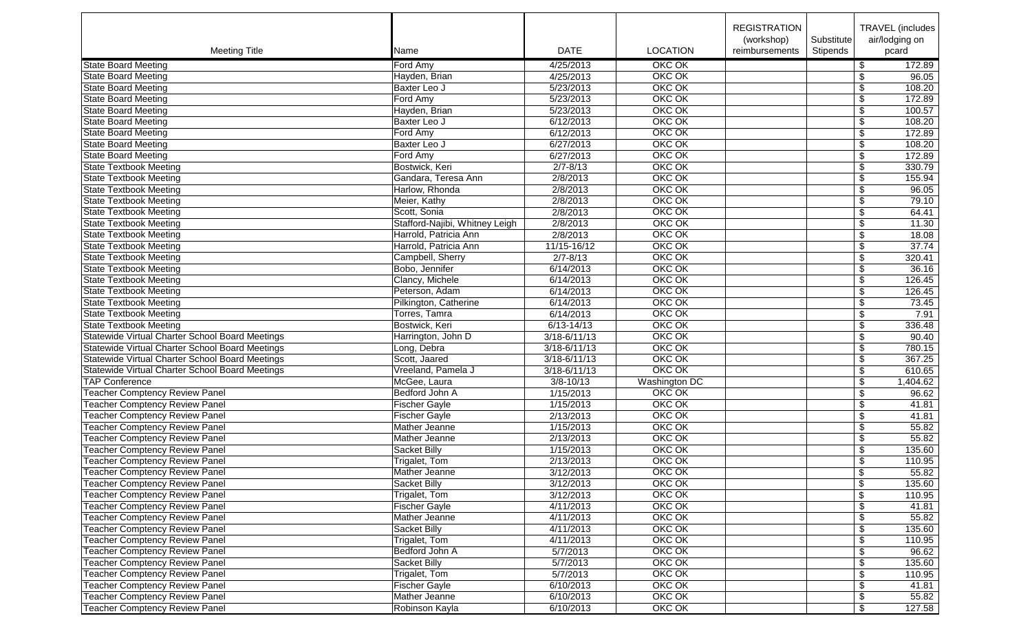|                                                        |                                |                        |                 | <b>REGISTRATION</b> |            | TRAVEL (includes)                  |
|--------------------------------------------------------|--------------------------------|------------------------|-----------------|---------------------|------------|------------------------------------|
|                                                        |                                |                        |                 | (workshop)          | Substitute | air/lodging on                     |
| <b>Meeting Title</b>                                   | Name                           | <b>DATE</b>            | <b>LOCATION</b> | reimbursements      | Stipends   | pcard                              |
| <b>State Board Meeting</b>                             | Ford Amy                       | 4/25/2013              | OKC OK          |                     |            | \$<br>172.89                       |
| <b>State Board Meeting</b>                             | Hayden, Brian                  | 4/25/2013              | OKC OK          |                     |            | \$<br>96.05                        |
| <b>State Board Meeting</b>                             | Baxter Leo J                   | 5/23/2013              | OKC OK          |                     |            | 108.20<br>\$                       |
| <b>State Board Meeting</b>                             | Ford Amy                       |                        | <b>OKC OK</b>   |                     |            | $\sqrt{3}$                         |
|                                                        |                                | 5/23/2013<br>5/23/2013 | OKC OK          |                     |            | 172.89<br>100.57                   |
| <b>State Board Meeting</b>                             | Hayden, Brian<br>Baxter Leo J  |                        | OKC OK          |                     |            | $\overline{\$}$                    |
| <b>State Board Meeting</b>                             |                                | 6/12/2013              |                 |                     |            | \$<br>108.20                       |
| <b>State Board Meeting</b>                             | Ford Amy                       | 6/12/2013              | OKC OK          |                     |            | \$<br>172.89                       |
| <b>State Board Meeting</b>                             | Baxter Leo J                   | 6/27/2013              | OKC OK          |                     |            | \$<br>108.20                       |
| <b>State Board Meeting</b>                             | Ford Amy                       | 6/27/2013              | OKC OK          |                     |            | 172.89<br>\$                       |
| <b>State Textbook Meeting</b>                          | Bostwick, Keri                 | $2/7 - 8/13$           | OKC OK          |                     |            | \$<br>330.79                       |
| <b>State Textbook Meeting</b>                          | Gandara, Teresa Ann            | 2/8/2013               | OKC OK          |                     |            | $\overline{\mathbf{S}}$<br>155.94  |
| <b>State Textbook Meeting</b>                          | Harlow, Rhonda                 | 2/8/2013               | OKC OK          |                     |            | 96.05<br>\$                        |
| <b>State Textbook Meeting</b>                          | Meier, Kathy                   | 2/8/2013               | OKC OK          |                     |            | \$<br>79.10                        |
| <b>State Textbook Meeting</b>                          | Scott, Sonia                   | 2/8/2013               | OKC OK          |                     |            | $\overline{\$}$<br>64.41           |
| <b>State Textbook Meeting</b>                          | Stafford-Najibi, Whitney Leigh | 2/8/2013               | OKC OK          |                     |            | $\sqrt{2}$<br>11.30                |
| <b>State Textbook Meeting</b>                          | Harrold, Patricia Ann          | 2/8/2013               | OKC OK          |                     |            | 18.08<br>\$                        |
| <b>State Textbook Meeting</b>                          | Harrold, Patricia Ann          | 11/15-16/12            | OKC OK          |                     |            | $\sqrt[6]{\frac{1}{2}}$<br>37.74   |
| <b>State Textbook Meeting</b>                          | Campbell, Sherry               | $2/7 - 8/13$           | OKC OK          |                     |            | \$<br>320.41                       |
| <b>State Textbook Meeting</b>                          | Bobo, Jennifer                 | 6/14/2013              | OKC OK          |                     |            | 36.16<br>\$                        |
| <b>State Textbook Meeting</b>                          | Clancy, Michele                | 6/14/2013              | OKC OK          |                     |            | \$<br>126.45                       |
| <b>State Textbook Meeting</b>                          | Peterson, Adam                 | 6/14/2013              | OKC OK          |                     |            | $\sqrt[6]{3}$<br>126.45            |
| <b>State Textbook Meeting</b>                          | Pilkington, Catherine          | 6/14/2013              | OKC OK          |                     |            | \$<br>73.45                        |
| <b>State Textbook Meeting</b>                          | Torres, Tamra                  | 6/14/2013              | OKC OK          |                     |            | $\overline{\$}$<br>7.91            |
| <b>State Textbook Meeting</b>                          | Bostwick, Keri                 | $6/13 - 14/13$         | OKC OK          |                     |            | \$<br>336.48                       |
| Statewide Virtual Charter School Board Meetings        | Harrington, John D             | $3/18 - 6/11/13$       | OKC OK          |                     |            | $\overline{\$}$<br>90.40           |
| <b>Statewide Virtual Charter School Board Meetings</b> | Long, Debra                    | 3/18-6/11/13           | <b>OKC OK</b>   |                     |            | \$<br>780.15                       |
| Statewide Virtual Charter School Board Meetings        | Scott, Jaared                  | 3/18-6/11/13           | OKC OK          |                     |            | 367.25<br>$\overline{\mathcal{L}}$ |
| Statewide Virtual Charter School Board Meetings        | Vreeland, Pamela J             | 3/18-6/11/13           | OKC OK          |                     |            | 610.65<br>\$                       |
| <b>TAP Conference</b>                                  | McGee, Laura                   | $3/8 - 10/13$          | Washington DC   |                     |            | $\sqrt{3}$<br>1,404.62             |
| <b>Teacher Comptency Review Panel</b>                  | Bedford John A                 | 1/15/2013              | OKC OK          |                     |            | $\frac{1}{2}$<br>96.62             |
| <b>Teacher Comptency Review Panel</b>                  | <b>Fischer Gayle</b>           | 1/15/2013              | OKC OK          |                     |            | \$<br>41.81                        |
| <b>Teacher Comptency Review Panel</b>                  | <b>Fischer Gayle</b>           | 2/13/2013              | OKC OK          |                     |            | \$<br>41.81                        |
| Teacher Comptency Review Panel                         | Mather Jeanne                  | 1/15/2013              | OKC OK          |                     |            | \$<br>55.82                        |
| <b>Teacher Comptency Review Panel</b>                  | Mather Jeanne                  | 2/13/2013              | OKC OK          |                     |            | 55.82<br>\$                        |
| <b>Teacher Comptency Review Panel</b>                  | Sacket Billy                   | 1/15/2013              | OKC OK          |                     |            | \$<br>135.60                       |
| Teacher Comptency Review Panel                         | Trigalet, Tom                  | 2/13/2013              | OKC OK          |                     |            | $\overline{\$}$<br>110.95          |
| <b>Teacher Comptency Review Panel</b>                  | Mather Jeanne                  | 3/12/2013              | OKC OK          |                     |            | 55.82<br>\$                        |
| <b>Teacher Comptency Review Panel</b>                  | Sacket Billy                   | 3/12/2013              | OKC OK          |                     |            | \$<br>135.60                       |
| <b>Teacher Comptency Review Panel</b>                  | Trigalet, Tom                  | 3/12/2013              | <b>OKC OK</b>   |                     |            | 110.95                             |
| Teacher Comptency Review Panel                         | Fischer Gayle                  | 4/11/2013              | OKC OK          |                     |            | \$                                 |
| <b>Teacher Comptency Review Panel</b>                  |                                | 4/11/2013              | OKC OK          |                     |            | 41.81<br>55.82                     |
|                                                        | Mather Jeanne                  |                        |                 |                     |            | \$                                 |
| Teacher Comptency Review Panel                         | Sacket Billy                   | 4/11/2013              | OKC OK          |                     |            | \$<br>135.60                       |
| <b>Teacher Comptency Review Panel</b>                  | Trigalet, Tom                  | 4/11/2013              | OKC OK          |                     |            | \$<br>110.95                       |
| <b>Teacher Comptency Review Panel</b>                  | Bedford John A                 | 5/7/2013               | OKC OK          |                     |            | \$<br>96.62                        |
| <b>Teacher Comptency Review Panel</b>                  | Sacket Billy                   | 5/7/2013               | OKC OK          |                     |            | \$<br>135.60                       |
| <b>Teacher Comptency Review Panel</b>                  | Trigalet, Tom                  | 5/7/2013               | OKC OK          |                     |            | \$<br>110.95                       |
| <b>Teacher Comptency Review Panel</b>                  | <b>Fischer Gayle</b>           | 6/10/2013              | OKC OK          |                     |            | \$<br>41.81                        |
| <b>Teacher Comptency Review Panel</b>                  | Mather Jeanne                  | 6/10/2013              | OKC OK          |                     |            | \$<br>55.82                        |
| <b>Teacher Comptency Review Panel</b>                  | Robinson Kayla                 | 6/10/2013              | OKC OK          |                     |            | \$<br>127.58                       |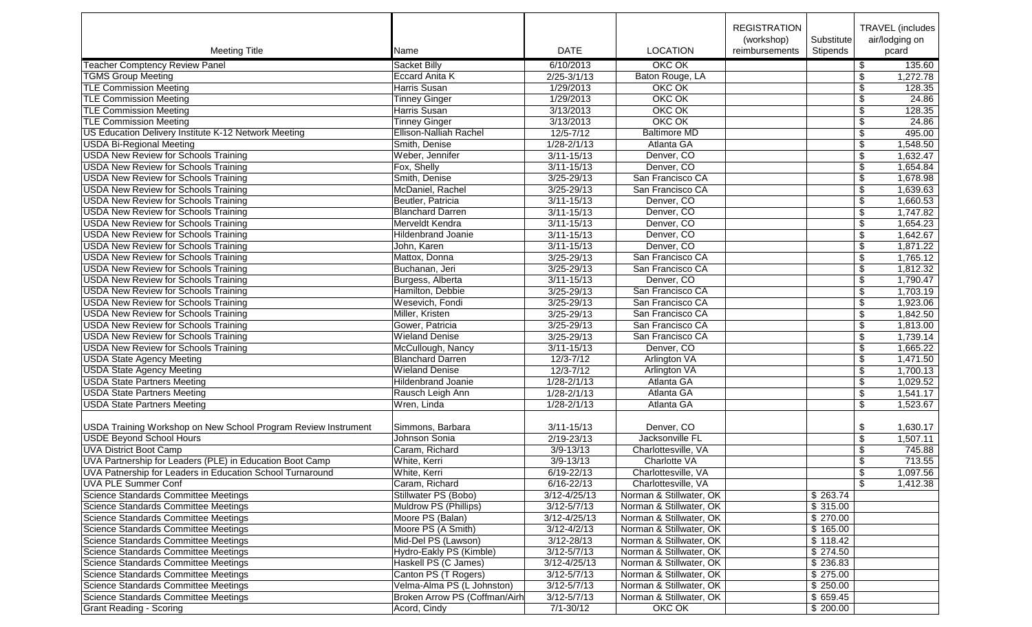|                                                                                                   |                                   |                  |                               | <b>REGISTRATION</b>          |                        |                         | TRAVEL (includes        |
|---------------------------------------------------------------------------------------------------|-----------------------------------|------------------|-------------------------------|------------------------------|------------------------|-------------------------|-------------------------|
| <b>Meeting Title</b>                                                                              | Name                              | <b>DATE</b>      | <b>LOCATION</b>               | (workshop)<br>reimbursements | Substitute<br>Stipends |                         | air/lodging on<br>pcard |
|                                                                                                   |                                   |                  |                               |                              |                        |                         |                         |
| <b>Teacher Comptency Review Panel</b>                                                             | Sacket Billy                      | 6/10/2013        | OKC OK                        |                              |                        | $\sqrt[6]{2}$           | 135.60                  |
| <b>TGMS Group Meeting</b>                                                                         | <b>Eccard Anita K</b>             | $2/25 - 3/1/13$  | Baton Rouge, LA               |                              |                        | \$                      | 1,272.78                |
| <b>TLE Commission Meeting</b>                                                                     | Harris Susan                      | 1/29/2013        | OKC OK                        |                              |                        | \$                      | 128.35                  |
| <b>TLE Commission Meeting</b>                                                                     | <b>Tinney Ginger</b>              | 1/29/2013        | OKC OK                        |                              |                        | $\sqrt[6]{\frac{1}{2}}$ | 24.86                   |
| <b>TLE Commission Meeting</b>                                                                     | Harris Susan                      | 3/13/2013        | OKC OK                        |                              |                        | $\overline{\$}$         | 128.35                  |
| <b>TLE Commission Meeting</b>                                                                     | <b>Tinney Ginger</b>              | 3/13/2013        | OKC OK                        |                              |                        | \$                      | 24.86                   |
| US Education Delivery Institute K-12 Network Meeting                                              | <b>Ellison-Nalliah Rachel</b>     | $12/5 - 7/12$    | <b>Baltimore MD</b>           |                              |                        | \$                      | 495.00                  |
| <b>USDA Bi-Regional Meeting</b>                                                                   | Smith, Denise                     | $1/28 - 2/1/13$  | Atlanta GA                    |                              |                        | \$                      | 1,548.50                |
| <b>USDA New Review for Schools Training</b>                                                       | Weber, Jennifer                   | $3/11 - 15/13$   | Denver, CO                    |                              |                        | \$                      | 1,632.47                |
| <b>USDA New Review for Schools Training</b>                                                       | Fox, Shelly                       | $3/11 - 15/13$   | Denver, CO                    |                              |                        | \$                      | 1,654.84                |
| <b>USDA New Review for Schools Training</b>                                                       | Smith, Denise                     | 3/25-29/13       | San Francisco CA              |                              |                        | \$                      | 1,678.98                |
| <b>USDA New Review for Schools Training</b>                                                       | McDaniel, Rachel                  | $3/25 - 29/13$   | San Francisco CA              |                              |                        | \$                      | 1,639.63                |
| <b>USDA New Review for Schools Training</b>                                                       | Beutler, Patricia                 | $3/11 - 15/13$   | Denver, CO                    |                              |                        | \$                      | 1,660.53                |
| <b>USDA New Review for Schools Training</b>                                                       | <b>Blanchard Darren</b>           | $3/11 - 15/13$   | Denver, CO                    |                              |                        | \$                      | 1,747.82                |
| <b>USDA New Review for Schools Training</b>                                                       | Merveldt Kendra                   | $3/11 - 15/13$   | Denver, CO                    |                              |                        | \$                      | 1,654.23                |
| <b>USDA New Review for Schools Training</b>                                                       | <b>Hildenbrand Joanie</b>         | $3/11 - 15/13$   | Denver, CO                    |                              |                        | $\overline{\$}$         | 1,642.67                |
| <b>USDA New Review for Schools Training</b>                                                       | John, Karen                       | $3/11 - 15/13$   | Denver, CO                    |                              |                        | \$                      | 1,871.22                |
| <b>USDA New Review for Schools Training</b>                                                       | Mattox, Donna                     | $3/25 - 29/13$   | San Francisco CA              |                              |                        | \$                      | 1,765.12                |
| <b>USDA New Review for Schools Training</b>                                                       | Buchanan, Jeri                    | 3/25-29/13       | San Francisco CA              |                              |                        | \$                      | 1,812.32                |
| <b>USDA New Review for Schools Training</b>                                                       | Burgess, Alberta                  | $3/11 - 15/13$   | Denver, CO                    |                              |                        | \$                      | 1,790.47                |
| <b>USDA New Review for Schools Training</b>                                                       | Hamilton, Debbie                  | $3/25 - 29/13$   | San Francisco CA              |                              |                        | \$                      | 1,703.19                |
| <b>USDA New Review for Schools Training</b>                                                       | Wesevich, Fondi                   | 3/25-29/13       | San Francisco CA              |                              |                        | \$                      | 1,923.06                |
| <b>USDA New Review for Schools Training</b>                                                       | Miller, Kristen                   | $3/25 - 29/13$   | San Francisco CA              |                              |                        | $\overline{\$}$         | 1,842.50                |
| <b>USDA New Review for Schools Training</b>                                                       | Gower, Patricia                   | 3/25-29/13       | San Francisco CA              |                              |                        | \$                      | 1,813.00                |
| <b>USDA New Review for Schools Training</b>                                                       | <b>Wieland Denise</b>             | $3/25 - 29/13$   | San Francisco CA              |                              |                        | $\overline{\$}$         | 1,739.14                |
| <b>USDA New Review for Schools Training</b>                                                       | McCullough, Nancy                 | $3/11 - 15/13$   | Denver, CO                    |                              |                        | $\sqrt[6]{\frac{1}{2}}$ | 1,665.22                |
| <b>USDA State Agency Meeting</b>                                                                  | <b>Blanchard Darren</b>           | $12/3 - 7/12$    | Arlington VA                  |                              |                        | \$                      | 1,471.50                |
| <b>USDA State Agency Meeting</b>                                                                  | <b>Wieland Denise</b>             | $12/3 - 7/12$    | <b>Arlington VA</b>           |                              |                        | \$                      | 1,700.13                |
| <b>USDA State Partners Meeting</b>                                                                | <b>Hildenbrand Joanie</b>         | $1/28 - 2/1/13$  | Atlanta GA                    |                              |                        | \$                      | 1,029.52                |
| <b>USDA State Partners Meeting</b>                                                                | Rausch Leigh Ann                  | $1/28 - 2/1/13$  | Atlanta GA                    |                              |                        | \$                      | 1,541.17                |
| <b>USDA State Partners Meeting</b>                                                                | Wren, Linda                       | 1/28-2/1/13      | Atlanta GA                    |                              |                        | \$                      | 1,523.67                |
|                                                                                                   |                                   |                  |                               |                              |                        |                         |                         |
|                                                                                                   |                                   |                  |                               |                              |                        |                         |                         |
| USDA Training Workshop on New School Program Review Instrument<br><b>USDE Beyond School Hours</b> | Simmons, Barbara<br>Johnson Sonia | $3/11 - 15/13$   | Denver, CO<br>Jacksonville FL |                              |                        | \$                      | 1,630.17                |
|                                                                                                   |                                   | 2/19-23/13       |                               |                              |                        | \$                      | 1,507.11                |
| <b>UVA District Boot Camp</b>                                                                     | Caram, Richard                    | $3/9 - 13/13$    | Charlottesville, VA           |                              |                        | \$                      | 745.88                  |
| UVA Partnership for Leaders (PLE) in Education Boot Camp                                          | White, Kerri                      | $3/9 - 13/13$    | Charlotte VA                  |                              |                        | \$                      | 713.55                  |
| UVA Patnership for Leaders in Education School Turnaround                                         | White, Kerri                      | $6/19 - 22/13$   | Charlottesville, VA           |                              |                        | \$                      | 1,097.56                |
| <b>UVA PLE Summer Conf</b>                                                                        | Caram, Richard                    | 6/16-22/13       | Charlottesville, VA           |                              |                        | \$                      | 1,412.38                |
| Science Standards Committee Meetings                                                              | Stillwater PS (Bobo)              | $3/12 - 4/25/13$ | Norman & Stillwater, OK       |                              | \$263.74               |                         |                         |
| Science Standards Committee Meetings                                                              | Muldrow PS (Phillips)             | $3/12 - 5/7/13$  | Norman & Stillwater, OK       |                              | \$315.00               |                         |                         |
| Science Standards Committee Meetings                                                              | Moore PS (Balan)                  | $3/12 - 4/25/13$ | Norman & Stillwater, OK       |                              | \$270.00               |                         |                         |
| Science Standards Committee Meetings                                                              | Moore PS (A Smith)                | $3/12 - 4/2/13$  | Norman & Stillwater, OK       |                              | \$165.00               |                         |                         |
| Science Standards Committee Meetings                                                              | Mid-Del PS (Lawson)               | 3/12-28/13       | Norman & Stillwater, OK       |                              | \$118.42               |                         |                         |
| Science Standards Committee Meetings                                                              | Hydro-Eakly PS (Kimble)           | $3/12 - 5/7/13$  | Norman & Stillwater, OK       |                              | \$274.50               |                         |                         |
| Science Standards Committee Meetings                                                              | Haskell PS (C James)              | $3/12 - 4/25/13$ | Norman & Stillwater, OK       |                              | \$236.83               |                         |                         |
| Science Standards Committee Meetings                                                              | Canton PS (T Rogers)              | $3/12 - 5/7/13$  | Norman & Stillwater, OK       |                              | \$275.00               |                         |                         |
| Science Standards Committee Meetings                                                              | Velma-Alma PS (L Johnston)        | $3/12 - 5/7/13$  | Norman & Stillwater, OK       |                              | \$250.00               |                         |                         |
| Science Standards Committee Meetings                                                              | Broken Arrow PS (Coffman/Airh     | $3/12 - 5/7/13$  | Norman & Stillwater, OK       |                              | \$ 659.45              |                         |                         |
| <b>Grant Reading - Scoring</b>                                                                    | Acord, Cindy                      | $7/1 - 30/12$    | OKC OK                        |                              | \$200.00               |                         |                         |